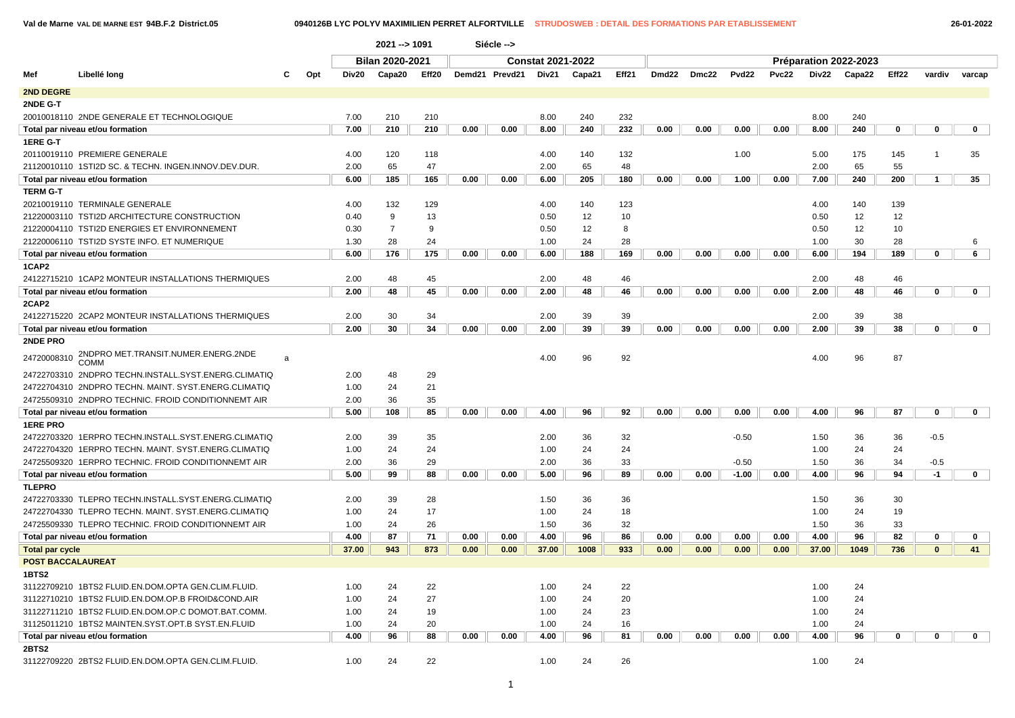### **Val de Marne VAL DE MARNE EST 94B.F.2 District.05 0940126B LYC POLYV MAXIMILIEN PERRET ALFORTVILLE STRUDOSWEB : DETAIL DES FORMATIONS PAR ETABLISSEMENT 26-01-2022**

|                          |                                                      |   |     |       | 2021 -- > 1091         |       |      | Siécle -->     |                          |        |       |       |       |         |       |       |                       |       |              |             |
|--------------------------|------------------------------------------------------|---|-----|-------|------------------------|-------|------|----------------|--------------------------|--------|-------|-------|-------|---------|-------|-------|-----------------------|-------|--------------|-------------|
|                          |                                                      |   |     |       | <b>Bilan 2020-2021</b> |       |      |                | <b>Constat 2021-2022</b> |        |       |       |       |         |       |       | Préparation 2022-2023 |       |              |             |
| Mef                      | Libellé long                                         | с | Opt | Div20 | Capa20                 | Eff20 |      | Demd21 Prevd21 | Div21                    | Capa21 | Eff21 | Dmd22 | Dmc22 | Pvd22   | Pvc22 | Div22 | Capa22                | Eff22 | vardiv       | varcap      |
| <b>2ND DEGRE</b>         |                                                      |   |     |       |                        |       |      |                |                          |        |       |       |       |         |       |       |                       |       |              |             |
| 2NDE G-T                 |                                                      |   |     |       |                        |       |      |                |                          |        |       |       |       |         |       |       |                       |       |              |             |
|                          | 20010018110 2NDE GENERALE ET TECHNOLOGIQUE           |   |     | 7.00  | 210                    | 210   |      |                | 8.00                     | 240    | 232   |       |       |         |       | 8.00  | 240                   |       |              |             |
|                          | Total par niveau et/ou formation                     |   |     | 7.00  | 210                    | 210   | 0.00 | 0.00           | 8.00                     | 240    | 232   | 0.00  | 0.00  | 0.00    | 0.00  | 8.00  | 240                   | 0     | 0            | 0           |
| <b>1ERE G-T</b>          |                                                      |   |     |       |                        |       |      |                |                          |        |       |       |       |         |       |       |                       |       |              |             |
|                          | 20110019110 PREMIERE GENERALE                        |   |     | 4.00  | 120                    | 118   |      |                | 4.00                     | 140    | 132   |       |       | 1.00    |       | 5.00  | 175                   | 145   | $\mathbf{1}$ | 35          |
|                          | 21120010110 1STI2D SC. & TECHN. INGEN.INNOV.DEV.DUR. |   |     | 2.00  | 65                     | 47    |      |                | 2.00                     | 65     | 48    |       |       |         |       | 2.00  | 65                    | 55    |              |             |
|                          | Total par niveau et/ou formation                     |   |     | 6.00  | 185                    | 165   | 0.00 | 0.00           | 6.00                     | 205    | 180   | 0.00  | 0.00  | 1.00    | 0.00  | 7.00  | 240                   | 200   | 1            | 35          |
| <b>TERM G-T</b>          |                                                      |   |     |       |                        |       |      |                |                          |        |       |       |       |         |       |       |                       |       |              |             |
|                          | 20210019110 TERMINALE GENERALE                       |   |     | 4.00  | 132                    | 129   |      |                | 4.00                     | 140    | 123   |       |       |         |       | 4.00  | 140                   | 139   |              |             |
|                          | 21220003110 TSTI2D ARCHITECTURE CONSTRUCTION         |   |     | 0.40  | 9                      | 13    |      |                | 0.50                     | 12     | 10    |       |       |         |       | 0.50  | 12                    | 12    |              |             |
|                          | 21220004110 TSTI2D ENERGIES ET ENVIRONNEMENT         |   |     | 0.30  | $\overline{7}$         | 9     |      |                | 0.50                     | 12     | 8     |       |       |         |       | 0.50  | 12                    | 10    |              |             |
|                          | 21220006110 TSTI2D SYSTE INFO. ET NUMERIQUE          |   |     | 1.30  | 28                     | 24    |      |                | 1.00                     | 24     | 28    |       |       |         |       | 1.00  | 30                    | 28    |              | 6           |
|                          | Total par niveau et/ou formation                     |   |     | 6.00  | 176                    | 175   | 0.00 | 0.00           | 6.00                     | 188    | 169   | 0.00  | 0.00  | 0.00    | 0.00  | 6.00  | 194                   | 189   | 0            | 6           |
| 1CAP2                    |                                                      |   |     |       |                        |       |      |                |                          |        |       |       |       |         |       |       |                       |       |              |             |
|                          | 24122715210 1CAP2 MONTEUR INSTALLATIONS THERMIQUES   |   |     | 2.00  | 48                     | 45    |      |                | 2.00                     | 48     | 46    |       |       |         |       | 2.00  | 48                    | 46    |              |             |
|                          | Total par niveau et/ou formation                     |   |     | 2.00  | 48                     | 45    | 0.00 | 0.00           | 2.00                     | 48     | 46    | 0.00  | 0.00  | 0.00    | 0.00  | 2.00  | 48                    | 46    | $\Omega$     | $\mathbf 0$ |
| 2CAP2                    |                                                      |   |     |       |                        |       |      |                |                          |        |       |       |       |         |       |       |                       |       |              |             |
|                          | 24122715220 2CAP2 MONTEUR INSTALLATIONS THERMIQUES   |   |     | 2.00  | 30                     | 34    |      |                | 2.00                     | 39     | 39    |       |       |         |       | 2.00  | 39                    | 38    |              |             |
|                          | Total par niveau et/ou formation                     |   |     | 2.00  | 30                     | 34    | 0.00 | 0.00           | 2.00                     | 39     | 39    | 0.00  | 0.00  | 0.00    | 0.00  | 2.00  | 39                    | 38    | 0            | 0           |
| 2NDE PRO                 |                                                      |   |     |       |                        |       |      |                |                          |        |       |       |       |         |       |       |                       |       |              |             |
| 24720008310              | 2NDPRO MET.TRANSIT.NUMER.ENERG.2NDE<br><b>COMM</b>   | a |     |       |                        |       |      |                | 4.00                     | 96     | 92    |       |       |         |       | 4.00  | 96                    | 87    |              |             |
|                          | 24722703310 2NDPRO TECHN.INSTALL.SYST.ENERG.CLIMATIQ |   |     | 2.00  | 48                     | 29    |      |                |                          |        |       |       |       |         |       |       |                       |       |              |             |
|                          | 24722704310 2NDPRO TECHN. MAINT. SYST.ENERG.CLIMATIQ |   |     | 1.00  | 24                     | 21    |      |                |                          |        |       |       |       |         |       |       |                       |       |              |             |
|                          | 24725509310 2NDPRO TECHNIC. FROID CONDITIONNEMT AIR  |   |     | 2.00  | 36                     | 35    |      |                |                          |        |       |       |       |         |       |       |                       |       |              |             |
|                          | Total par niveau et/ou formation                     |   |     | 5.00  | 108                    | 85    | 0.00 | 0.00           | 4.00                     | 96     | 92    | 0.00  | 0.00  | 0.00    | 0.00  | 4.00  | 96                    | 87    | 0            | 0           |
| <b>1ERE PRO</b>          |                                                      |   |     |       |                        |       |      |                |                          |        |       |       |       |         |       |       |                       |       |              |             |
|                          | 24722703320 1ERPRO TECHN.INSTALL.SYST.ENERG.CLIMATIQ |   |     | 2.00  | 39                     | 35    |      |                | 2.00                     | 36     | 32    |       |       | $-0.50$ |       | 1.50  | 36                    | 36    | $-0.5$       |             |
|                          | 24722704320 1ERPRO TECHN. MAINT. SYST.ENERG.CLIMATIQ |   |     | 1.00  | 24                     | 24    |      |                | 1.00                     | 24     | 24    |       |       |         |       | 1.00  | 24                    | 24    |              |             |
|                          | 24725509320 1ERPRO TECHNIC. FROID CONDITIONNEMT AIR  |   |     | 2.00  | 36                     | 29    |      |                | 2.00                     | 36     | 33    |       |       | $-0.50$ |       | 1.50  | 36                    | 34    | $-0.5$       |             |
|                          | Total par niveau et/ou formation                     |   |     | 5.00  | 99                     | 88    | 0.00 | 0.00           | 5.00                     | 96     | 89    | 0.00  | 0.00  | $-1.00$ | 0.00  | 4.00  | 96                    | 94    | $-1$         | 0           |
| <b>TLEPRO</b>            |                                                      |   |     |       |                        |       |      |                |                          |        |       |       |       |         |       |       |                       |       |              |             |
|                          | 24722703330 TLEPRO TECHN.INSTALL.SYST.ENERG.CLIMATIQ |   |     | 2.00  | 39                     | 28    |      |                | 1.50                     | 36     | 36    |       |       |         |       | 1.50  | 36                    | 30    |              |             |
|                          | 24722704330 TLEPRO TECHN. MAINT. SYST.ENERG.CLIMATIQ |   |     | 1.00  | 24                     | 17    |      |                | 1.00                     | 24     | 18    |       |       |         |       | 1.00  | 24                    | 19    |              |             |
|                          | 24725509330 TLEPRO TECHNIC. FROID CONDITIONNEMT AIR  |   |     | 1.00  | 24                     | 26    |      |                | 1.50                     | 36     | 32    |       |       |         |       | 1.50  | 36                    | 33    |              |             |
|                          | Total par niveau et/ou formation                     |   |     | 4.00  | 87                     | 71    | 0.00 | 0.00           | 4.00                     | 96     | 86    | 0.00  | 0.00  | 0.00    | 0.00  | 4.00  | 96                    | 82    | 0            | $\mathbf 0$ |
| <b>Total par cycle</b>   |                                                      |   |     | 37.00 | 943                    | 873   | 0.00 | 0.00           | 37.00                    | 1008   | 933   | 0.00  | 0.00  | 0.00    | 0.00  | 37.00 | 1049                  | 736   | $\mathbf{0}$ | 41          |
| <b>POST BACCALAUREAT</b> |                                                      |   |     |       |                        |       |      |                |                          |        |       |       |       |         |       |       |                       |       |              |             |
| 1BTS2                    |                                                      |   |     |       |                        |       |      |                |                          |        |       |       |       |         |       |       |                       |       |              |             |
|                          | 31122709210 1BTS2 FLUID.EN.DOM.OPTA GEN.CLIM.FLUID.  |   |     | 1.00  | 24                     | 22    |      |                | 1.00                     | 24     | 22    |       |       |         |       | 1.00  | 24                    |       |              |             |
|                          | 31122710210 1BTS2 FLUID.EN.DOM.OP.B FROID&COND.AIR   |   |     | 1.00  | 24                     | 27    |      |                | 1.00                     | 24     | 20    |       |       |         |       | 1.00  | 24                    |       |              |             |
|                          | 31122711210 1BTS2 FLUID.EN.DOM.OP.C DOMOT.BAT.COMM.  |   |     | 1.00  | 24                     | 19    |      |                | 1.00                     | 24     | 23    |       |       |         |       | 1.00  | 24                    |       |              |             |
|                          | 31125011210 1BTS2 MAINTEN.SYST.OPT.B SYST.EN.FLUID   |   |     | 1.00  | 24                     | 20    |      |                | 1.00                     | 24     | 16    |       |       |         |       | 1.00  | 24                    |       |              |             |
|                          | Total par niveau et/ou formation                     |   |     | 4.00  | 96                     | 88    | 0.00 | 0.00           | 4.00                     | 96     | 81    | 0.00  | 0.00  | 0.00    | 0.00  | 4.00  | 96                    | 0     | $\Omega$     | $\mathbf 0$ |
| <b>2BTS2</b>             |                                                      |   |     |       |                        |       |      |                |                          |        |       |       |       |         |       |       |                       |       |              |             |
|                          | 31122709220 2BTS2 FLUID.EN.DOM.OPTA GEN.CLIM.FLUID.  |   |     | 1.00  | 24                     | 22    |      |                | 1.00                     | 24     | 26    |       |       |         |       | 1.00  | 24                    |       |              |             |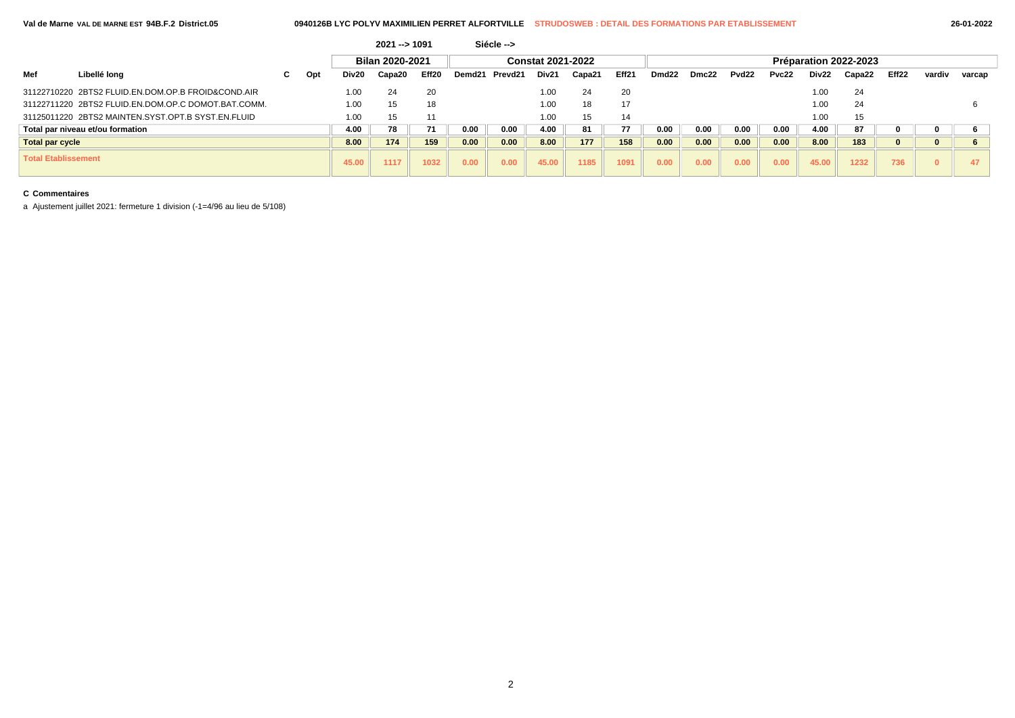|                            |                                                     |    |     |       | $2021 - 1091$   |       |        | Siécle --> |                          |        |       |                   |       |                   |       |       |                       |                   |              |        |
|----------------------------|-----------------------------------------------------|----|-----|-------|-----------------|-------|--------|------------|--------------------------|--------|-------|-------------------|-------|-------------------|-------|-------|-----------------------|-------------------|--------------|--------|
|                            |                                                     |    |     |       | Bilan 2020-2021 |       |        |            | <b>Constat 2021-2022</b> |        |       |                   |       |                   |       |       | Préparation 2022-2023 |                   |              |        |
| Mef                        | Libellé long                                        | C. | Opt | Div20 | Capa20          | Eff20 | Demd21 | Prevd21    | Div <sub>21</sub>        | Capa21 | Eff21 | Dmd <sub>22</sub> | Dmc22 | Pvd <sub>22</sub> | Pvc22 | Div22 | Capa22                | Eff <sub>22</sub> | vardiv       | varcap |
|                            | 31122710220 2BTS2 FLUID.EN.DOM.OP.B FROID&COND.AIR  |    |     | 1.00  | 24              | 20    |        |            | 1.00                     | 24     | 20    |                   |       |                   |       | 1.00  | 24                    |                   |              |        |
|                            | 31122711220 2BTS2 FLUID.EN.DOM.OP.C DOMOT.BAT.COMM. |    |     | 1.00  | 15              | 18    |        |            | 1.00                     | 18     | 17    |                   |       |                   |       | 1.00  | 24                    |                   |              |        |
|                            | 31125011220 2BTS2 MAINTEN.SYST.OPT.B SYST.EN.FLUID  |    |     | 1.00  | 15              | 11    |        |            | 1.00                     | 15     | 14    |                   |       |                   |       | 1.00  | 15                    |                   |              |        |
|                            | Total par niveau et/ou formation                    |    |     | 4.00  | 78              | 71    | 0.00   | 0.00       | 4.00                     | 81     | 77    | 0.00              | 0.00  | 0.00              | 0.00  | 4.00  | 87                    |                   | 0            |        |
| <b>Total par cycle</b>     |                                                     |    |     | 8.00  | 174             | 159   | 0.00   | 0.00       | 8.00                     | 177    | 158   | 0.00              | 0.00  | 0.00              | 0.00  | 8.00  | 183                   |                   | $\bf{0}$     |        |
| <b>Total Etablissement</b> |                                                     |    |     | 45.00 | 1117            | 1032  | 0.00   | 0.00       | 45.00                    | 1185   | 1091  | 0.00              | 0.00  | 0.00              | 0.00  | 45.00 | 1232                  | 736               | $\mathbf{0}$ |        |

### **C Commentaires**

a Ajustement juillet 2021: fermeture 1 division (-1=4/96 au lieu de 5/108)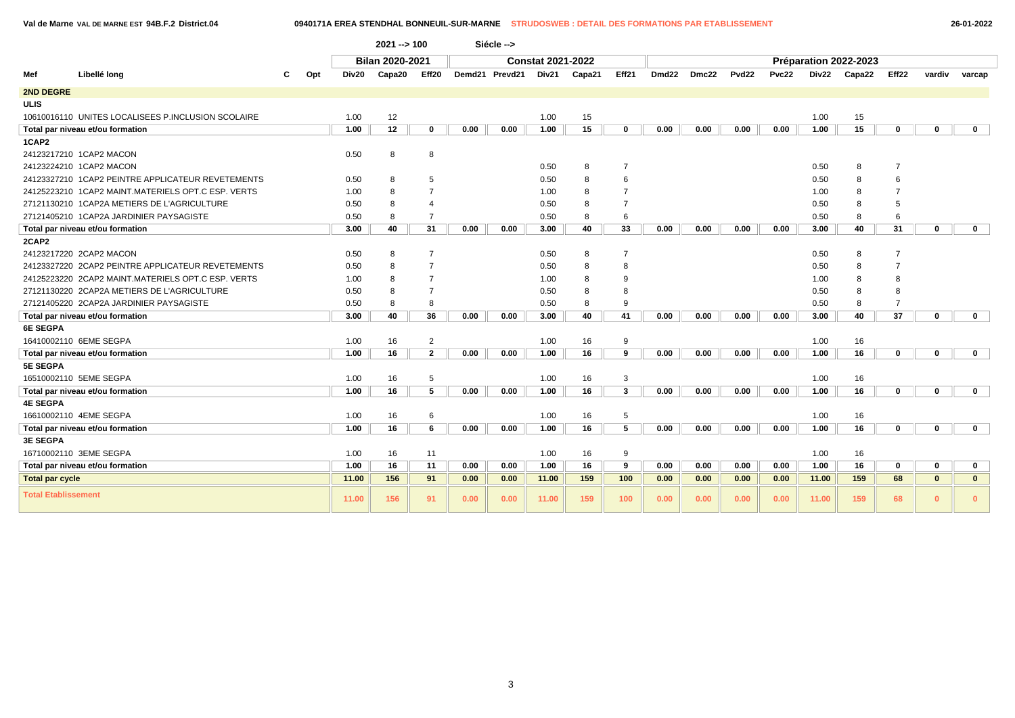**Val de Marne VAL DE MARNE EST 94B.F.2 District.04 0940171A EREA STENDHAL BONNEUIL-SUR-MARNE STRUDOSWEB : DETAIL DES FORMATIONS PAR ETABLISSEMENT 26-01-2022**

|                            |                                                    |     |       | $2021 - 5100$   |                |      | Siécle -->     |                          |        |                |       |       |                   |       |       |                       |                   |              |              |
|----------------------------|----------------------------------------------------|-----|-------|-----------------|----------------|------|----------------|--------------------------|--------|----------------|-------|-------|-------------------|-------|-------|-----------------------|-------------------|--------------|--------------|
|                            |                                                    |     |       | Bilan 2020-2021 |                |      |                | <b>Constat 2021-2022</b> |        |                |       |       |                   |       |       | Préparation 2022-2023 |                   |              |              |
| Mef                        | Libellé long                                       | Opt | Div20 | Capa20          | Eff20          |      | Demd21 Prevd21 | Div21                    | Capa21 | Eff21          | Dmd22 | Dmc22 | Pvd <sub>22</sub> | Pvc22 | Div22 | Capa22                | Eff <sub>22</sub> | vardiv       | varcap       |
| <b>2ND DEGRE</b>           |                                                    |     |       |                 |                |      |                |                          |        |                |       |       |                   |       |       |                       |                   |              |              |
| <b>ULIS</b>                |                                                    |     |       |                 |                |      |                |                          |        |                |       |       |                   |       |       |                       |                   |              |              |
|                            | 10610016110 UNITES LOCALISEES P.INCLUSION SCOLAIRE |     | 1.00  | 12              |                |      |                | 1.00                     | 15     |                |       |       |                   |       | 1.00  | 15                    |                   |              |              |
|                            | Total par niveau et/ou formation                   |     | 1.00  | 12              | 0              | 0.00 | 0.00           | 1.00                     | 15     | $\bf{0}$       | 0.00  | 0.00  | 0.00              | 0.00  | 1.00  | 15                    | $\bf{0}$          | 0            | $\mathbf 0$  |
| 1CAP2                      |                                                    |     |       |                 |                |      |                |                          |        |                |       |       |                   |       |       |                       |                   |              |              |
|                            | 24123217210 1CAP2 MACON                            |     | 0.50  | 8               | 8              |      |                |                          |        |                |       |       |                   |       |       |                       |                   |              |              |
|                            | 24123224210 1CAP2 MACON                            |     |       |                 |                |      |                | 0.50                     | 8      | $\overline{7}$ |       |       |                   |       | 0.50  | 8                     | $\overline{7}$    |              |              |
|                            | 24123327210 1CAP2 PEINTRE APPLICATEUR REVETEMENTS  |     | 0.50  | 8               | 5              |      |                | 0.50                     | 8      | 6              |       |       |                   |       | 0.50  | 8                     | 6                 |              |              |
|                            | 24125223210 1CAP2 MAINT.MATERIELS OPT.C ESP. VERTS |     | 1.00  | 8               | $\overline{7}$ |      |                | 1.00                     | 8      |                |       |       |                   |       | 1.00  | 8                     | $\overline{7}$    |              |              |
|                            | 27121130210 1CAP2A METIERS DE L'AGRICULTURE        |     | 0.50  | 8               | 4              |      |                | 0.50                     | 8      | $\overline{7}$ |       |       |                   |       | 0.50  | 8                     | 5                 |              |              |
|                            | 27121405210 1CAP2A JARDINIER PAYSAGISTE            |     | 0.50  | 8               | $\overline{7}$ |      |                | 0.50                     | 8      | 6              |       |       |                   |       | 0.50  | 8                     | 6                 |              |              |
|                            | Total par niveau et/ou formation                   |     | 3.00  | 40              | 31             | 0.00 | 0.00           | 3.00                     | 40     | 33             | 0.00  | 0.00  | 0.00              | 0.00  | 3.00  | 40                    | 31                | 0            | $\mathbf{0}$ |
| 2CAP2                      |                                                    |     |       |                 |                |      |                |                          |        |                |       |       |                   |       |       |                       |                   |              |              |
|                            | 24123217220 2CAP2 MACON                            |     | 0.50  | 8               | $\overline{7}$ |      |                | 0.50                     | 8      | $\overline{7}$ |       |       |                   |       | 0.50  | 8                     | $\overline{7}$    |              |              |
|                            | 24123327220 2CAP2 PEINTRE APPLICATEUR REVETEMENTS  |     | 0.50  | 8               | $\overline{7}$ |      |                | 0.50                     | 8      | 8              |       |       |                   |       | 0.50  | 8                     | $\overline{7}$    |              |              |
|                            | 24125223220 2CAP2 MAINT.MATERIELS OPT.C ESP. VERTS |     | 1.00  | 8               | $\overline{7}$ |      |                | 1.00                     | 8      | 9              |       |       |                   |       | 1.00  | 8                     | 8                 |              |              |
|                            | 27121130220 2CAP2A METIERS DE L'AGRICULTURE        |     | 0.50  | 8               | $\overline{7}$ |      |                | 0.50                     | 8      | 8              |       |       |                   |       | 0.50  | 8                     | 8                 |              |              |
|                            | 27121405220 2CAP2A JARDINIER PAYSAGISTE            |     | 0.50  | 8               | 8              |      |                | 0.50                     | 8      | 9              |       |       |                   |       | 0.50  | 8                     |                   |              |              |
|                            | Total par niveau et/ou formation                   |     | 3.00  | 40              | 36             | 0.00 | 0.00           | 3.00                     | 40     | 41             | 0.00  | 0.00  | 0.00              | 0.00  | 3.00  | 40                    | 37                | 0            | $\mathbf 0$  |
| <b>6E SEGPA</b>            |                                                    |     |       |                 |                |      |                |                          |        |                |       |       |                   |       |       |                       |                   |              |              |
|                            | 16410002110 6EME SEGPA                             |     | 1.00  | 16              | $\overline{2}$ |      |                | 1.00                     | 16     | 9              |       |       |                   |       | 1.00  | 16                    |                   |              |              |
|                            | Total par niveau et/ou formation                   |     | 1.00  | 16              | $\mathbf{2}$   | 0.00 | 0.00           | 1.00                     | 16     | 9              | 0.00  | 0.00  | 0.00              | 0.00  | 1.00  | 16                    | $\mathbf 0$       | 0            | $\mathbf{0}$ |
| <b>5E SEGPA</b>            |                                                    |     |       |                 |                |      |                |                          |        |                |       |       |                   |       |       |                       |                   |              |              |
|                            | 16510002110 5EME SEGPA                             |     | 1.00  | 16              | 5              |      |                | 1.00                     | 16     | 3              |       |       |                   |       | 1.00  | 16                    |                   |              |              |
|                            | Total par niveau et/ou formation                   |     | 1.00  | 16              | 5              | 0.00 | 0.00           | 1.00                     | 16     | $\mathbf{3}$   | 0.00  | 0.00  | 0.00              | 0.00  | 1.00  | 16                    | $\mathbf 0$       | 0            | $\mathbf 0$  |
| <b>4E SEGPA</b>            |                                                    |     |       |                 |                |      |                |                          |        |                |       |       |                   |       |       |                       |                   |              |              |
|                            | 16610002110 4EME SEGPA                             |     | 1.00  | 16              | 6              |      |                | 1.00                     | 16     | 5              |       |       |                   |       | 1.00  | 16                    |                   |              |              |
|                            | Total par niveau et/ou formation                   |     | 1.00  | 16              | 6              | 0.00 | 0.00           | 1.00                     | 16     | 5              | 0.00  | 0.00  | 0.00              | 0.00  | 1.00  | 16                    | 0                 | 0            | $\mathbf{0}$ |
| <b>3E SEGPA</b>            |                                                    |     |       |                 |                |      |                |                          |        |                |       |       |                   |       |       |                       |                   |              |              |
|                            | 16710002110 3EME SEGPA                             |     | 1.00  | 16              | 11             |      |                | 1.00                     | 16     | 9              |       |       |                   |       | 1.00  | 16                    |                   |              |              |
|                            | Total par niveau et/ou formation                   |     | 1.00  | 16              | 11             | 0.00 | 0.00           | 1.00                     | 16     | 9              | 0.00  | 0.00  | 0.00              | 0.00  | 1.00  | 16                    | 0                 | 0            | $\mathbf 0$  |
| <b>Total par cycle</b>     |                                                    |     | 11.00 | 156             | 91             | 0.00 | 0.00           | 11.00                    | 159    | 100            | 0.00  | 0.00  | 0.00              | 0.00  | 11.00 | 159                   | 68                | $\mathbf{0}$ | $\mathbf{0}$ |
| <b>Total Etablissement</b> |                                                    |     | 11.00 | 156             | 91             | 0.00 | 0.00           | 11.00                    | 159    | 100            | 0.00  | 0.00  | 0.00              | 0.00  | 11.00 | 159                   | 68                | $\Omega$     | $\Omega$     |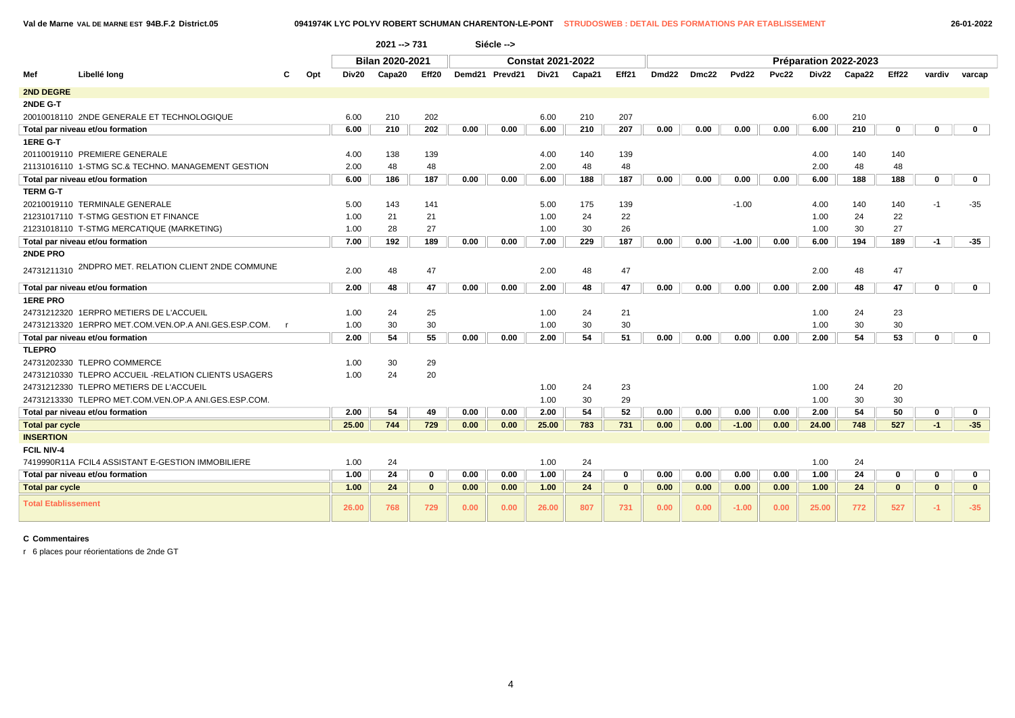**Val de Marne VAL DE MARNE EST 94B.F.2 District.05 0941974K LYC POLYV ROBERT SCHUMAN CHARENTON-LE-PONT STRUDOSWEB : DETAIL DES FORMATIONS PAR ETABLISSEMENT 26-01-2022**

|                            |                                                      |     |       | $2021 - 731$           |              |      | Siécle -->     |                          |        |              |                   |       |                   |       |       |                       |              |              |              |
|----------------------------|------------------------------------------------------|-----|-------|------------------------|--------------|------|----------------|--------------------------|--------|--------------|-------------------|-------|-------------------|-------|-------|-----------------------|--------------|--------------|--------------|
|                            |                                                      |     |       | <b>Bilan 2020-2021</b> |              |      |                | <b>Constat 2021-2022</b> |        |              |                   |       |                   |       |       | Préparation 2022-2023 |              |              |              |
| Mef                        | Libellé long                                         | Opt | Div20 | Capa20                 | Eff20        |      | Demd21 Prevd21 | Div21                    | Capa21 | Eff21        | Dmd <sub>22</sub> | Dmc22 | Pvd <sub>22</sub> | Pvc22 | Div22 | Capa22                | Eff22        | vardiv       | varcap       |
| <b>2ND DEGRE</b>           |                                                      |     |       |                        |              |      |                |                          |        |              |                   |       |                   |       |       |                       |              |              |              |
| 2NDE G-T                   |                                                      |     |       |                        |              |      |                |                          |        |              |                   |       |                   |       |       |                       |              |              |              |
|                            | 20010018110 2NDE GENERALE ET TECHNOLOGIQUE           |     | 6.00  | 210                    | 202          |      |                | 6.00                     | 210    | 207          |                   |       |                   |       | 6.00  | 210                   |              |              |              |
|                            | Total par niveau et/ou formation                     |     | 6.00  | 210                    | 202          | 0.00 | 0.00           | 6.00                     | 210    | 207          | 0.00              | 0.00  | 0.00              | 0.00  | 6.00  | 210                   | $\mathbf 0$  | 0            | $\mathbf 0$  |
| 1ERE G-T                   |                                                      |     |       |                        |              |      |                |                          |        |              |                   |       |                   |       |       |                       |              |              |              |
|                            | 20110019110 PREMIERE GENERALE                        |     | 4.00  | 138                    | 139          |      |                | 4.00                     | 140    | 139          |                   |       |                   |       | 4.00  | 140                   | 140          |              |              |
|                            | 21131016110 1-STMG SC.& TECHNO, MANAGEMENT GESTION   |     | 2.00  | 48                     | 48           |      |                | 2.00                     | 48     | 48           |                   |       |                   |       | 2.00  | 48                    | 48           |              |              |
|                            | Total par niveau et/ou formation                     |     | 6.00  | 186                    | 187          | 0.00 | 0.00           | 6.00                     | 188    | 187          | 0.00              | 0.00  | 0.00              | 0.00  | 6.00  | 188                   | 188          | 0            | $\mathbf 0$  |
| <b>TERM G-T</b>            |                                                      |     |       |                        |              |      |                |                          |        |              |                   |       |                   |       |       |                       |              |              |              |
|                            | 20210019110 TERMINALE GENERALE                       |     | 5.00  | 143                    | 141          |      |                | 5.00                     | 175    | 139          |                   |       | $-1.00$           |       | 4.00  | 140                   | 140          | $-1$         | $-35$        |
|                            | 21231017110 T-STMG GESTION ET FINANCE                |     | 1.00  | 21                     | 21           |      |                | 1.00                     | 24     | 22           |                   |       |                   |       | 1.00  | 24                    | 22           |              |              |
|                            | 21231018110 T-STMG MERCATIQUE (MARKETING)            |     | 1.00  | 28                     | 27           |      |                | 1.00                     | 30     | 26           |                   |       |                   |       | 1.00  | 30                    | 27           |              |              |
|                            | Total par niveau et/ou formation                     |     | 7.00  | 192                    | 189          | 0.00 | 0.00           | 7.00                     | 229    | 187          | 0.00              | 0.00  | $-1.00$           | 0.00  | 6.00  | 194                   | 189          | $-1$         | $-35$        |
| 2NDE PRO                   |                                                      |     |       |                        |              |      |                |                          |        |              |                   |       |                   |       |       |                       |              |              |              |
| 24731211310                | 2NDPRO MET. RELATION CLIENT 2NDE COMMUNE             |     | 2.00  | 48                     | 47           |      |                | 2.00                     | 48     | 47           |                   |       |                   |       | 2.00  | 48                    | 47           |              |              |
|                            | Total par niveau et/ou formation                     |     | 2.00  | 48                     | 47           | 0.00 | 0.00           | 2.00                     | 48     | 47           | 0.00              | 0.00  | 0.00              | 0.00  | 2.00  | 48                    | 47           | $\mathbf 0$  | $\mathbf{0}$ |
| <b>1ERE PRO</b>            |                                                      |     |       |                        |              |      |                |                          |        |              |                   |       |                   |       |       |                       |              |              |              |
|                            | 24731212320 1ERPRO METIERS DE L'ACCUEIL              |     | 1.00  | 24                     | 25           |      |                | 1.00                     | 24     | 21           |                   |       |                   |       | 1.00  | 24                    | 23           |              |              |
|                            | 24731213320 1ERPRO MET.COM.VEN.OP.A ANI.GES.ESP.COM. |     | 1.00  | 30                     | 30           |      |                | 1.00                     | 30     | 30           |                   |       |                   |       | 1.00  | 30                    | 30           |              |              |
|                            | Total par niveau et/ou formation                     |     | 2.00  | 54                     | 55           | 0.00 | 0.00           | 2.00                     | 54     | 51           | 0.00              | 0.00  | 0.00              | 0.00  | 2.00  | 54                    | 53           | 0            | $\mathbf{0}$ |
| <b>TLEPRO</b>              |                                                      |     |       |                        |              |      |                |                          |        |              |                   |       |                   |       |       |                       |              |              |              |
|                            | 24731202330 TLEPRO COMMERCE                          |     | 1.00  | 30                     | 29           |      |                |                          |        |              |                   |       |                   |       |       |                       |              |              |              |
|                            | 24731210330 TLEPRO ACCUEIL -RELATION CLIENTS USAGERS |     | 1.00  | 24                     | 20           |      |                |                          |        |              |                   |       |                   |       |       |                       |              |              |              |
|                            | 24731212330 TLEPRO METIERS DE L'ACCUEIL              |     |       |                        |              |      |                | 1.00                     | 24     | 23           |                   |       |                   |       | 1.00  | 24                    | 20           |              |              |
|                            | 24731213330 TLEPRO MET.COM.VEN.OP.A ANI.GES.ESP.COM. |     |       |                        |              |      |                | 1.00                     | 30     | 29           |                   |       |                   |       | 1.00  | 30                    | 30           |              |              |
|                            | Total par niveau et/ou formation                     |     | 2.00  | 54                     | 49           | 0.00 | 0.00           | 2.00                     | 54     | 52           | 0.00              | 0.00  | 0.00              | 0.00  | 2.00  | 54                    | 50           | $\mathbf 0$  | $\mathbf 0$  |
| <b>Total par cycle</b>     |                                                      |     | 25.00 | 744                    | 729          | 0.00 | 0.00           | 25.00                    | 783    | 731          | 0.00              | 0.00  | $-1.00$           | 0.00  | 24.00 | 748                   | 527          | $-1$         | $-35$        |
| <b>INSERTION</b>           |                                                      |     |       |                        |              |      |                |                          |        |              |                   |       |                   |       |       |                       |              |              |              |
| FCIL NIV-4                 |                                                      |     |       |                        |              |      |                |                          |        |              |                   |       |                   |       |       |                       |              |              |              |
|                            | 7419990R11A FCIL4 ASSISTANT E-GESTION IMMOBILIERE    |     | 1.00  | 24                     |              |      |                | 1.00                     | 24     |              |                   |       |                   |       | 1.00  | 24                    |              |              |              |
|                            | Total par niveau et/ou formation                     |     | 1.00  | 24                     | $\mathbf 0$  | 0.00 | 0.00           | 1.00                     | 24     | $\mathbf 0$  | 0.00              | 0.00  | 0.00              | 0.00  | 1.00  | 24                    | 0            | 0            | $\mathbf 0$  |
| <b>Total par cycle</b>     |                                                      |     | 1.00  | 24                     | $\mathbf{0}$ | 0.00 | 0.00           | 1.00                     | 24     | $\mathbf{0}$ | 0.00              | 0.00  | 0.00              | 0.00  | 1.00  | 24                    | $\mathbf{0}$ | $\mathbf{0}$ | $\mathbf{0}$ |
| <b>Total Etablissement</b> |                                                      |     | 26.00 | 768                    | 729          | 0.00 | 0.00           | 26.00                    | 807    | 731          | 0.00              | 0.00  | $-1.00$           | 0.00  | 25.00 | 772                   | 527          | $-1$         | $-35$        |

**C Commentaires**

r 6 places pour réorientations de 2nde GT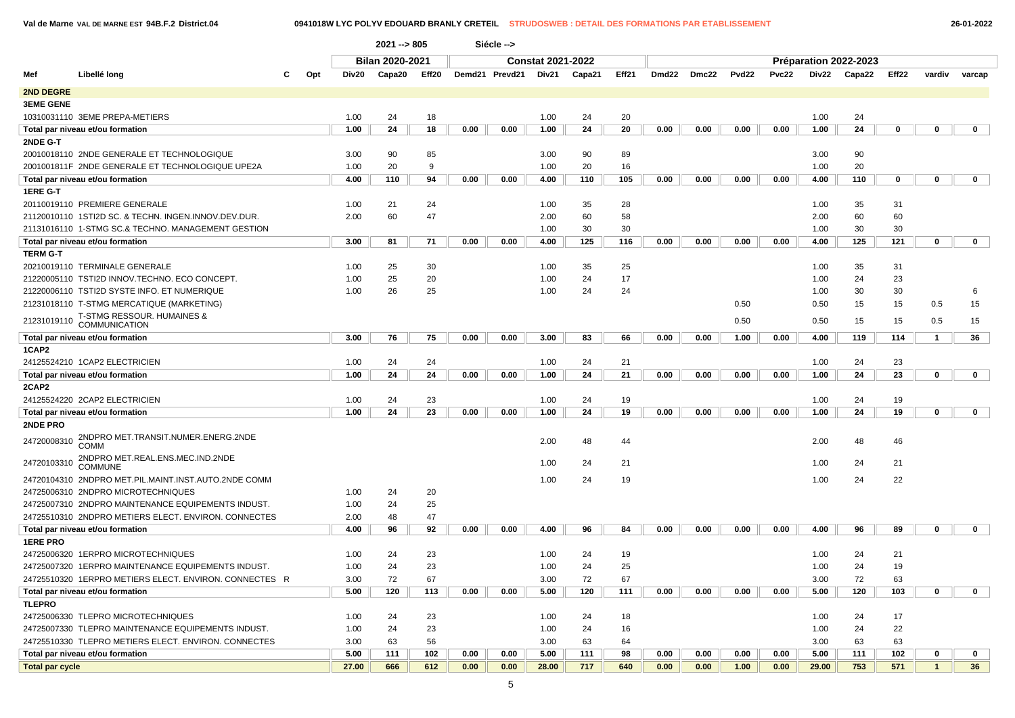### **Val de Marne VAL DE MARNE EST 94B.F.2 District.04 0941018W LYC POLYV EDOUARD BRANLY CRETEIL STRUDOSWEB : DETAIL DES FORMATIONS PAR ETABLISSEMENT 26-01-2022**

| Bilan 2020-2021<br><b>Constat 2021-2022</b><br>Préparation 2022-2023<br>Libellé long<br>Eff21<br>Eff22<br>Mef<br>Div20<br>Capa20<br>Eff <sub>20</sub><br>Demd21 Prevd21<br>Div21<br>Dmd22<br>Dmc22<br>Pvd22<br>Pvc22<br>Div22<br>Capa22<br>c<br>Opt<br>Capa21<br>vardiv<br>2ND DEGRE<br><b>3EME GENE</b><br>10310031110 3EME PREPA-METIERS<br>24<br>18<br>24<br>20<br>24<br>1.00<br>1.00<br>1.00<br>24<br>18<br>24<br>20<br>24<br>Total par niveau et/ou formation<br>1.00<br>0.00<br>0.00<br>1.00<br>0.00<br>0.00<br>0.00<br>0.00<br>1.00<br>0<br>$\mathbf 0$<br>2NDE G-T<br>85<br>90<br>20010018110 2NDE GENERALE ET TECHNOLOGIQUE<br>3.00<br>90<br>3.00<br>90<br>89<br>3.00<br>1.00<br>20<br>9<br>20<br>20<br>2001001811F 2NDE GENERALE ET TECHNOLOGIQUE UPE2A<br>1.00<br>16<br>1.00<br>4.00<br>110<br>94<br>0.00<br>4.00<br>110<br>105<br>0.00<br>0.00<br>0.00<br>4.00<br>110<br>$\mathbf 0$<br>0.00<br>0.00<br>0<br>Total par niveau et/ou formation<br>1ERE G-T<br>20110019110 PREMIERE GENERALE<br>24<br>28<br>35<br>1.00<br>21<br>1.00<br>35<br>1.00<br>31<br>21120010110 1STI2D SC. & TECHN. INGEN.INNOV.DEV.DUR.<br>2.00<br>60<br>47<br>2.00<br>60<br>58<br>2.00<br>60<br>60<br>30<br>30<br>30<br>21131016110 1-STMG SC.& TECHNO. MANAGEMENT GESTION<br>1.00<br>1.00<br>30<br>3.00<br>125<br>0.00<br>125<br>121<br>$\mathbf 0$<br>81<br>71<br>0.00<br>0.00<br>4.00<br>116<br>0.00<br>0.00<br>0.00<br>4.00<br>Total par niveau et/ou formation<br><b>TERM G-T</b><br>30<br>25<br>20210019110 TERMINALE GENERALE<br>1.00<br>25<br>35<br>1.00<br>35<br>31<br>1.00 |              |
|--------------------------------------------------------------------------------------------------------------------------------------------------------------------------------------------------------------------------------------------------------------------------------------------------------------------------------------------------------------------------------------------------------------------------------------------------------------------------------------------------------------------------------------------------------------------------------------------------------------------------------------------------------------------------------------------------------------------------------------------------------------------------------------------------------------------------------------------------------------------------------------------------------------------------------------------------------------------------------------------------------------------------------------------------------------------------------------------------------------------------------------------------------------------------------------------------------------------------------------------------------------------------------------------------------------------------------------------------------------------------------------------------------------------------------------------------------------------------------------------------------------------------------------------------------------------------|--------------|
|                                                                                                                                                                                                                                                                                                                                                                                                                                                                                                                                                                                                                                                                                                                                                                                                                                                                                                                                                                                                                                                                                                                                                                                                                                                                                                                                                                                                                                                                                                                                                                          |              |
|                                                                                                                                                                                                                                                                                                                                                                                                                                                                                                                                                                                                                                                                                                                                                                                                                                                                                                                                                                                                                                                                                                                                                                                                                                                                                                                                                                                                                                                                                                                                                                          | varcap       |
|                                                                                                                                                                                                                                                                                                                                                                                                                                                                                                                                                                                                                                                                                                                                                                                                                                                                                                                                                                                                                                                                                                                                                                                                                                                                                                                                                                                                                                                                                                                                                                          |              |
|                                                                                                                                                                                                                                                                                                                                                                                                                                                                                                                                                                                                                                                                                                                                                                                                                                                                                                                                                                                                                                                                                                                                                                                                                                                                                                                                                                                                                                                                                                                                                                          |              |
|                                                                                                                                                                                                                                                                                                                                                                                                                                                                                                                                                                                                                                                                                                                                                                                                                                                                                                                                                                                                                                                                                                                                                                                                                                                                                                                                                                                                                                                                                                                                                                          |              |
|                                                                                                                                                                                                                                                                                                                                                                                                                                                                                                                                                                                                                                                                                                                                                                                                                                                                                                                                                                                                                                                                                                                                                                                                                                                                                                                                                                                                                                                                                                                                                                          | $\mathbf 0$  |
|                                                                                                                                                                                                                                                                                                                                                                                                                                                                                                                                                                                                                                                                                                                                                                                                                                                                                                                                                                                                                                                                                                                                                                                                                                                                                                                                                                                                                                                                                                                                                                          |              |
|                                                                                                                                                                                                                                                                                                                                                                                                                                                                                                                                                                                                                                                                                                                                                                                                                                                                                                                                                                                                                                                                                                                                                                                                                                                                                                                                                                                                                                                                                                                                                                          |              |
|                                                                                                                                                                                                                                                                                                                                                                                                                                                                                                                                                                                                                                                                                                                                                                                                                                                                                                                                                                                                                                                                                                                                                                                                                                                                                                                                                                                                                                                                                                                                                                          |              |
|                                                                                                                                                                                                                                                                                                                                                                                                                                                                                                                                                                                                                                                                                                                                                                                                                                                                                                                                                                                                                                                                                                                                                                                                                                                                                                                                                                                                                                                                                                                                                                          | 0            |
|                                                                                                                                                                                                                                                                                                                                                                                                                                                                                                                                                                                                                                                                                                                                                                                                                                                                                                                                                                                                                                                                                                                                                                                                                                                                                                                                                                                                                                                                                                                                                                          |              |
|                                                                                                                                                                                                                                                                                                                                                                                                                                                                                                                                                                                                                                                                                                                                                                                                                                                                                                                                                                                                                                                                                                                                                                                                                                                                                                                                                                                                                                                                                                                                                                          |              |
|                                                                                                                                                                                                                                                                                                                                                                                                                                                                                                                                                                                                                                                                                                                                                                                                                                                                                                                                                                                                                                                                                                                                                                                                                                                                                                                                                                                                                                                                                                                                                                          |              |
|                                                                                                                                                                                                                                                                                                                                                                                                                                                                                                                                                                                                                                                                                                                                                                                                                                                                                                                                                                                                                                                                                                                                                                                                                                                                                                                                                                                                                                                                                                                                                                          |              |
|                                                                                                                                                                                                                                                                                                                                                                                                                                                                                                                                                                                                                                                                                                                                                                                                                                                                                                                                                                                                                                                                                                                                                                                                                                                                                                                                                                                                                                                                                                                                                                          |              |
|                                                                                                                                                                                                                                                                                                                                                                                                                                                                                                                                                                                                                                                                                                                                                                                                                                                                                                                                                                                                                                                                                                                                                                                                                                                                                                                                                                                                                                                                                                                                                                          | 0            |
|                                                                                                                                                                                                                                                                                                                                                                                                                                                                                                                                                                                                                                                                                                                                                                                                                                                                                                                                                                                                                                                                                                                                                                                                                                                                                                                                                                                                                                                                                                                                                                          |              |
|                                                                                                                                                                                                                                                                                                                                                                                                                                                                                                                                                                                                                                                                                                                                                                                                                                                                                                                                                                                                                                                                                                                                                                                                                                                                                                                                                                                                                                                                                                                                                                          |              |
| 25<br>20<br>24<br>17<br>24<br>21220005110 TSTI2D INNOV.TECHNO. ECO CONCEPT.<br>1.00<br>1.00<br>1.00<br>23                                                                                                                                                                                                                                                                                                                                                                                                                                                                                                                                                                                                                                                                                                                                                                                                                                                                                                                                                                                                                                                                                                                                                                                                                                                                                                                                                                                                                                                                |              |
| 26<br>24<br>24<br>21220006110 TSTI2D SYSTE INFO. ET NUMERIQUE<br>1.00<br>25<br>1.00<br>1.00<br>30<br>30                                                                                                                                                                                                                                                                                                                                                                                                                                                                                                                                                                                                                                                                                                                                                                                                                                                                                                                                                                                                                                                                                                                                                                                                                                                                                                                                                                                                                                                                  | 6            |
| 21231018110 T-STMG MERCATIQUE (MARKETING)<br>0.50<br>0.50<br>15<br>15<br>0.5                                                                                                                                                                                                                                                                                                                                                                                                                                                                                                                                                                                                                                                                                                                                                                                                                                                                                                                                                                                                                                                                                                                                                                                                                                                                                                                                                                                                                                                                                             | 15           |
| T-STMG RESSOUR. HUMAINES &<br>0.50<br>21231019110<br>0.50<br>15<br>0.5<br>15<br>COMMUNICATION                                                                                                                                                                                                                                                                                                                                                                                                                                                                                                                                                                                                                                                                                                                                                                                                                                                                                                                                                                                                                                                                                                                                                                                                                                                                                                                                                                                                                                                                            | 15           |
| Total par niveau et/ou formation<br>3.00<br>76<br>75<br>0.00<br>0.00<br>3.00<br>83<br>66<br>0.00<br>0.00<br>1.00<br>0.00<br>4.00<br>119<br>114<br>$\overline{1}$                                                                                                                                                                                                                                                                                                                                                                                                                                                                                                                                                                                                                                                                                                                                                                                                                                                                                                                                                                                                                                                                                                                                                                                                                                                                                                                                                                                                         | 36           |
| 1CAP2                                                                                                                                                                                                                                                                                                                                                                                                                                                                                                                                                                                                                                                                                                                                                                                                                                                                                                                                                                                                                                                                                                                                                                                                                                                                                                                                                                                                                                                                                                                                                                    |              |
| 1.00<br>24<br>21<br>24<br>23<br>24125524210 1CAP2 ELECTRICIEN<br>24<br>1.00<br>24<br>1.00                                                                                                                                                                                                                                                                                                                                                                                                                                                                                                                                                                                                                                                                                                                                                                                                                                                                                                                                                                                                                                                                                                                                                                                                                                                                                                                                                                                                                                                                                |              |
| 1.00<br>24<br>24<br>0.00<br>0.00<br>1.00<br>24<br>21<br>0.00<br>0.00<br>0.00<br>0.00<br>1.00<br>24<br>23<br>$\mathbf 0$<br>Total par niveau et/ou formation                                                                                                                                                                                                                                                                                                                                                                                                                                                                                                                                                                                                                                                                                                                                                                                                                                                                                                                                                                                                                                                                                                                                                                                                                                                                                                                                                                                                              | $\mathbf{0}$ |
| 2CAP2                                                                                                                                                                                                                                                                                                                                                                                                                                                                                                                                                                                                                                                                                                                                                                                                                                                                                                                                                                                                                                                                                                                                                                                                                                                                                                                                                                                                                                                                                                                                                                    |              |
| 24125524220 2CAP2 ELECTRICIEN<br>1.00<br>24<br>23<br>24<br>19<br>24<br>19<br>1.00<br>1.00                                                                                                                                                                                                                                                                                                                                                                                                                                                                                                                                                                                                                                                                                                                                                                                                                                                                                                                                                                                                                                                                                                                                                                                                                                                                                                                                                                                                                                                                                |              |
| 24<br>23<br>19<br>24<br>1.00<br>0.00<br>0.00<br>1.00<br>24<br>0.00<br>0.00<br>0.00<br>0.00<br>1.00<br>19<br>$\mathbf 0$<br>Total par niveau et/ou formation                                                                                                                                                                                                                                                                                                                                                                                                                                                                                                                                                                                                                                                                                                                                                                                                                                                                                                                                                                                                                                                                                                                                                                                                                                                                                                                                                                                                              | $\mathbf 0$  |
| 2NDE PRO                                                                                                                                                                                                                                                                                                                                                                                                                                                                                                                                                                                                                                                                                                                                                                                                                                                                                                                                                                                                                                                                                                                                                                                                                                                                                                                                                                                                                                                                                                                                                                 |              |
| 2NDPRO MET.TRANSIT.NUMER.ENERG.2NDE<br>24720008310<br>2.00<br>48<br>2.00<br>48<br>46<br>44<br><b>COMM</b>                                                                                                                                                                                                                                                                                                                                                                                                                                                                                                                                                                                                                                                                                                                                                                                                                                                                                                                                                                                                                                                                                                                                                                                                                                                                                                                                                                                                                                                                |              |
| 2NDPRO MET.REAL.ENS.MEC.IND.2NDE<br>24<br>21<br>24<br>21<br>24720103310<br>1.00<br>1.00<br><b>COMMUNE</b>                                                                                                                                                                                                                                                                                                                                                                                                                                                                                                                                                                                                                                                                                                                                                                                                                                                                                                                                                                                                                                                                                                                                                                                                                                                                                                                                                                                                                                                                |              |
| 24720104310 2NDPRO MET.PIL.MAINT.INST.AUTO.2NDE COMM<br>1.00<br>24<br>19<br>1.00<br>24<br>22                                                                                                                                                                                                                                                                                                                                                                                                                                                                                                                                                                                                                                                                                                                                                                                                                                                                                                                                                                                                                                                                                                                                                                                                                                                                                                                                                                                                                                                                             |              |
| 24725006310 2NDPRO MICROTECHNIQUES<br>1.00<br>24<br>20                                                                                                                                                                                                                                                                                                                                                                                                                                                                                                                                                                                                                                                                                                                                                                                                                                                                                                                                                                                                                                                                                                                                                                                                                                                                                                                                                                                                                                                                                                                   |              |
| 25<br>24725007310 2NDPRO MAINTENANCE EQUIPEMENTS INDUST.<br>1.00<br>24                                                                                                                                                                                                                                                                                                                                                                                                                                                                                                                                                                                                                                                                                                                                                                                                                                                                                                                                                                                                                                                                                                                                                                                                                                                                                                                                                                                                                                                                                                   |              |
| 47<br>24725510310 2NDPRO METIERS ELECT. ENVIRON. CONNECTES<br>2.00<br>48                                                                                                                                                                                                                                                                                                                                                                                                                                                                                                                                                                                                                                                                                                                                                                                                                                                                                                                                                                                                                                                                                                                                                                                                                                                                                                                                                                                                                                                                                                 |              |
| Total par niveau et/ou formation<br>4.00<br>96<br>92<br>0.00<br>0.00<br>4.00<br>96<br>84<br>0.00<br>0.00<br>0.00<br>0.00<br>4.00<br>96<br>89<br>$\mathbf 0$                                                                                                                                                                                                                                                                                                                                                                                                                                                                                                                                                                                                                                                                                                                                                                                                                                                                                                                                                                                                                                                                                                                                                                                                                                                                                                                                                                                                              | $\mathbf 0$  |
| <b>1ERE PRO</b>                                                                                                                                                                                                                                                                                                                                                                                                                                                                                                                                                                                                                                                                                                                                                                                                                                                                                                                                                                                                                                                                                                                                                                                                                                                                                                                                                                                                                                                                                                                                                          |              |
| 24725006320 1ERPRO MICROTECHNIQUES<br>1.00<br>24<br>23<br>1.00<br>24<br>19<br>1.00<br>24<br>21                                                                                                                                                                                                                                                                                                                                                                                                                                                                                                                                                                                                                                                                                                                                                                                                                                                                                                                                                                                                                                                                                                                                                                                                                                                                                                                                                                                                                                                                           |              |
| 23<br>25<br>24<br>24725007320 1ERPRO MAINTENANCE EQUIPEMENTS INDUST.<br>1.00<br>24<br>1.00<br>24<br>1.00<br>19                                                                                                                                                                                                                                                                                                                                                                                                                                                                                                                                                                                                                                                                                                                                                                                                                                                                                                                                                                                                                                                                                                                                                                                                                                                                                                                                                                                                                                                           |              |
| 24725510320 1ERPRO METIERS ELECT. ENVIRON. CONNECTES R<br>72<br>67<br>72<br>67<br>72<br>3.00<br>3.00<br>3.00<br>63                                                                                                                                                                                                                                                                                                                                                                                                                                                                                                                                                                                                                                                                                                                                                                                                                                                                                                                                                                                                                                                                                                                                                                                                                                                                                                                                                                                                                                                       |              |
| 120<br>120<br>120<br>103<br>$\mathbf 0$<br>5.00<br>113<br>0.00<br>0.00<br>5.00<br>111<br>0.00<br>0.00<br>0.00<br>0.00<br>5.00<br>Total par niveau et/ou formation                                                                                                                                                                                                                                                                                                                                                                                                                                                                                                                                                                                                                                                                                                                                                                                                                                                                                                                                                                                                                                                                                                                                                                                                                                                                                                                                                                                                        | $\mathbf 0$  |
| <b>TLEPRO</b>                                                                                                                                                                                                                                                                                                                                                                                                                                                                                                                                                                                                                                                                                                                                                                                                                                                                                                                                                                                                                                                                                                                                                                                                                                                                                                                                                                                                                                                                                                                                                            |              |
| 24<br>23<br>24<br>24<br>17<br>24725006330 TLEPRO MICROTECHNIQUES<br>1.00<br>1.00<br>18<br>1.00                                                                                                                                                                                                                                                                                                                                                                                                                                                                                                                                                                                                                                                                                                                                                                                                                                                                                                                                                                                                                                                                                                                                                                                                                                                                                                                                                                                                                                                                           |              |
| 1.00<br>24<br>23<br>1.00<br>24<br>16<br>1.00<br>24<br>22<br>24725007330 TLEPRO MAINTENANCE EQUIPEMENTS INDUST.                                                                                                                                                                                                                                                                                                                                                                                                                                                                                                                                                                                                                                                                                                                                                                                                                                                                                                                                                                                                                                                                                                                                                                                                                                                                                                                                                                                                                                                           |              |
| 24725510330 TLEPRO METIERS ELECT ENVIRON CONNECTES<br>3.00<br>63<br>56<br>3.00<br>63<br>64<br>3.00<br>63<br>63                                                                                                                                                                                                                                                                                                                                                                                                                                                                                                                                                                                                                                                                                                                                                                                                                                                                                                                                                                                                                                                                                                                                                                                                                                                                                                                                                                                                                                                           |              |

**Total par niveau et/ou formation 5.00 111 102 0.00 0.00 5.00 111 98 0.00 0.00 0.00 0.00 5.00 111 102 0 0 Total par cycle 27.00 666 612 0.00 0.00 28.00 717 640 0.00 0.00 1.00 0.00 29.00 753 571 1 36**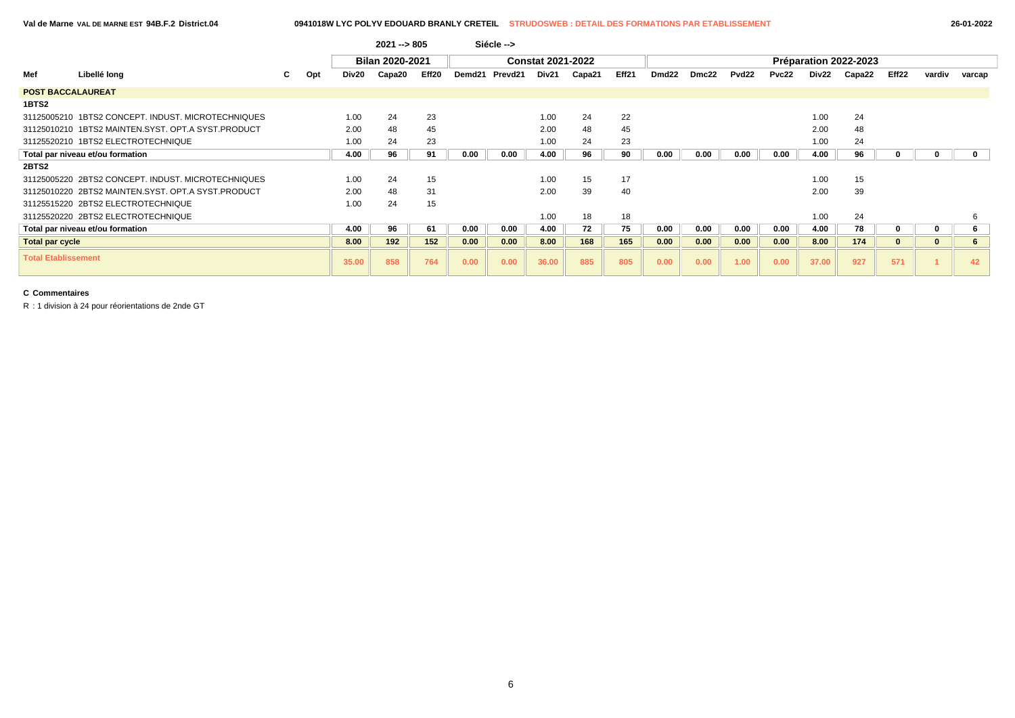### **Val de Marne VAL DE MARNE EST 94B.F.2 District.04 0941018W LYC POLYV EDOUARD BRANLY CRETEIL STRUDOSWEB : DETAIL DES FORMATIONS PAR ETABLISSEMENT 26-01-2022**

|                            |                                                    |    |     |       | $2021 - 805$           |       |        | Siécle --> |                          |        |       |       |       |                   |       |       |                       |              |              |        |
|----------------------------|----------------------------------------------------|----|-----|-------|------------------------|-------|--------|------------|--------------------------|--------|-------|-------|-------|-------------------|-------|-------|-----------------------|--------------|--------------|--------|
|                            |                                                    |    |     |       | <b>Bilan 2020-2021</b> |       |        |            | <b>Constat 2021-2022</b> |        |       |       |       |                   |       |       | Préparation 2022-2023 |              |              |        |
| Mef                        | Libellé long                                       | C. | Opt | Div20 | Capa20                 | Eff20 | Demd21 | Prevd21    | Div21                    | Capa21 | Eff21 | Dmd22 | Dmc22 | Pvd <sub>22</sub> | Pvc22 | Div22 | Capa22                | Eff22        | vardiv       | varcap |
| <b>POST BACCALAUREAT</b>   |                                                    |    |     |       |                        |       |        |            |                          |        |       |       |       |                   |       |       |                       |              |              |        |
| 1BTS2                      |                                                    |    |     |       |                        |       |        |            |                          |        |       |       |       |                   |       |       |                       |              |              |        |
|                            | 31125005210 1BTS2 CONCEPT. INDUST. MICROTECHNIQUES |    |     | 1.00  | 24                     | 23    |        |            | 1.00                     | 24     | 22    |       |       |                   |       | 1.00  | 24                    |              |              |        |
|                            | 31125010210 1BTS2 MAINTEN.SYST, OPT.A SYST.PRODUCT |    |     | 2.00  | 48                     | 45    |        |            | 2.00                     | 48     | 45    |       |       |                   |       | 2.00  | 48                    |              |              |        |
|                            | 31125520210 1BTS2 ELECTROTECHNIQUE                 |    |     | 1.00  | 24                     | 23    |        |            | 1.00                     | 24     | 23    |       |       |                   |       | 1.00  | 24                    |              |              |        |
|                            | Total par niveau et/ou formation                   |    |     | 4.00  | 96                     | 91    | 0.00   | 0.00       | 4.00                     | 96     | 90    | 0.00  | 0.00  | 0.00              | 0.00  | 4.00  | 96                    |              |              |        |
| 2BTS2                      |                                                    |    |     |       |                        |       |        |            |                          |        |       |       |       |                   |       |       |                       |              |              |        |
|                            | 31125005220 2BTS2 CONCEPT. INDUST. MICROTECHNIQUES |    |     | 1.00  | 24                     | 15    |        |            | 1.00                     | 15     | 17    |       |       |                   |       | 1.00  | 15                    |              |              |        |
|                            | 31125010220 2BTS2 MAINTEN.SYST, OPT.A SYST.PRODUCT |    |     | 2.00  | 48                     | 31    |        |            | 2.00                     | 39     | 40    |       |       |                   |       | 2.00  | 39                    |              |              |        |
|                            | 31125515220 2BTS2 ELECTROTECHNIQUE                 |    |     | 1.00  | 24                     | 15    |        |            |                          |        |       |       |       |                   |       |       |                       |              |              |        |
|                            | 31125520220 2BTS2 ELECTROTECHNIQUE                 |    |     |       |                        |       |        |            | 1.00                     | 18     | 18    |       |       |                   |       | 1.00  | 24                    |              |              |        |
|                            | Total par niveau et/ou formation                   |    |     | 4.00  | 96                     | 61    | 0.00   | 0.00       | 4.00                     | 72     | 75    | 0.00  | 0.00  | 0.00              | 0.00  | 4.00  | 78                    | 0            | 0            |        |
| <b>Total par cycle</b>     |                                                    |    |     | 8.00  | 192                    | 152   | 0.00   | 0.00       | 8.00                     | 168    | 165   | 0.00  | 0.00  | 0.00              | 0.00  | 8.00  | 174                   | $\mathbf{0}$ | $\mathbf{0}$ |        |
| <b>Total Etablissement</b> |                                                    |    |     | 35.00 | 858                    | 764   | 0.00   | 0.00       | 36.00                    | 885    | 805   | 0.00  | 0.00  | 1.00              | 0.00  | 37.00 | 927                   | 571          |              | 42     |

# **C Commentaires**

R : 1 division à 24 pour réorientations de 2nde GT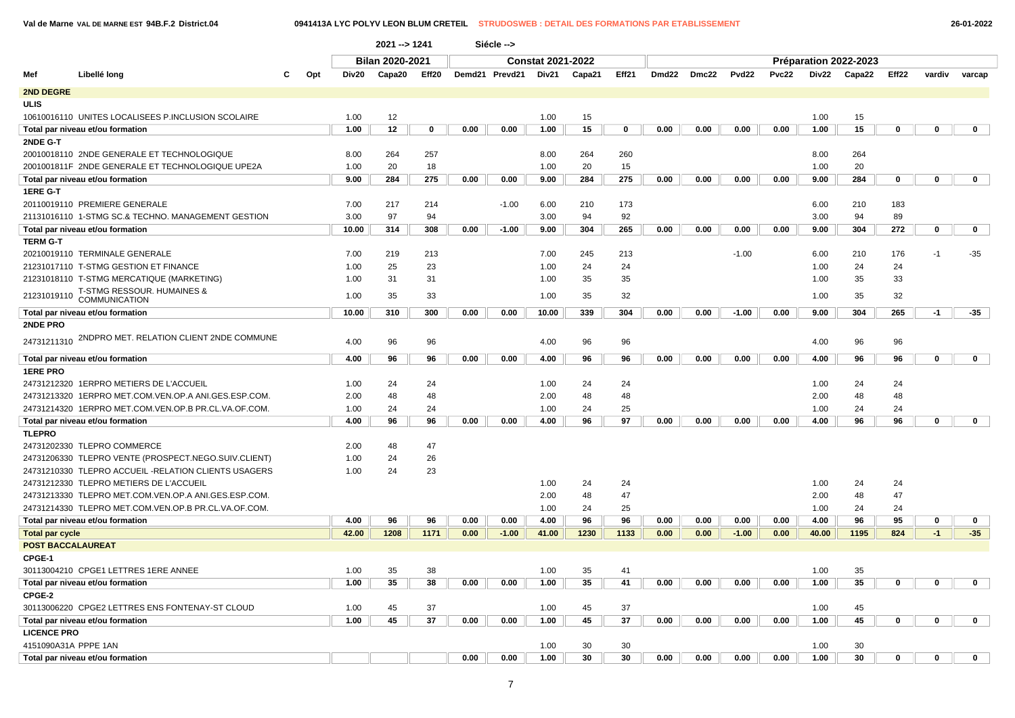**Val de Marne VAL DE MARNE EST 94B.F.2 District.04 0941413A LYC POLYV LEON BLUM CRETEIL STRUDOSWEB : DETAIL DES FORMATIONS PAR ETABLISSEMENT 26-01-2022**

|                        |                                                      |     |       | 2021 -- > 1241         |       |      | Siécle -->     |                          |        |       |       |       |                   |       |       |                       |             |             |              |
|------------------------|------------------------------------------------------|-----|-------|------------------------|-------|------|----------------|--------------------------|--------|-------|-------|-------|-------------------|-------|-------|-----------------------|-------------|-------------|--------------|
|                        |                                                      |     |       | <b>Bilan 2020-2021</b> |       |      |                | <b>Constat 2021-2022</b> |        |       |       |       |                   |       |       | Préparation 2022-2023 |             |             |              |
| Mef                    | Libellé long<br>С                                    | Opt | Div20 | Capa20                 | Eff20 |      | Demd21 Prevd21 | Div21                    | Capa21 | Eff21 | Dmd22 | Dmc22 | Pvd <sub>22</sub> | Pvc22 | Div22 | Capa22                | Eff22       | vardiv      | varcap       |
| 2ND DEGRE              |                                                      |     |       |                        |       |      |                |                          |        |       |       |       |                   |       |       |                       |             |             |              |
| <b>ULIS</b>            |                                                      |     |       |                        |       |      |                |                          |        |       |       |       |                   |       |       |                       |             |             |              |
|                        | 10610016110 UNITES LOCALISEES P.INCLUSION SCOLAIRE   |     | 1.00  | 12                     |       |      |                | 1.00                     | 15     |       |       |       |                   |       | 1.00  | 15                    |             |             |              |
|                        | Total par niveau et/ou formation                     |     | 1.00  | 12                     | 0     | 0.00 | 0.00           | 1.00                     | 15     | 0     | 0.00  | 0.00  | 0.00              | 0.00  | 1.00  | 15                    | 0           | $\mathbf 0$ | $\mathbf 0$  |
| 2NDE G-T               |                                                      |     |       |                        |       |      |                |                          |        |       |       |       |                   |       |       |                       |             |             |              |
|                        | 20010018110 2NDE GENERALE ET TECHNOLOGIQUE           |     | 8.00  | 264                    | 257   |      |                | 8.00                     | 264    | 260   |       |       |                   |       | 8.00  | 264                   |             |             |              |
|                        | 2001001811F 2NDE GENERALE ET TECHNOLOGIQUE UPE2A     |     | 1.00  | 20                     | 18    |      |                | 1.00                     | 20     | 15    |       |       |                   |       | 1.00  | 20                    |             |             |              |
|                        | Total par niveau et/ou formation                     |     | 9.00  | 284                    | 275   | 0.00 | 0.00           | 9.00                     | 284    | 275   | 0.00  | 0.00  | 0.00              | 0.00  | 9.00  | 284                   | $\mathbf 0$ | 0           | $\mathbf 0$  |
| 1ERE G-T               |                                                      |     |       |                        |       |      |                |                          |        |       |       |       |                   |       |       |                       |             |             |              |
|                        | 20110019110 PREMIERE GENERALE                        |     | 7.00  | 217                    | 214   |      | $-1.00$        | 6.00                     | 210    | 173   |       |       |                   |       | 6.00  | 210                   | 183         |             |              |
|                        | 21131016110 1-STMG SC.& TECHNO. MANAGEMENT GESTION   |     | 3.00  | 97                     | 94    |      |                | 3.00                     | 94     | 92    |       |       |                   |       | 3.00  | 94                    | 89          |             |              |
|                        | Total par niveau et/ou formation                     |     | 10.00 | 314                    | 308   | 0.00 | $-1.00$        | 9.00                     | 304    | 265   | 0.00  | 0.00  | 0.00              | 0.00  | 9.00  | 304                   | 272         | 0           | $\mathbf 0$  |
| <b>TERM G-T</b>        |                                                      |     |       |                        |       |      |                |                          |        |       |       |       |                   |       |       |                       |             |             |              |
|                        | 20210019110 TERMINALE GENERALE                       |     | 7.00  | 219                    | 213   |      |                | 7.00                     | 245    | 213   |       |       | $-1.00$           |       | 6.00  | 210                   | 176         | $-1$        | $-35$        |
|                        | 21231017110 T-STMG GESTION ET FINANCE                |     | 1.00  | 25                     | 23    |      |                | 1.00                     | 24     | 24    |       |       |                   |       | 1.00  | 24                    | 24          |             |              |
|                        | 21231018110 T-STMG MERCATIQUE (MARKETING)            |     | 1.00  | 31                     | 31    |      |                | 1.00                     | 35     | 35    |       |       |                   |       | 1.00  | 35                    | 33          |             |              |
| 21231019110            | T-STMG RESSOUR. HUMAINES &<br>COMMUNICATION          |     | 1.00  | 35                     | 33    |      |                | 1.00                     | 35     | 32    |       |       |                   |       | 1.00  | 35                    | 32          |             |              |
|                        | Total par niveau et/ou formation                     |     | 10.00 | 310                    | 300   | 0.00 | 0.00           | 10.00                    | 339    | 304   | 0.00  | 0.00  | $-1.00$           | 0.00  | 9.00  | 304                   | 265         | -1          | $-35$        |
| 2NDE PRO               |                                                      |     |       |                        |       |      |                |                          |        |       |       |       |                   |       |       |                       |             |             |              |
| 24731211310            | 2NDPRO MET. RELATION CLIENT 2NDE COMMUNE             |     | 4.00  | 96                     | 96    |      |                | 4.00                     | 96     | 96    |       |       |                   |       | 4.00  | 96                    | 96          |             |              |
|                        | Total par niveau et/ou formation                     |     | 4.00  | 96                     | 96    | 0.00 | 0.00           | 4.00                     | 96     | 96    | 0.00  | 0.00  | 0.00              | 0.00  | 4.00  | 96                    | 96          | $\mathbf 0$ | $\mathbf 0$  |
| <b>1ERE PRO</b>        |                                                      |     |       |                        |       |      |                |                          |        |       |       |       |                   |       |       |                       |             |             |              |
|                        | 24731212320 1ERPRO METIERS DE L'ACCUEIL              |     | 1.00  | 24                     | 24    |      |                | 1.00                     | 24     | 24    |       |       |                   |       | 1.00  | 24                    | 24          |             |              |
|                        | 24731213320 1ERPRO MET.COM.VEN.OP.A ANI.GES.ESP.COM. |     | 2.00  | 48                     | 48    |      |                | 2.00                     | 48     | 48    |       |       |                   |       | 2.00  | 48                    | 48          |             |              |
|                        | 24731214320 1ERPRO MET.COM.VEN.OP.B PR.CL.VA.OF.COM. |     | 1.00  | 24                     | 24    |      |                | 1.00                     | 24     | 25    |       |       |                   |       | 1.00  | 24                    | 24          |             |              |
|                        | Total par niveau et/ou formation                     |     | 4.00  | 96                     | 96    | 0.00 | 0.00           | 4.00                     | 96     | 97    | 0.00  | 0.00  | 0.00              | 0.00  | 4.00  | 96                    | 96          | $\mathbf 0$ | $\mathbf 0$  |
| <b>TLEPRO</b>          |                                                      |     |       |                        |       |      |                |                          |        |       |       |       |                   |       |       |                       |             |             |              |
|                        | 24731202330 TLEPRO COMMERCE                          |     | 2.00  | 48                     | 47    |      |                |                          |        |       |       |       |                   |       |       |                       |             |             |              |
|                        | 24731206330 TLEPRO VENTE (PROSPECT.NEGO.SUIV.CLIENT) |     | 1.00  | 24                     | 26    |      |                |                          |        |       |       |       |                   |       |       |                       |             |             |              |
|                        | 24731210330 TLEPRO ACCUEIL -RELATION CLIENTS USAGERS |     | 1.00  | 24                     | 23    |      |                |                          |        |       |       |       |                   |       |       |                       |             |             |              |
|                        | 24731212330 TLEPRO METIERS DE L'ACCUEIL              |     |       |                        |       |      |                | 1.00                     | 24     | 24    |       |       |                   |       | 1.00  | 24                    | 24          |             |              |
|                        | 24731213330 TLEPRO MET.COM.VEN.OP.A ANI.GES.ESP.COM. |     |       |                        |       |      |                | 2.00                     | 48     | 47    |       |       |                   |       | 2.00  | 48                    | 47          |             |              |
|                        | 24731214330 TLEPRO MET.COM.VEN.OP.B PR.CL.VA.OF.COM. |     |       |                        |       |      |                | 1.00                     | 24     | 25    |       |       |                   |       | 1.00  | 24                    | 24          |             |              |
|                        | Total par niveau et/ou formation                     |     | 4.00  | 96                     | 96    | 0.00 | 0.00           | 4.00                     | 96     | 96    | 0.00  | 0.00  | 0.00              | 0.00  | 4.00  | 96                    | 95          | 0           | $\mathbf 0$  |
| <b>Total par cycle</b> |                                                      |     | 42.00 | 1208                   | 1171  | 0.00 | $-1.00$        | 41.00                    | 1230   | 1133  | 0.00  | 0.00  | $-1.00$           | 0.00  | 40.00 | 1195                  | 824         | $-1$        | $-35$        |
|                        | <b>POST BACCALAUREAT</b>                             |     |       |                        |       |      |                |                          |        |       |       |       |                   |       |       |                       |             |             |              |
| CPGE-1                 |                                                      |     |       |                        |       |      |                |                          |        |       |       |       |                   |       |       |                       |             |             |              |
|                        | 30113004210 CPGE1 LETTRES 1ERE ANNEE                 |     | 1.00  | 35                     | 38    |      |                | 1.00                     | 35     | 41    |       |       |                   |       | 1.00  | 35                    |             |             |              |
|                        | Total par niveau et/ou formation                     |     | 1.00  | 35                     | 38    | 0.00 | 0.00           | 1.00                     | 35     | 41    | 0.00  | 0.00  | 0.00              | 0.00  | 1.00  | 35                    | 0           | 0           | $\mathbf 0$  |
| CPGE-2                 |                                                      |     |       |                        |       |      |                |                          |        |       |       |       |                   |       |       |                       |             |             |              |
|                        | 30113006220 CPGE2 LETTRES ENS FONTENAY-ST CLOUD      |     | 1.00  | 45                     | 37    |      |                | 1.00                     | 45     | 37    |       |       |                   |       | 1.00  | 45                    |             |             |              |
|                        | Total par niveau et/ou formation                     |     | 1.00  | 45                     | 37    | 0.00 | 0.00           | 1.00                     | 45     | 37    | 0.00  | 0.00  | 0.00              | 0.00  | 1.00  | 45                    | 0           | 0           | $\mathbf{0}$ |
| <b>LICENCE PRO</b>     |                                                      |     |       |                        |       |      |                |                          |        |       |       |       |                   |       |       |                       |             |             |              |
|                        | 4151090A31A PPPE 1AN                                 |     |       |                        |       |      |                | 1.00                     | 30     | 30    |       |       |                   |       | 1.00  | 30                    |             |             |              |
|                        | Total par niveau et/ou formation                     |     |       |                        |       | 0.00 | 0.00           | 1.00                     | 30     | 30    | 0.00  | 0.00  | 0.00              | 0.00  | 1.00  | 30                    | 0           | $\mathbf 0$ | 0            |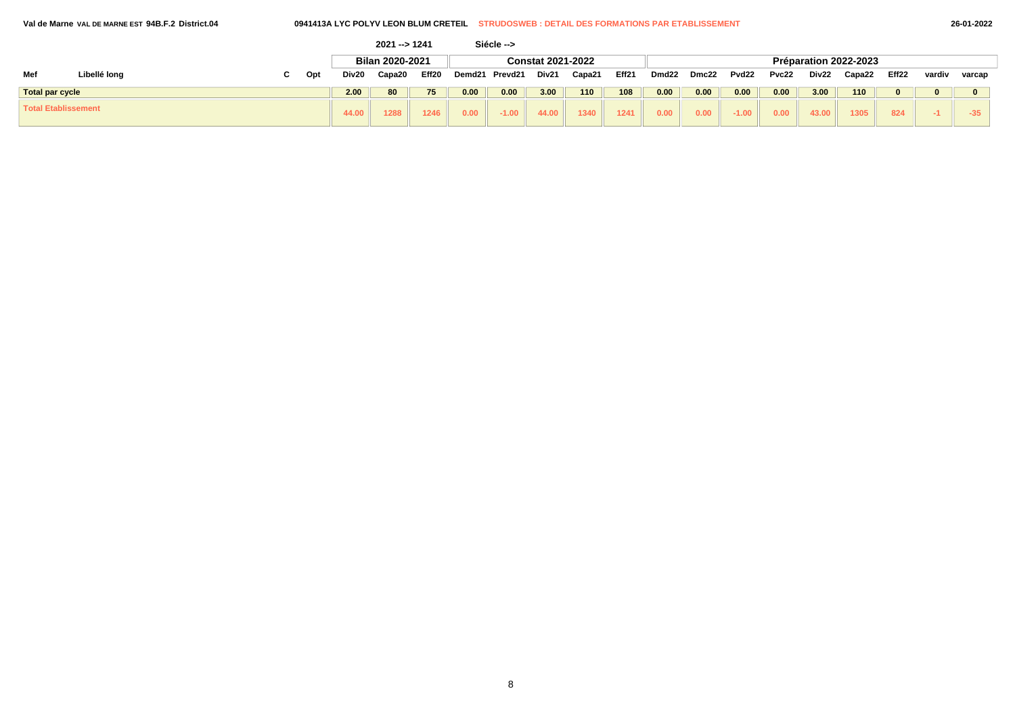|                            |              |     |       | 2021 -- > 1241  |       |                   | Siécle --> |                          |        |       |       |       |         |       |       |                       |       |        |        |
|----------------------------|--------------|-----|-------|-----------------|-------|-------------------|------------|--------------------------|--------|-------|-------|-------|---------|-------|-------|-----------------------|-------|--------|--------|
|                            |              |     |       | Bilan 2020-2021 |       |                   |            | <b>Constat 2021-2022</b> |        |       |       |       |         |       |       | Préparation 2022-2023 |       |        |        |
| Mef                        | Libellé long | Opt | Div20 | Capa20          | Eff20 | Demd21            | Prevd21    | Div21                    | Capa21 | Eff21 | Dmd22 | Dmc22 | Pvd22   | Pvc22 | Div22 | Capa22                | Eff22 | vardiv | varcap |
| <b>Total par cycle</b>     |              |     | 2.00  | 80              | 75    | 0.00              | 0.00       | 3.00                     | 110    | 108   | 0.00  | 0.00  | 0.00    | 0.00  | 3.00  | 110                   |       |        |        |
| <b>Total Etablissement</b> |              |     | 44.00 | 1288            | 1246  | 0.00 <sub>1</sub> | $-1.00$    | 44.00                    | 1340   | 1241  | 0.00  | 0.00  | $-1.00$ | 0.00  | 43.00 | 1305                  | 824   |        | $-35$  |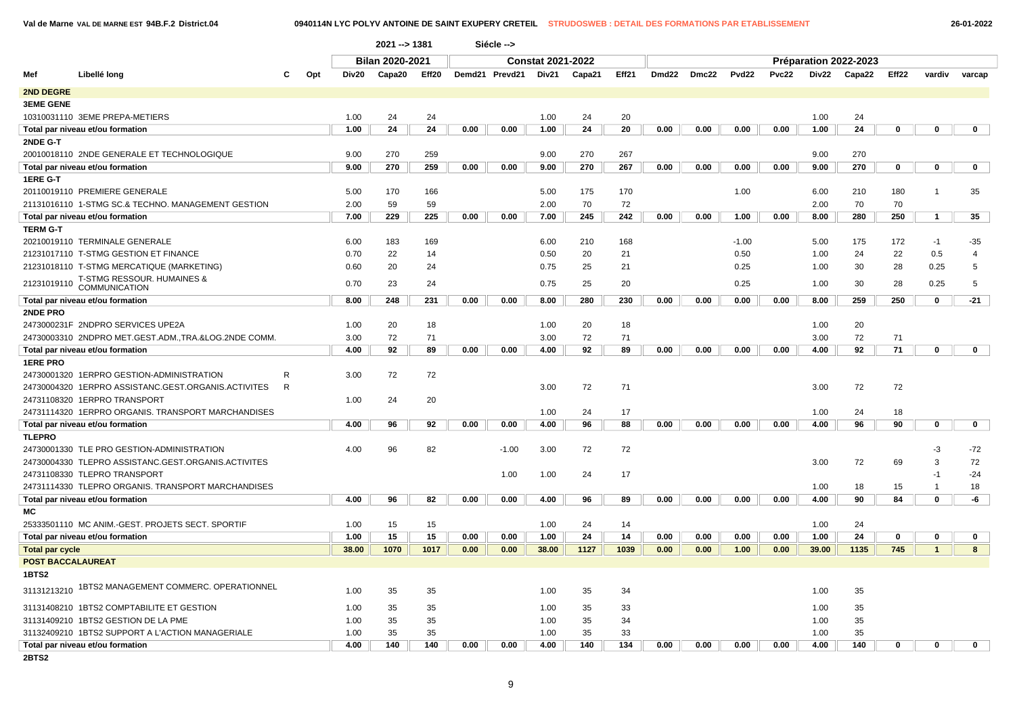$\sqrt{ }$ 

 $\sqrt{2}$ 

**Val de Marne VAL DE MARNE EST 94B.F.2 District.04 0940114N LYC POLYV ANTOINE DE SAINT EXUPERY CRETEIL STRUDOSWEB : DETAIL DES FORMATIONS PAR ETABLISSEMENT 26-01-2022**

|                        |                                                      |              |       | 2021 -- > 1381         |       |      | Siécle -->     |                          |        |       |       |       |         |       |       |                       |       |                |                |
|------------------------|------------------------------------------------------|--------------|-------|------------------------|-------|------|----------------|--------------------------|--------|-------|-------|-------|---------|-------|-------|-----------------------|-------|----------------|----------------|
|                        |                                                      |              |       | <b>Bilan 2020-2021</b> |       |      |                | <b>Constat 2021-2022</b> |        |       |       |       |         |       |       | Préparation 2022-2023 |       |                |                |
| Mef                    | Libellé long                                         | Opt<br>С     | Div20 | Capa20                 | Eff20 |      | Demd21 Prevd21 | Div21                    | Capa21 | Eff21 | Dmd22 | Dmc22 | Pvd22   | Pvc22 | Div22 | Capa22                | Eff22 | vardiv         | varcap         |
| 2ND DEGRE              |                                                      |              |       |                        |       |      |                |                          |        |       |       |       |         |       |       |                       |       |                |                |
| <b>3EME GENE</b>       |                                                      |              |       |                        |       |      |                |                          |        |       |       |       |         |       |       |                       |       |                |                |
|                        | 10310031110 3EME PREPA-METIERS                       |              | 1.00  | 24                     | 24    |      |                | 1.00                     | 24     | 20    |       |       |         |       | 1.00  | 24                    |       |                |                |
|                        | Total par niveau et/ou formation                     |              | 1.00  | 24                     | 24    | 0.00 | 0.00           | 1.00                     | 24     | 20    | 0.00  | 0.00  | 0.00    | 0.00  | 1.00  | 24                    | 0     | $\mathbf 0$    | $\mathbf 0$    |
| 2NDE G-T               |                                                      |              |       |                        |       |      |                |                          |        |       |       |       |         |       |       |                       |       |                |                |
|                        | 20010018110 2NDE GENERALE ET TECHNOLOGIQUE           |              | 9.00  | 270                    | 259   |      |                | 9.00                     | 270    | 267   |       |       |         |       | 9.00  | 270                   |       |                |                |
|                        | Total par niveau et/ou formation                     |              | 9.00  | 270                    | 259   | 0.00 | 0.00           | 9.00                     | 270    | 267   | 0.00  | 0.00  | 0.00    | 0.00  | 9.00  | 270                   | 0     | $\mathbf 0$    | $\mathbf 0$    |
| 1ERE G-T               |                                                      |              |       |                        |       |      |                |                          |        |       |       |       |         |       |       |                       |       |                |                |
|                        | 20110019110 PREMIERE GENERALE                        |              | 5.00  | 170                    | 166   |      |                | 5.00                     | 175    | 170   |       |       | 1.00    |       | 6.00  | 210                   | 180   | $\overline{1}$ | 35             |
|                        | 21131016110 1-STMG SC.& TECHNO. MANAGEMENT GESTION   |              | 2.00  | 59                     | 59    |      |                | 2.00                     | 70     | 72    |       |       |         |       | 2.00  | 70                    | 70    |                |                |
|                        | Total par niveau et/ou formation                     |              | 7.00  | 229                    | 225   | 0.00 | 0.00           | 7.00                     | 245    | 242   | 0.00  | 0.00  | 1.00    | 0.00  | 8.00  | 280                   | 250   | $\mathbf{1}$   | 35             |
| <b>TERM G-T</b>        |                                                      |              |       |                        |       |      |                |                          |        |       |       |       |         |       |       |                       |       |                |                |
|                        | 20210019110 TERMINALE GENERALE                       |              | 6.00  | 183                    | 169   |      |                | 6.00                     | 210    | 168   |       |       | $-1.00$ |       | 5.00  | 175                   | 172   | $-1$           | $-35$          |
|                        | 21231017110 T-STMG GESTION ET FINANCE                |              | 0.70  | 22                     | 14    |      |                | 0.50                     | 20     | 21    |       |       | 0.50    |       | 1.00  | 24                    | 22    | 0.5            | $\overline{4}$ |
|                        | 21231018110 T-STMG MERCATIQUE (MARKETING)            |              | 0.60  | 20                     | 24    |      |                | 0.75                     | 25     | 21    |       |       | 0.25    |       | 1.00  | 30                    | 28    | 0.25           | 5              |
|                        | 21231019110 T-STMG RESSOUR. HUMAINES &               |              | 0.70  | 23                     | 24    |      |                | 0.75                     | 25     | 20    |       |       | 0.25    |       | 1.00  | 30                    | 28    | 0.25           | 5              |
|                        | Total par niveau et/ou formation                     |              | 8.00  | 248                    | 231   | 0.00 | 0.00           | 8.00                     | 280    | 230   | 0.00  | 0.00  | 0.00    | 0.00  | 8.00  | 259                   | 250   | $\mathbf 0$    | $-21$          |
| 2NDE PRO               |                                                      |              |       |                        |       |      |                |                          |        |       |       |       |         |       |       |                       |       |                |                |
|                        | 2473000231F 2NDPRO SERVICES UPE2A                    |              | 1.00  | 20                     | 18    |      |                | 1.00                     | 20     | 18    |       |       |         |       | 1.00  | 20                    |       |                |                |
|                        | 24730003310 2NDPRO MET.GEST.ADM.,TRA.&LOG.2NDE COMM. |              | 3.00  | 72                     | 71    |      |                | 3.00                     | 72     | 71    |       |       |         |       | 3.00  | 72                    | 71    |                |                |
|                        | Total par niveau et/ou formation                     |              | 4.00  | 92                     | 89    | 0.00 | 0.00           | 4.00                     | 92     | 89    | 0.00  | 0.00  | 0.00    | 0.00  | 4.00  | 92                    | 71    | 0              | $\mathbf 0$    |
| <b>1ERE PRO</b>        |                                                      |              |       |                        |       |      |                |                          |        |       |       |       |         |       |       |                       |       |                |                |
|                        | 24730001320 1ERPRO GESTION-ADMINISTRATION            | R            | 3.00  | 72                     | 72    |      |                |                          |        |       |       |       |         |       |       |                       |       |                |                |
|                        | 24730004320 1ERPRO ASSISTANC.GEST.ORGANIS.ACTIVITES  | $\mathsf{R}$ |       |                        |       |      |                | 3.00                     | 72     | 71    |       |       |         |       | 3.00  | 72                    | 72    |                |                |
|                        | 24731108320 1ERPRO TRANSPORT                         |              | 1.00  | 24                     | 20    |      |                |                          |        |       |       |       |         |       |       |                       |       |                |                |
|                        | 24731114320 1ERPRO ORGANIS. TRANSPORT MARCHANDISES   |              |       |                        |       |      |                | 1.00                     | 24     | 17    |       |       |         |       | 1.00  | 24                    | 18    |                |                |
|                        | Total par niveau et/ou formation                     |              | 4.00  | 96                     | 92    | 0.00 | 0.00           | 4.00                     | 96     | 88    | 0.00  | 0.00  | 0.00    | 0.00  | 4.00  | 96                    | 90    | $\mathbf 0$    | $\mathbf 0$    |
| <b>TLEPRO</b>          |                                                      |              |       |                        |       |      |                |                          |        |       |       |       |         |       |       |                       |       |                |                |
|                        | 24730001330 TLE PRO GESTION-ADMINISTRATION           |              | 4.00  | 96                     | 82    |      | $-1.00$        | 3.00                     | 72     | 72    |       |       |         |       |       |                       |       | -3             | $-72$          |
|                        | 24730004330 TLEPRO ASSISTANC.GEST.ORGANIS.ACTIVITES  |              |       |                        |       |      |                |                          |        |       |       |       |         |       | 3.00  | 72                    | 69    | 3              | 72             |
|                        | 24731108330 TLEPRO TRANSPORT                         |              |       |                        |       |      | 1.00           | 1.00                     | 24     | 17    |       |       |         |       |       |                       |       | -1             | $-24$          |
|                        | 24731114330 TLEPRO ORGANIS. TRANSPORT MARCHANDISES   |              |       |                        |       |      |                |                          |        |       |       |       |         |       | 1.00  | 18                    | 15    | $\mathbf 1$    | 18             |
|                        | Total par niveau et/ou formation                     |              | 4.00  | 96                     | 82    | 0.00 | 0.00           | 4.00                     | 96     | 89    | 0.00  | 0.00  | 0.00    | 0.00  | 4.00  | 90                    | 84    | $\mathbf 0$    | -6             |
| МC                     |                                                      |              |       |                        |       |      |                |                          |        |       |       |       |         |       |       |                       |       |                |                |
|                        | 25333501110 MC ANIM.-GEST. PROJETS SECT. SPORTIF     |              | 1.00  | 15                     | 15    |      |                | 1.00                     | 24     | 14    |       |       |         |       | 1.00  | 24                    |       |                |                |
|                        | Total par niveau et/ou formation                     |              | 1.00  | 15                     | 15    | 0.00 | 0.00           | 1.00                     | 24     | 14    | 0.00  | 0.00  | 0.00    | 0.00  | 1.00  | 24                    | 0     | 0              | 0              |
| <b>Total par cycle</b> |                                                      |              | 38.00 | 1070                   | 1017  | 0.00 | 0.00           | 38.00                    | 1127   | 1039  | 0.00  | 0.00  | 1.00    | 0.00  | 39.00 | 1135                  | 745   | $\mathbf{1}$   | 8              |
|                        | <b>POST BACCALAUREAT</b>                             |              |       |                        |       |      |                |                          |        |       |       |       |         |       |       |                       |       |                |                |
| 1BTS2                  |                                                      |              |       |                        |       |      |                |                          |        |       |       |       |         |       |       |                       |       |                |                |
|                        | 31131213210 1BTS2 MANAGEMENT COMMERC. OPERATIONNEL   |              | 1.00  | 35                     | 35    |      |                | 1.00                     | 35     | 34    |       |       |         |       | 1.00  | 35                    |       |                |                |
|                        | 31131408210 1BTS2 COMPTABILITE ET GESTION            |              | 1.00  | 35                     | 35    |      |                | 1.00                     | 35     | 33    |       |       |         |       | 1.00  | 35                    |       |                |                |
|                        | 31131409210 1BTS2 GESTION DE LA PME                  |              | 1.00  | 35                     | 35    |      |                | 1.00                     | 35     | 34    |       |       |         |       | 1.00  | 35                    |       |                |                |
|                        | 31132409210 1BTS2 SUPPORT A L'ACTION MANAGERIALE     |              | 1.00  | 35                     | 35    |      |                | 1.00                     | 35     | 33    |       |       |         |       | 1.00  | 35                    |       |                |                |
|                        | Total par niveau et/ou formation                     |              | 4.00  | 140                    | 140   | 0.00 | 0.00           | 4.00                     | 140    | 134   | 0.00  | 0.00  | 0.00    | 0.00  | 4.00  | 140                   | 0     | 0              | 0              |
| <b>2BTS2</b>           |                                                      |              |       |                        |       |      |                |                          |        |       |       |       |         |       |       |                       |       |                |                |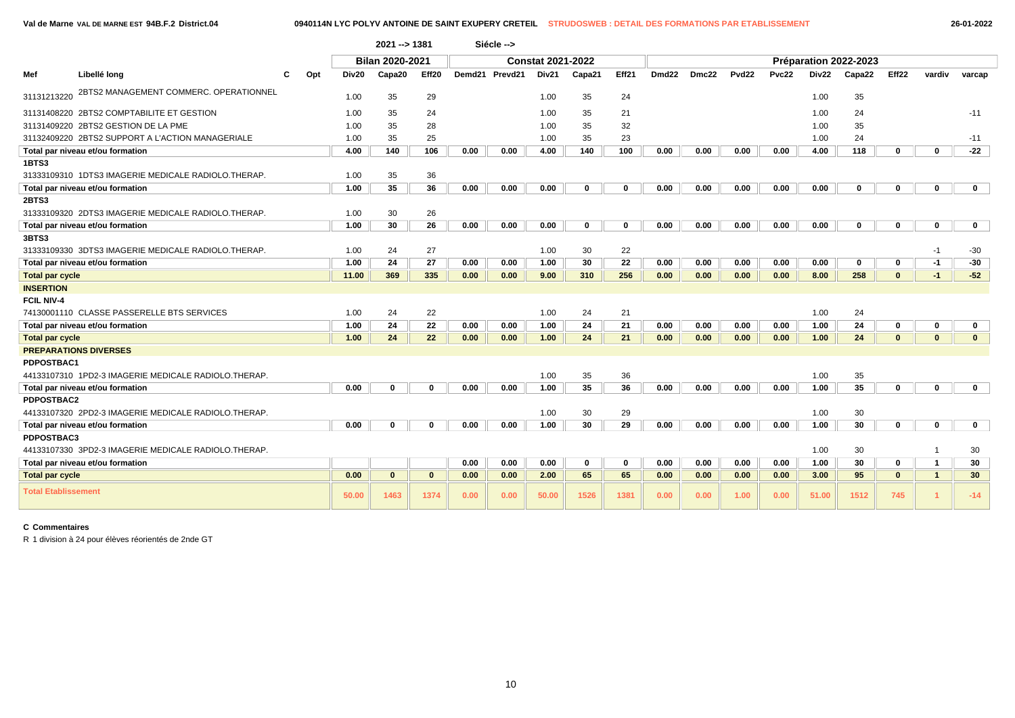|                            |                                                      |     |       | 2021 --> 1381          |                   |      | Siécle -->     |                          |              |             |       |       |       |       |       |                       |                   |                |                 |
|----------------------------|------------------------------------------------------|-----|-------|------------------------|-------------------|------|----------------|--------------------------|--------------|-------------|-------|-------|-------|-------|-------|-----------------------|-------------------|----------------|-----------------|
|                            |                                                      |     |       | <b>Bilan 2020-2021</b> |                   |      |                | <b>Constat 2021-2022</b> |              |             |       |       |       |       |       | Préparation 2022-2023 |                   |                |                 |
| Mef                        | Libellé long                                         | Opt | Div20 | Capa20                 | Eff <sub>20</sub> |      | Demd21 Prevd21 | Div21                    | Capa21       | Eff21       | Dmd22 | Dmc22 | Pvd22 | Pvc22 | Div22 | Capa22                | Eff <sub>22</sub> | vardiv         | varcap          |
| 31131213220                | 2BTS2 MANAGEMENT COMMERC. OPERATIONNEL               |     | 1.00  | 35                     | 29                |      |                | 1.00                     | 35           | 24          |       |       |       |       | 1.00  | 35                    |                   |                |                 |
|                            | 31131408220 2BTS2 COMPTABILITE ET GESTION            |     | 1.00  | 35                     | 24                |      |                | 1.00                     | 35           | 21          |       |       |       |       | 1.00  | 24                    |                   |                | $-11$           |
|                            | 31131409220 2BTS2 GESTION DE LA PME                  |     | 1.00  | 35                     | 28                |      |                | 1.00                     | 35           | 32          |       |       |       |       | 1.00  | 35                    |                   |                |                 |
|                            | 31132409220 2BTS2 SUPPORT A L'ACTION MANAGERIALE     |     | 1.00  | 35                     | 25                |      |                | 1.00                     | 35           | 23          |       |       |       |       | 1.00  | 24                    |                   |                | $-11$           |
|                            | Total par niveau et/ou formation                     |     | 4.00  | 140                    | 106               | 0.00 | 0.00           | 4.00                     | 140          | 100         | 0.00  | 0.00  | 0.00  | 0.00  | 4.00  | 118                   | 0                 | $\mathbf 0$    | $-22$           |
| 1BTS3                      |                                                      |     |       |                        |                   |      |                |                          |              |             |       |       |       |       |       |                       |                   |                |                 |
|                            | 31333109310 1DTS3 IMAGERIE MEDICALE RADIOLO.THERAP.  |     | 1.00  | 35                     | 36                |      |                |                          |              |             |       |       |       |       |       |                       |                   |                |                 |
|                            | Total par niveau et/ou formation                     |     | 1.00  | 35                     | 36                | 0.00 | 0.00           | 0.00                     | $\mathbf{0}$ | $\bf{0}$    | 0.00  | 0.00  | 0.00  | 0.00  | 0.00  | 0                     | 0                 | 0              | $\mathbf 0$     |
| 2BTS3                      |                                                      |     |       |                        |                   |      |                |                          |              |             |       |       |       |       |       |                       |                   |                |                 |
|                            | 31333109320 2DTS3 IMAGERIE MEDICALE RADIOLO.THERAP.  |     | 1.00  | 30                     | 26                |      |                |                          |              |             |       |       |       |       |       |                       |                   |                |                 |
|                            | Total par niveau et/ou formation                     |     | 1.00  | 30                     | 26                | 0.00 | 0.00           | 0.00                     | $\mathbf 0$  | $\mathbf 0$ | 0.00  | 0.00  | 0.00  | 0.00  | 0.00  | 0                     | 0                 | 0              | $\mathbf{0}$    |
| 3BTS3                      |                                                      |     |       |                        |                   |      |                |                          |              |             |       |       |       |       |       |                       |                   |                |                 |
|                            | 31333109330 3DTS3 IMAGERIE MEDICALE RADIOLO.THERAP.  |     | 1.00  | 24                     | 27                |      |                | 1.00                     | 30           | 22          |       |       |       |       |       |                       |                   | -1             | $-30$           |
|                            | Total par niveau et/ou formation                     |     | 1.00  | 24                     | 27                | 0.00 | 0.00           | 1.00                     | 30           | 22          | 0.00  | 0.00  | 0.00  | 0.00  | 0.00  | 0                     | 0                 | $-1$           | $-30$           |
| <b>Total par cycle</b>     |                                                      |     | 11.00 | 369                    | 335               | 0.00 | 0.00           | 9.00                     | 310          | 256         | 0.00  | 0.00  | 0.00  | 0.00  | 8.00  | 258                   | $\mathbf{0}$      | $-1$           | $-52$           |
| <b>INSERTION</b>           |                                                      |     |       |                        |                   |      |                |                          |              |             |       |       |       |       |       |                       |                   |                |                 |
| <b>FCIL NIV-4</b>          |                                                      |     |       |                        |                   |      |                |                          |              |             |       |       |       |       |       |                       |                   |                |                 |
|                            | 74130001110 CLASSE PASSERELLE BTS SERVICES           |     | 1.00  | 24                     | 22                |      |                | 1.00                     | 24           | 21          |       |       |       |       | 1.00  | 24                    |                   |                |                 |
|                            | Total par niveau et/ou formation                     |     | 1.00  | 24                     | 22                | 0.00 | 0.00           | 1.00                     | 24           | 21          | 0.00  | 0.00  | 0.00  | 0.00  | 1.00  | 24                    | 0                 | 0              | 0               |
| <b>Total par cycle</b>     |                                                      |     | 1.00  | 24                     | 22                | 0.00 | 0.00           | 1.00                     | 24           | 21          | 0.00  | 0.00  | 0.00  | 0.00  | 1.00  | 24                    | $\mathbf{0}$      | $\mathbf{0}$   | $\mathbf{0}$    |
|                            | <b>PREPARATIONS DIVERSES</b>                         |     |       |                        |                   |      |                |                          |              |             |       |       |       |       |       |                       |                   |                |                 |
| PDPOSTBAC1                 |                                                      |     |       |                        |                   |      |                |                          |              |             |       |       |       |       |       |                       |                   |                |                 |
|                            | 44133107310 1PD2-3 IMAGERIE MEDICALE RADIOLO.THERAP. |     |       |                        |                   |      |                | 1.00                     | 35           | 36          |       |       |       |       | 1.00  | 35                    |                   |                |                 |
|                            | Total par niveau et/ou formation                     |     | 0.00  | 0                      | $\Omega$          | 0.00 | 0.00           | 1.00                     | 35           | 36          | 0.00  | 0.00  | 0.00  | 0.00  | 1.00  | 35                    | 0                 | 0              | $\mathbf{0}$    |
| PDPOSTBAC2                 |                                                      |     |       |                        |                   |      |                |                          |              |             |       |       |       |       |       |                       |                   |                |                 |
|                            | 44133107320 2PD2-3 IMAGERIE MEDICALE RADIOLO.THERAP. |     |       |                        |                   |      |                | 1.00                     | 30           | 29          |       |       |       |       | 1.00  | 30                    |                   |                |                 |
|                            | Total par niveau et/ou formation                     |     | 0.00  | 0                      | $\Omega$          | 0.00 | 0.00           | 1.00                     | 30           | 29          | 0.00  | 0.00  | 0.00  | 0.00  | 1.00  | 30                    | 0                 | 0              | $\mathbf{0}$    |
| PDPOSTBAC3                 |                                                      |     |       |                        |                   |      |                |                          |              |             |       |       |       |       |       |                       |                   |                |                 |
|                            | 44133107330 3PD2-3 IMAGERIE MEDICALE RADIOLO.THERAP. |     |       |                        |                   |      |                |                          |              |             |       |       |       |       | 1.00  | 30                    |                   |                | 30              |
|                            | Total par niveau et/ou formation                     |     |       |                        |                   | 0.00 | 0.00           | 0.00                     | 0            | $\mathbf 0$ | 0.00  | 0.00  | 0.00  | 0.00  | 1.00  | 30                    | 0                 | -1             | 30              |
| <b>Total par cycle</b>     |                                                      |     | 0.00  | $\mathbf{0}$           | $\mathbf{0}$      | 0.00 | 0.00           | 2.00                     | 65           | 65          | 0.00  | 0.00  | 0.00  | 0.00  | 3.00  | 95                    | $\mathbf{0}$      | $\overline{1}$ | 30 <sup>°</sup> |
| <b>Total Etablissement</b> |                                                      |     | 50.00 | 1463                   | 1374              | 0.00 | 0.00           | 50.00                    | 1526         | 1381        | 0.00  | 0.00  | 1.00  | 0.00  | 51.00 | 1512                  | 745               |                | $-14$           |

## **C Commentaires**

R 1 division à 24 pour élèves réorientés de 2nde GT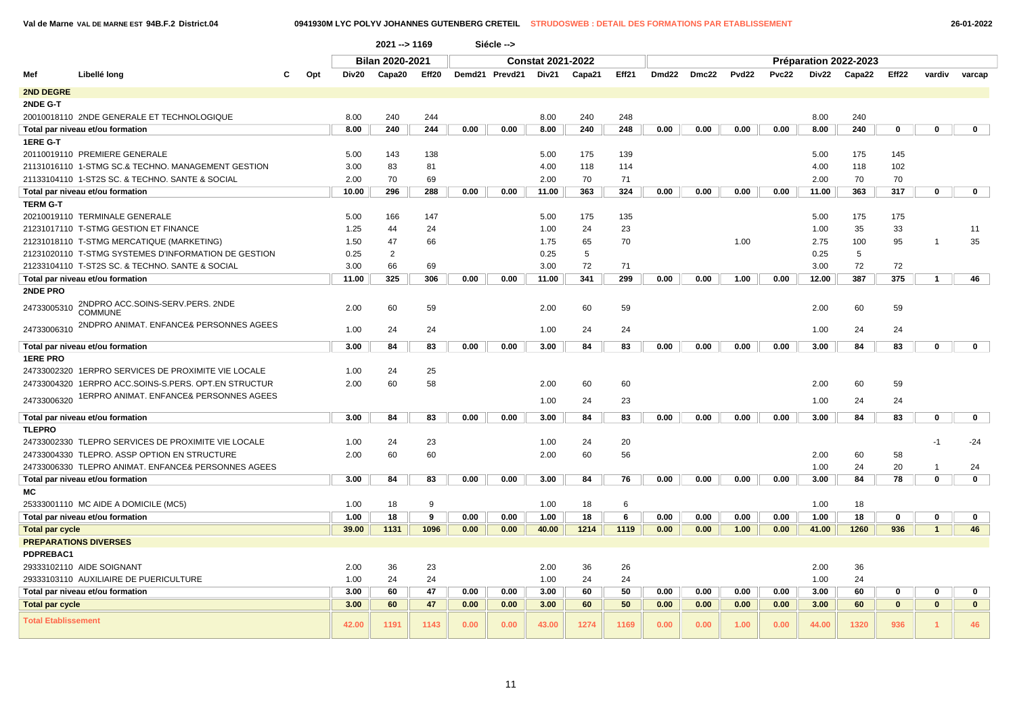$\sqrt{2}$ 

**Val de Marne VAL DE MARNE EST 94B.F.2 District.04 0941930M LYC POLYV JOHANNES GUTENBERG CRETEIL STRUDOSWEB : DETAIL DES FORMATIONS PAR ETABLISSEMENT 26-01-2022**

|                            |                                                                          |     |              | 2021 --> 1169          |        |      | Siécle -->     |                          |           |           |       |       |       |              |              |                       |              |                |              |
|----------------------------|--------------------------------------------------------------------------|-----|--------------|------------------------|--------|------|----------------|--------------------------|-----------|-----------|-------|-------|-------|--------------|--------------|-----------------------|--------------|----------------|--------------|
|                            |                                                                          |     |              | <b>Bilan 2020-2021</b> |        |      |                | <b>Constat 2021-2022</b> |           |           |       |       |       |              |              | Préparation 2022-2023 |              |                |              |
| Mef                        | Libellé long<br>С                                                        | Opt | Div20        | Capa20                 | Eff20  |      | Demd21 Prevd21 | Div21                    | Capa21    | Eff21     | Dmd22 | Dmc22 | Pvd22 | <b>Pvc22</b> | Div22        | Capa22                | Eff22        | vardiv         | varcap       |
| 2ND DEGRE                  |                                                                          |     |              |                        |        |      |                |                          |           |           |       |       |       |              |              |                       |              |                |              |
| 2NDE G-T                   |                                                                          |     |              |                        |        |      |                |                          |           |           |       |       |       |              |              |                       |              |                |              |
|                            | 20010018110 2NDE GENERALE ET TECHNOLOGIQUE                               |     | 8.00         | 240                    | 244    |      |                | 8.00                     | 240       | 248       |       |       |       |              | 8.00         | 240                   |              |                |              |
|                            | Total par niveau et/ou formation                                         |     | 8.00         | 240                    | 244    | 0.00 | 0.00           | 8.00                     | 240       | 248       | 0.00  | 0.00  | 0.00  | 0.00         | 8.00         | 240                   | $\mathbf 0$  | $\mathbf 0$    | $\mathbf 0$  |
| 1ERE G-T                   |                                                                          |     |              |                        |        |      |                |                          |           |           |       |       |       |              |              |                       |              |                |              |
|                            | 20110019110 PREMIERE GENERALE                                            |     | 5.00         | 143                    | 138    |      |                | 5.00                     | 175       | 139       |       |       |       |              | 5.00         | 175                   | 145          |                |              |
|                            | 21131016110 1-STMG SC.& TECHNO. MANAGEMENT GESTION                       |     | 3.00         | 83                     | 81     |      |                | 4.00                     | 118       | 114       |       |       |       |              | 4.00         | 118                   | 102          |                |              |
|                            | 21133104110 1-ST2S SC. & TECHNO. SANTE & SOCIAL                          |     | 2.00         | 70                     | 69     |      |                | 2.00                     | 70        | 71        |       |       |       |              | 2.00         | 70                    | 70           |                |              |
|                            | Total par niveau et/ou formation                                         |     | 10.00        | 296                    | 288    | 0.00 | 0.00           | 11.00                    | 363       | 324       | 0.00  | 0.00  | 0.00  | 0.00         | 11.00        | 363                   | 317          | $\mathbf 0$    | $\mathbf 0$  |
| <b>TERM G-T</b>            |                                                                          |     |              |                        |        |      |                |                          |           |           |       |       |       |              |              |                       |              |                |              |
|                            | 20210019110 TERMINALE GENERALE                                           |     | 5.00         | 166                    | 147    |      |                | 5.00                     | 175       | 135       |       |       |       |              | 5.00         | 175                   | 175          |                |              |
|                            | 21231017110 T-STMG GESTION ET FINANCE                                    |     | 1.25         | 44                     | 24     |      |                | 1.00                     | 24        | 23        |       |       |       |              | 1.00         | 35                    | 33           |                | 11           |
|                            | 21231018110 T-STMG MERCATIQUE (MARKETING)                                |     | 1.50         | 47                     | 66     |      |                | 1.75                     | 65        | 70        |       |       | 1.00  |              | 2.75         | 100                   | 95           | $\overline{1}$ | 35           |
|                            | 21231020110 T-STMG SYSTEMES D'INFORMATION DE GESTION                     |     | 0.25         | $\overline{2}$         |        |      |                | 0.25                     | 5         |           |       |       |       |              | 0.25         | 5                     |              |                |              |
|                            | 21233104110 T-ST2S SC. & TECHNO. SANTE & SOCIAL                          |     | 3.00         | 66<br>325              | 69     |      |                | 3.00                     | 72<br>341 | 71<br>299 | 0.00  |       |       |              | 3.00         | 72<br>387             | 72<br>375    | $\mathbf{1}$   |              |
| 2NDE PRO                   | Total par niveau et/ou formation                                         |     | 11.00        |                        | 306    | 0.00 | 0.00           | 11.00                    |           |           |       | 0.00  | 1.00  | 0.00         | 12.00        |                       |              |                | 46           |
|                            | 2NDPRO ACC.SOINS-SERV.PERS. 2NDE                                         |     |              |                        |        |      |                |                          |           |           |       |       |       |              |              |                       |              |                |              |
| 24733005310                | <b>COMMUNE</b>                                                           |     | 2.00         | 60                     | 59     |      |                | 2.00                     | 60        | 59        |       |       |       |              | 2.00         | 60                    | 59           |                |              |
| 24733006310                | 2NDPRO ANIMAT. ENFANCE& PERSONNES AGEES                                  |     | 1.00         | 24                     | 24     |      |                | 1.00                     | 24        | 24        |       |       |       |              | 1.00         | 24                    | 24           |                |              |
|                            | Total par niveau et/ou formation                                         |     | 3.00         | 84                     | 83     | 0.00 | 0.00           | 3.00                     | 84        | 83        | 0.00  | 0.00  | 0.00  | 0.00         | 3.00         | 84                    | 83           | $\mathbf 0$    | $\mathbf 0$  |
| <b>1ERE PRO</b>            |                                                                          |     |              |                        |        |      |                |                          |           |           |       |       |       |              |              |                       |              |                |              |
|                            | 24733002320 1ERPRO SERVICES DE PROXIMITE VIE LOCALE                      |     | 1.00         | 24                     | 25     |      |                |                          |           |           |       |       |       |              |              |                       |              |                |              |
|                            | 24733004320 1ERPRO ACC.SOINS-S.PERS. OPT.EN STRUCTUR                     |     | 2.00         | 60                     | 58     |      |                | 2.00                     | 60        | 60        |       |       |       |              | 2.00         | 60                    | 59           |                |              |
| 24733006320                | 1ERPRO ANIMAT. ENFANCE& PERSONNES AGEES                                  |     |              |                        |        |      |                | 1.00                     | 24        | 23        |       |       |       |              | 1.00         | 24                    | 24           |                |              |
|                            | Total par niveau et/ou formation                                         |     | 3.00         | 84                     | 83     | 0.00 | 0.00           | 3.00                     | 84        | 83        | 0.00  | 0.00  | 0.00  | 0.00         | 3.00         | 84                    | 83           | $\mathbf 0$    | $\mathbf 0$  |
| <b>TLEPRO</b>              |                                                                          |     |              |                        |        |      |                |                          |           |           |       |       |       |              |              |                       |              |                |              |
|                            | 24733002330 TLEPRO SERVICES DE PROXIMITE VIE LOCALE                      |     | 1.00         | 24                     | 23     |      |                | 1.00                     | 24        | 20        |       |       |       |              |              |                       |              | $-1$           | $-24$        |
|                            | 24733004330 TLEPRO. ASSP OPTION EN STRUCTURE                             |     | 2.00         | 60                     | 60     |      |                | 2.00                     | 60        | 56        |       |       |       |              | 2.00         | 60                    | 58           |                |              |
|                            | 24733006330 TLEPRO ANIMAT. ENFANCE& PERSONNES AGEES                      |     |              |                        |        |      |                |                          |           |           |       |       |       |              | 1.00         | 24                    | 20           | $\mathbf{1}$   | 24           |
|                            | Total par niveau et/ou formation                                         |     | 3.00         | 84                     | 83     | 0.00 | 0.00           | 3.00                     | 84        | 76        | 0.00  | 0.00  | 0.00  | 0.00         | 3.00         | 84                    | 78           | $\mathbf 0$    | $\mathbf 0$  |
| МC                         |                                                                          |     |              |                        |        |      |                |                          |           |           |       |       |       |              |              |                       |              |                |              |
|                            | 25333001110 MC AIDE A DOMICILE (MC5)<br>Total par niveau et/ou formation |     | 1.00<br>1.00 | 18<br>18               | 9<br>9 | 0.00 | 0.00           | 1.00<br>1.00             | 18<br>18  | 6<br>6    | 0.00  | 0.00  | 0.00  | 0.00         | 1.00<br>1.00 | 18<br>18              | $\mathbf 0$  | $\mathbf 0$    | $\mathbf 0$  |
| <b>Total par cycle</b>     |                                                                          |     | 39.00        | 1131                   | 1096   | 0.00 | 0.00           | 40.00                    | 1214      | 1119      | 0.00  | 0.00  | 1.00  | 0.00         | 41.00        | 1260                  | 936          | $\mathbf{1}$   | 46           |
|                            | <b>PREPARATIONS DIVERSES</b>                                             |     |              |                        |        |      |                |                          |           |           |       |       |       |              |              |                       |              |                |              |
| PDPREBAC1                  |                                                                          |     |              |                        |        |      |                |                          |           |           |       |       |       |              |              |                       |              |                |              |
|                            | 29333102110 AIDE SOIGNANT                                                |     | 2.00         | 36                     | 23     |      |                | 2.00                     | 36        | 26        |       |       |       |              | 2.00         | 36                    |              |                |              |
|                            | 29333103110 AUXILIAIRE DE PUERICULTURE                                   |     | 1.00         | 24                     | 24     |      |                | 1.00                     | 24        | 24        |       |       |       |              | 1.00         | 24                    |              |                |              |
|                            | Total par niveau et/ou formation                                         |     | 3.00         | 60                     | 47     | 0.00 | 0.00           | 3.00                     | 60        | 50        | 0.00  | 0.00  | 0.00  | 0.00         | 3.00         | 60                    | 0            | 0              | 0            |
| <b>Total par cycle</b>     |                                                                          |     | 3.00         | 60                     | 47     | 0.00 | 0.00           | 3.00                     | 60        | 50        | 0.00  | 0.00  | 0.00  | 0.00         | 3.00         | 60                    | $\mathbf{0}$ | $\mathbf{0}$   | $\mathbf{0}$ |
| <b>Total Etablissement</b> |                                                                          |     | 42.00        | 1191                   | 1143   | 0.00 | 0.00           | 43.00                    | 1274      | 1169      | 0.00  | 0.00  | 1.00  | 0.00         | 44.00        | 1320                  | 936          |                | 46           |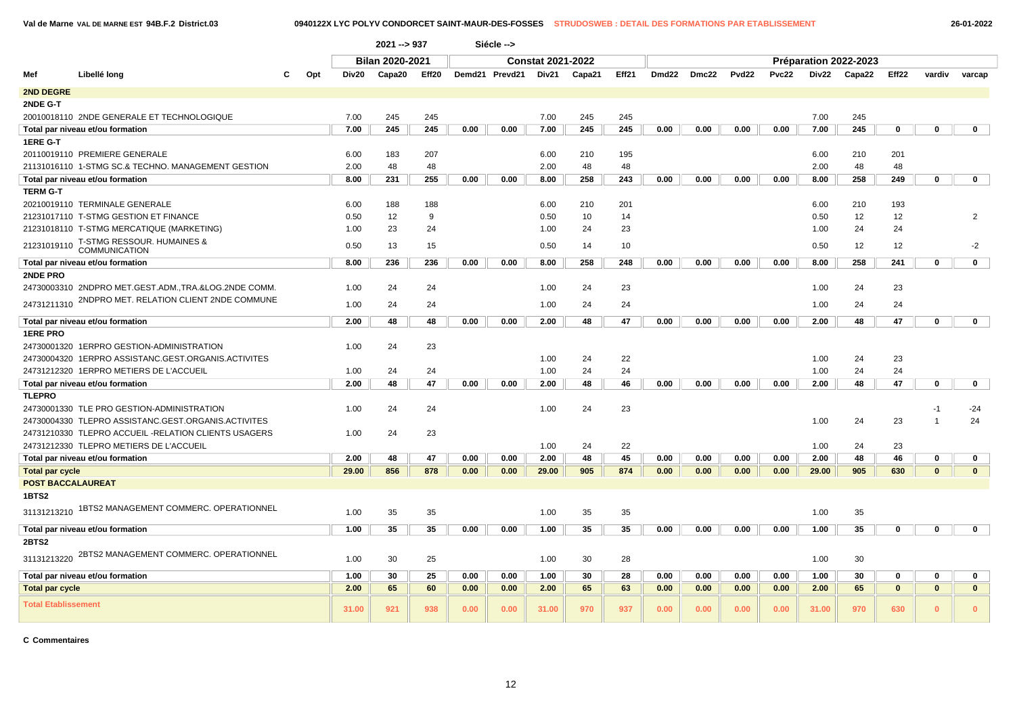**Val de Marne VAL DE MARNE EST 94B.F.2 District.03 0940122X LYC POLYV CONDORCET SAINT-MAUR-DES-FOSSES STRUDOSWEB : DETAIL DES FORMATIONS PAR ETABLISSEMENT 26-01-2022**

|                            |                                                      |     |       | 2021 -- > 937   |                   |      | Siécle -->     |                          |        |       |                   |       |              |              |       |                       |                   |                |                |
|----------------------------|------------------------------------------------------|-----|-------|-----------------|-------------------|------|----------------|--------------------------|--------|-------|-------------------|-------|--------------|--------------|-------|-----------------------|-------------------|----------------|----------------|
|                            |                                                      |     |       | Bilan 2020-2021 |                   |      |                | <b>Constat 2021-2022</b> |        |       |                   |       |              |              |       | Préparation 2022-2023 |                   |                |                |
| Mef                        | Libellé long                                         | Opt | Div20 | Capa20          | Eff <sub>20</sub> |      | Demd21 Prevd21 | Div21                    | Capa21 | Eff21 | Dmd <sub>22</sub> | Dmc22 | <b>Pvd22</b> | <b>Pvc22</b> | Div22 | Capa22                | Eff <sub>22</sub> | vardiv         | varcap         |
| <b>2ND DEGRE</b>           |                                                      |     |       |                 |                   |      |                |                          |        |       |                   |       |              |              |       |                       |                   |                |                |
| 2NDE G-T                   |                                                      |     |       |                 |                   |      |                |                          |        |       |                   |       |              |              |       |                       |                   |                |                |
|                            | 20010018110 2NDE GENERALE ET TECHNOLOGIQUE           |     | 7.00  | 245             | 245               |      |                | 7.00                     | 245    | 245   |                   |       |              |              | 7.00  | 245                   |                   |                |                |
|                            | Total par niveau et/ou formation                     |     | 7.00  | 245             | 245               | 0.00 | 0.00           | 7.00                     | 245    | 245   | 0.00              | 0.00  | 0.00         | 0.00         | 7.00  | 245                   | 0                 | $\mathbf 0$    | $\mathbf 0$    |
| 1ERE G-T                   |                                                      |     |       |                 |                   |      |                |                          |        |       |                   |       |              |              |       |                       |                   |                |                |
|                            | 20110019110 PREMIERE GENERALE                        |     | 6.00  | 183             | 207               |      |                | 6.00                     | 210    | 195   |                   |       |              |              | 6.00  | 210                   | 201               |                |                |
|                            | 21131016110 1-STMG SC.& TECHNO. MANAGEMENT GESTION   |     | 2.00  | 48              | 48                |      |                | 2.00                     | 48     | 48    |                   |       |              |              | 2.00  | 48                    | 48                |                |                |
|                            | Total par niveau et/ou formation                     |     | 8.00  | 231             | 255               | 0.00 | 0.00           | 8.00                     | 258    | 243   | 0.00              | 0.00  | 0.00         | 0.00         | 8.00  | 258                   | 249               | $\mathbf 0$    | $\mathbf 0$    |
| <b>TERM G-T</b>            |                                                      |     |       |                 |                   |      |                |                          |        |       |                   |       |              |              |       |                       |                   |                |                |
|                            | 20210019110 TERMINALE GENERALE                       |     | 6.00  | 188             | 188               |      |                | 6.00                     | 210    | 201   |                   |       |              |              | 6.00  | 210                   | 193               |                |                |
|                            | 21231017110 T-STMG GESTION ET FINANCE                |     | 0.50  | 12              | 9                 |      |                | 0.50                     | 10     | 14    |                   |       |              |              | 0.50  | 12                    | 12                |                | $\overline{2}$ |
|                            | 21231018110 T-STMG MERCATIQUE (MARKETING)            |     | 1.00  | 23              | 24                |      |                | 1.00                     | 24     | 23    |                   |       |              |              | 1.00  | 24                    | 24                |                |                |
| 21231019110                | T-STMG RESSOUR. HUMAINES &<br>COMMUNICATION          |     | 0.50  | 13              | 15                |      |                | 0.50                     | 14     | 10    |                   |       |              |              | 0.50  | 12                    | 12                |                | $-2$           |
|                            | Total par niveau et/ou formation                     |     | 8.00  | 236             | 236               | 0.00 | 0.00           | 8.00                     | 258    | 248   | 0.00              | 0.00  | 0.00         | 0.00         | 8.00  | 258                   | 241               | $\mathbf 0$    | $\mathbf 0$    |
| 2NDE PRO                   |                                                      |     |       |                 |                   |      |                |                          |        |       |                   |       |              |              |       |                       |                   |                |                |
|                            | 24730003310 2NDPRO MET.GEST.ADM.,TRA.&LOG.2NDE COMM  |     | 1.00  | 24              | 24                |      |                | 1.00                     | 24     | 23    |                   |       |              |              | 1.00  | 24                    | 23                |                |                |
| 24731211310                | 2NDPRO MET. RELATION CLIENT 2NDE COMMUNE             |     | 1.00  | 24              | 24                |      |                | 1.00                     | 24     | 24    |                   |       |              |              | 1.00  | 24                    | 24                |                |                |
|                            | Total par niveau et/ou formation                     |     | 2.00  | 48              | 48                | 0.00 | 0.00           | 2.00                     | 48     | 47    | 0.00              | 0.00  | 0.00         | 0.00         | 2.00  | 48                    | 47                | $\mathbf 0$    | $\mathbf{0}$   |
| <b>1ERE PRO</b>            |                                                      |     |       |                 |                   |      |                |                          |        |       |                   |       |              |              |       |                       |                   |                |                |
|                            | 24730001320 1ERPRO GESTION-ADMINISTRATION            |     | 1.00  | 24              | 23                |      |                |                          |        |       |                   |       |              |              |       |                       |                   |                |                |
|                            | 24730004320 1ERPRO ASSISTANC.GEST.ORGANIS.ACTIVITES  |     |       |                 |                   |      |                | 1.00                     | 24     | 22    |                   |       |              |              | 1.00  | 24                    | 23                |                |                |
|                            | 24731212320 1ERPRO METIERS DE L'ACCUEIL              |     | 1.00  | 24              | 24                |      |                | 1.00                     | 24     | 24    |                   |       |              |              | 1.00  | 24                    | 24                |                |                |
|                            | Total par niveau et/ou formation                     |     | 2.00  | 48              | 47                | 0.00 | 0.00           | 2.00                     | 48     | 46    | 0.00              | 0.00  | 0.00         | 0.00         | 2.00  | 48                    | 47                | $\mathbf 0$    | $\mathbf 0$    |
| <b>TLEPRO</b>              |                                                      |     |       |                 |                   |      |                |                          |        |       |                   |       |              |              |       |                       |                   |                |                |
|                            | 24730001330 TLE PRO GESTION-ADMINISTRATION           |     | 1.00  | 24              | 24                |      |                | 1.00                     | 24     | 23    |                   |       |              |              |       |                       |                   | $-1$           | $-24$          |
|                            | 24730004330 TLEPRO ASSISTANC.GEST.ORGANIS.ACTIVITES  |     |       |                 |                   |      |                |                          |        |       |                   |       |              |              | 1.00  | 24                    | 23                | $\overline{1}$ | 24             |
|                            | 24731210330 TLEPRO ACCUEIL -RELATION CLIENTS USAGERS |     | 1.00  | 24              | 23                |      |                |                          |        |       |                   |       |              |              |       |                       |                   |                |                |
|                            | 24731212330 TLEPRO METIERS DE L'ACCUEIL              |     |       |                 |                   |      |                | 1.00                     | 24     | 22    |                   |       |              |              | 1.00  | 24                    | 23                |                |                |
|                            | Total par niveau et/ou formation                     |     | 2.00  | 48              | 47                | 0.00 | 0.00           | 2.00                     | 48     | 45    | 0.00              | 0.00  | 0.00         | 0.00         | 2.00  | 48                    | 46                | $\mathbf 0$    | $\mathbf 0$    |
| <b>Total par cycle</b>     |                                                      |     | 29.00 | 856             | 878               | 0.00 | 0.00           | 29.00                    | 905    | 874   | 0.00              | 0.00  | 0.00         | 0.00         | 29.00 | 905                   | 630               | $\mathbf{0}$   | $\mathbf{0}$   |
| <b>POST BACCALAUREAT</b>   |                                                      |     |       |                 |                   |      |                |                          |        |       |                   |       |              |              |       |                       |                   |                |                |
| <b>1BTS2</b>               |                                                      |     |       |                 |                   |      |                |                          |        |       |                   |       |              |              |       |                       |                   |                |                |
| 31131213210                | 1BTS2 MANAGEMENT COMMERC. OPERATIONNEL               |     | 1.00  | 35              | 35                |      |                | 1.00                     | 35     | 35    |                   |       |              |              | 1.00  | 35                    |                   |                |                |
|                            | Total par niveau et/ou formation                     |     | 1.00  | 35              | 35                | 0.00 | 0.00           | 1.00                     | 35     | 35    | 0.00              | 0.00  | 0.00         | 0.00         | 1.00  | 35                    | 0                 | 0              | $\mathbf 0$    |
| 2BTS2                      |                                                      |     |       |                 |                   |      |                |                          |        |       |                   |       |              |              |       |                       |                   |                |                |
| 31131213220                | 2BTS2 MANAGEMENT COMMERC. OPERATIONNEL               |     | 1.00  | 30              | 25                |      |                | 1.00                     | 30     | 28    |                   |       |              |              | 1.00  | 30                    |                   |                |                |
|                            | Total par niveau et/ou formation                     |     | 1.00  | 30              | 25                | 0.00 | 0.00           | 1.00                     | 30     | 28    | 0.00              | 0.00  | 0.00         | 0.00         | 1.00  | 30                    | $\mathbf 0$       | $\mathbf 0$    | 0              |
| <b>Total par cycle</b>     |                                                      |     | 2.00  | 65              | 60                | 0.00 | 0.00           | 2.00                     | 65     | 63    | 0.00              | 0.00  | 0.00         | 0.00         | 2.00  | 65                    | $\mathbf{0}$      | $\mathbf{0}$   | $\mathbf{0}$   |
| <b>Total Etablissement</b> |                                                      |     | 31.00 | 921             | 938               | 0.00 | 0.00           | 31.00                    | 970    | 937   | 0.00              | 0.00  | 0.00         | 0.00         | 31.00 | 970                   | 630               | $\bf{0}$       | $\Omega$       |

**C Commentaires**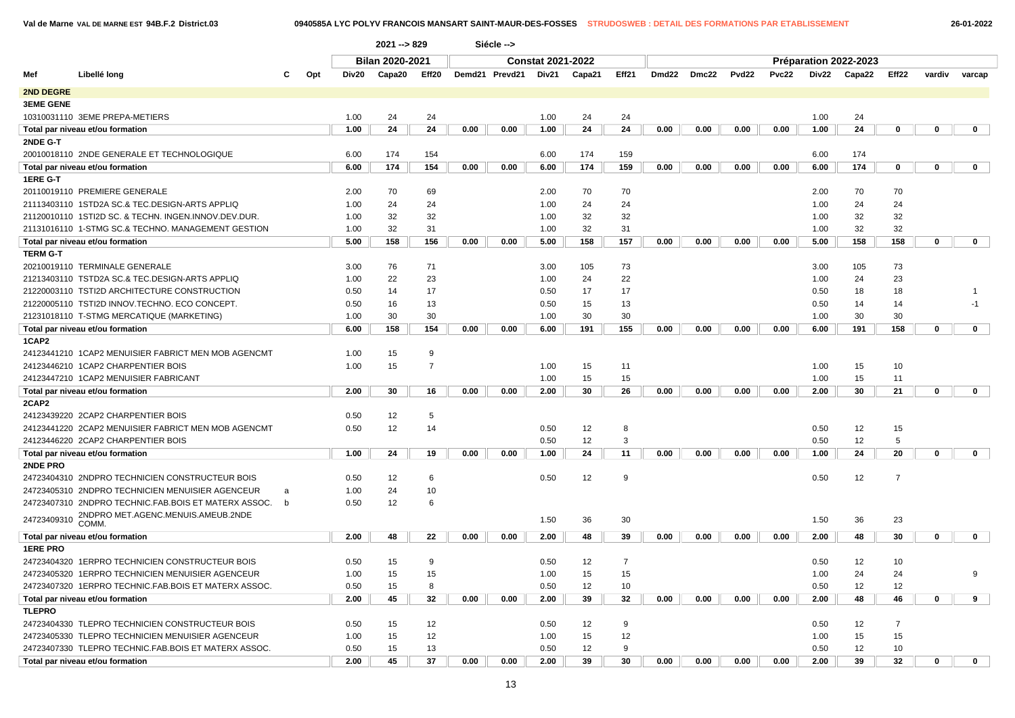|                  |                                                        |     |       | 2021 -- > 829          |                |      | Siécle -->     |                          |        |       |       |       |       |       |      |                       |                   |             |              |
|------------------|--------------------------------------------------------|-----|-------|------------------------|----------------|------|----------------|--------------------------|--------|-------|-------|-------|-------|-------|------|-----------------------|-------------------|-------------|--------------|
|                  |                                                        |     |       | <b>Bilan 2020-2021</b> |                |      |                | <b>Constat 2021-2022</b> |        |       |       |       |       |       |      | Préparation 2022-2023 |                   |             |              |
| Mef              | Libellé long                                           | Opt | Div20 | Capa20                 | Eff20          |      | Demd21 Prevd21 | Div21                    | Capa21 | Eff21 | Dmd22 | Dmc22 | Pvd22 | Pvc22 |      | Div22 Capa22          | Eff <sub>22</sub> | vardiv      | varcap       |
| <b>2ND DEGRE</b> |                                                        |     |       |                        |                |      |                |                          |        |       |       |       |       |       |      |                       |                   |             |              |
| <b>3EME GENE</b> |                                                        |     |       |                        |                |      |                |                          |        |       |       |       |       |       |      |                       |                   |             |              |
|                  | 10310031110 3EME PREPA-METIERS                         |     | 1.00  | 24                     | 24             |      |                | 1.00                     | 24     | 24    |       |       |       |       | 1.00 | 24                    |                   |             |              |
|                  | Total par niveau et/ou formation                       |     | 1.00  | 24                     | 24             | 0.00 | 0.00           | 1.00                     | 24     | 24    | 0.00  | 0.00  | 0.00  | 0.00  | 1.00 | 24                    | 0                 | $\mathbf 0$ | $\mathbf 0$  |
| 2NDE G-T         |                                                        |     |       |                        |                |      |                |                          |        |       |       |       |       |       |      |                       |                   |             |              |
|                  | 20010018110 2NDE GENERALE ET TECHNOLOGIQUE             |     | 6.00  | 174                    | 154            |      |                | 6.00                     | 174    | 159   |       |       |       |       | 6.00 | 174                   |                   |             |              |
|                  | Total par niveau et/ou formation                       |     | 6.00  | 174                    | 154            | 0.00 | 0.00           | 6.00                     | 174    | 159   | 0.00  | 0.00  | 0.00  | 0.00  | 6.00 | 174                   | $\mathbf 0$       | $\mathbf 0$ | $\mathbf{0}$ |
| 1ERE G-T         |                                                        |     |       |                        |                |      |                |                          |        |       |       |       |       |       |      |                       |                   |             |              |
|                  | 20110019110 PREMIERE GENERALE                          |     | 2.00  | 70                     | 69             |      |                | 2.00                     | 70     | 70    |       |       |       |       | 2.00 | 70                    | 70                |             |              |
|                  | 21113403110 1STD2A SC.& TEC.DESIGN-ARTS APPLIQ         |     | 1.00  | 24                     | 24             |      |                | 1.00                     | 24     | 24    |       |       |       |       | 1.00 | 24                    | 24                |             |              |
|                  | 21120010110 1STI2D SC. & TECHN. INGEN.INNOV.DEV.DUR.   |     | 1.00  | 32                     | 32             |      |                | 1.00                     | 32     | 32    |       |       |       |       | 1.00 | 32                    | 32                |             |              |
|                  | 21131016110 1-STMG SC.& TECHNO. MANAGEMENT GESTION     |     | 1.00  | 32                     | 31             |      |                | 1.00                     | 32     | 31    |       |       |       |       | 1.00 | 32                    | 32                |             |              |
|                  | Total par niveau et/ou formation                       |     | 5.00  | 158                    | 156            | 0.00 | 0.00           | 5.00                     | 158    | 157   | 0.00  | 0.00  | 0.00  | 0.00  | 5.00 | 158                   | 158               | $\mathbf 0$ | $\mathbf 0$  |
| <b>TERM G-T</b>  |                                                        |     |       |                        |                |      |                |                          |        |       |       |       |       |       |      |                       |                   |             |              |
|                  | 20210019110 TERMINALE GENERALE                         |     | 3.00  | 76                     | 71             |      |                | 3.00                     | 105    | 73    |       |       |       |       | 3.00 | 105                   | 73                |             |              |
|                  | 21213403110 TSTD2A SC.& TEC.DESIGN-ARTS APPLIQ         |     | 1.00  | 22                     | 23             |      |                | 1.00                     | 24     | 22    |       |       |       |       | 1.00 | 24                    | 23                |             |              |
|                  | 21220003110 TSTI2D ARCHITECTURE CONSTRUCTION           |     | 0.50  | 14                     | 17             |      |                | 0.50                     | 17     | 17    |       |       |       |       | 0.50 | 18                    | 18                |             |              |
|                  | 21220005110 TSTI2D INNOV.TECHNO, ECO CONCEPT.          |     | 0.50  | 16                     | 13             |      |                | 0.50                     | 15     | 13    |       |       |       |       | 0.50 | 14                    | 14                |             | -1           |
|                  | 21231018110 T-STMG MERCATIQUE (MARKETING)              |     | 1.00  | 30                     | 30             |      |                | 1.00                     | 30     | 30    |       |       |       |       | 1.00 | 30                    | 30                |             |              |
|                  | Total par niveau et/ou formation                       |     | 6.00  | 158                    | 154            | 0.00 | 0.00           | 6.00                     | 191    | 155   | 0.00  | 0.00  | 0.00  | 0.00  | 6.00 | 191                   | 158               | $\mathbf 0$ | $\mathbf 0$  |
| 1CAP2            |                                                        |     |       |                        |                |      |                |                          |        |       |       |       |       |       |      |                       |                   |             |              |
|                  | 24123441210 1CAP2 MENUISIER FABRICT MEN MOB AGENCMT    |     | 1.00  | 15                     | 9              |      |                |                          |        |       |       |       |       |       |      |                       |                   |             |              |
|                  | 24123446210 1CAP2 CHARPENTIER BOIS                     |     | 1.00  | 15                     | $\overline{7}$ |      |                | 1.00                     | 15     | 11    |       |       |       |       | 1.00 | 15                    | 10                |             |              |
|                  | 24123447210 1CAP2 MENUISIER FABRICANT                  |     |       |                        |                |      |                | 1.00                     | 15     | 15    |       |       |       |       | 1.00 | 15                    | 11                |             |              |
|                  | Total par niveau et/ou formation                       |     | 2.00  | 30                     | 16             | 0.00 | 0.00           | 2.00                     | 30     | 26    | 0.00  | 0.00  | 0.00  | 0.00  | 2.00 | 30                    | 21                | $\mathbf 0$ | $\mathbf 0$  |
| 2CAP2            |                                                        |     |       |                        |                |      |                |                          |        |       |       |       |       |       |      |                       |                   |             |              |
|                  | 24123439220 2CAP2 CHARPENTIER BOIS                     |     | 0.50  | 12                     | 5              |      |                |                          |        |       |       |       |       |       |      |                       |                   |             |              |
|                  | 24123441220 2CAP2 MENUISIER FABRICT MEN MOB AGENCMT    |     | 0.50  | 12                     | 14             |      |                | 0.50                     | 12     | 8     |       |       |       |       | 0.50 | 12                    | 15                |             |              |
|                  | 24123446220 2CAP2 CHARPENTIER BOIS                     |     |       |                        |                |      |                | 0.50                     | 12     | 3     |       |       |       |       | 0.50 | 12                    | 5                 |             |              |
|                  | Total par niveau et/ou formation                       |     | 1.00  | 24                     | 19             | 0.00 | 0.00           | 1.00                     | 24     | 11    | 0.00  | 0.00  | 0.00  | 0.00  | 1.00 | 24                    | 20                | $\mathbf 0$ | $\mathbf 0$  |
| 2NDE PRO         |                                                        |     |       |                        |                |      |                |                          |        |       |       |       |       |       |      |                       |                   |             |              |
|                  | 24723404310 2NDPRO TECHNICIEN CONSTRUCTEUR BOIS        |     | 0.50  | 12                     | 6              |      |                | 0.50                     | 12     | 9     |       |       |       |       | 0.50 | 12                    | $\overline{7}$    |             |              |
|                  | 24723405310 2NDPRO TECHNICIEN MENUISIER AGENCEUR       | a   | 1.00  | 24                     | 10             |      |                |                          |        |       |       |       |       |       |      |                       |                   |             |              |
|                  | 24723407310 2NDPRO TECHNIC FAB BOIS ET MATERX ASSOC. b |     | 0.50  | 12                     | 6              |      |                |                          |        |       |       |       |       |       |      |                       |                   |             |              |
| 24723409310      | 2NDPRO MET.AGENC.MENUIS.AMEUB.2NDE                     |     |       |                        |                |      |                | 1.50                     | 36     | 30    |       |       |       |       | 1.50 | 36                    | 23                |             |              |
|                  | COMM.                                                  |     |       |                        |                |      |                |                          |        |       |       |       |       |       |      |                       |                   |             |              |
|                  | Total par niveau et/ou formation                       |     | 2.00  | 48                     | 22             | 0.00 | 0.00           | 2.00                     | 48     | 39    | 0.00  | 0.00  | 0.00  | 0.00  | 2.00 | 48                    | 30                | $\mathbf 0$ | $\mathbf 0$  |
| <b>1ERE PRO</b>  |                                                        |     |       |                        |                |      |                |                          |        |       |       |       |       |       |      |                       |                   |             |              |
|                  | 24723404320 1ERPRO TECHNICIEN CONSTRUCTEUR BOIS        |     | 0.50  | 15                     | 9              |      |                | 0.50                     | 12     | 7     |       |       |       |       | 0.50 | 12                    | 10                |             |              |
|                  | 24723405320 1ERPRO TECHNICIEN MENUISIER AGENCEUR       |     | 1.00  | 15                     | 15             |      |                | 1.00                     | 15     | 15    |       |       |       |       | 1.00 | 24                    | 24                |             | $\mathbf{q}$ |
|                  | 24723407320 1ERPRO TECHNIC.FAB.BOIS ET MATERX ASSOC.   |     | 0.50  | 15                     | 8              |      |                | 0.50                     | 12     | 10    |       |       |       |       | 0.50 | 12                    | 12                |             |              |
|                  | Total par niveau et/ou formation                       |     | 2.00  | 45                     | 32             | 0.00 | 0.00           | 2.00                     | 39     | 32    | 0.00  | 0.00  | 0.00  | 0.00  | 2.00 | 48                    | 46                | $\mathbf 0$ | 9            |
| <b>TLEPRO</b>    |                                                        |     |       |                        |                |      |                |                          |        |       |       |       |       |       |      |                       |                   |             |              |
|                  | 24723404330 TLEPRO TECHNICIEN CONSTRUCTEUR BOIS        |     | 0.50  | 15                     | 12             |      |                | 0.50                     | 12     | 9     |       |       |       |       | 0.50 | 12                    | $\overline{7}$    |             |              |
|                  | 24723405330 TLEPRO TECHNICIEN MENUISIER AGENCEUR       |     | 1.00  | 15                     | 12             |      |                | 1.00                     | 15     | 12    |       |       |       |       | 1.00 | 15                    | 15                |             |              |
|                  | 24723407330 TLEPRO TECHNIC.FAB.BOIS ET MATERX ASSOC.   |     | 0.50  | 15                     | 13             |      |                | 0.50                     | 12     | 9     |       |       |       |       | 0.50 | 12                    | 10                |             |              |
|                  | Total par niveau et/ou formation                       |     | 2.00  | 45                     | 37             | 0.00 | 0.00           | 2.00                     | 39     | 30    | 0.00  | 0.00  | 0.00  | 0.00  | 2.00 | 39                    | 32                | $\mathbf 0$ | $\mathbf{0}$ |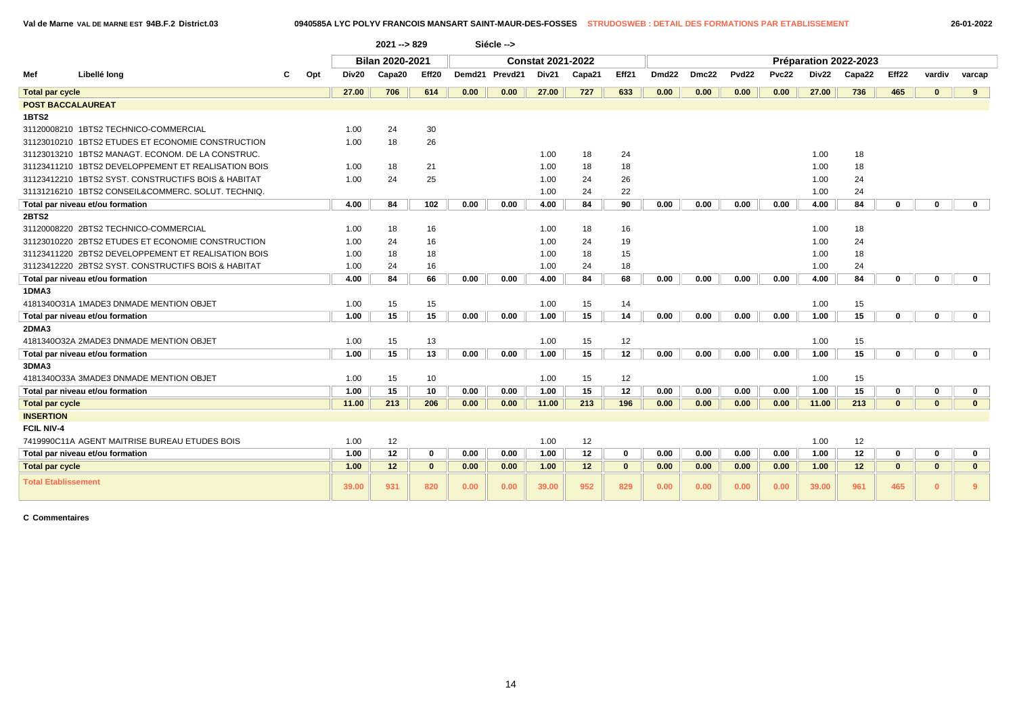|  | 26-01-2022 |
|--|------------|
|  |            |

|                            |                                                     |                          | <b>Bilan 2020-2021</b> |             |        |         | <b>Constat 2021-2022</b> |        |              |       |       |                   |              |       | Préparation 2022-2023 |                   |              |              |
|----------------------------|-----------------------------------------------------|--------------------------|------------------------|-------------|--------|---------|--------------------------|--------|--------------|-------|-------|-------------------|--------------|-------|-----------------------|-------------------|--------------|--------------|
| Mef                        | Libellé long                                        | Div <sub>20</sub><br>Opt | Capa20                 | Eff20       | Demd21 | Prevd21 | Div21                    | Capa21 | Eff21        | Dmd22 | Dmc22 | Pvd <sub>22</sub> | <b>Pvc22</b> | Div22 | Capa22                | Eff <sub>22</sub> | vardiv       | varcap       |
| <b>Total par cycle</b>     |                                                     | 27.00                    | 706                    | 614         | 0.00   | 0.00    | 27.00                    | 727    | 633          | 0.00  | 0.00  | 0.00              | 0.00         | 27.00 | 736                   | 465               | $\mathbf{0}$ | $9^{\circ}$  |
| <b>POST BACCALAUREAT</b>   |                                                     |                          |                        |             |        |         |                          |        |              |       |       |                   |              |       |                       |                   |              |              |
| 1BTS2                      |                                                     |                          |                        |             |        |         |                          |        |              |       |       |                   |              |       |                       |                   |              |              |
|                            | 31120008210 1BTS2 TECHNICO-COMMERCIAL               | 1.00                     | 24                     | 30          |        |         |                          |        |              |       |       |                   |              |       |                       |                   |              |              |
|                            | 31123010210 1BTS2 ETUDES ET ECONOMIE CONSTRUCTION   | 1.00                     | 18                     | 26          |        |         |                          |        |              |       |       |                   |              |       |                       |                   |              |              |
|                            | 31123013210 1BTS2 MANAGT. ECONOM. DE LA CONSTRUC.   |                          |                        |             |        |         | 1.00                     | 18     | 24           |       |       |                   |              | 1.00  | 18                    |                   |              |              |
|                            | 31123411210 1BTS2 DEVELOPPEMENT ET REALISATION BOIS | 1.00                     | 18                     | 21          |        |         | 1.00                     | 18     | 18           |       |       |                   |              | 1.00  | 18                    |                   |              |              |
|                            | 31123412210 1BTS2 SYST, CONSTRUCTIFS BOIS & HABITAT | 1.00                     | 24                     | 25          |        |         | 1.00                     | 24     | 26           |       |       |                   |              | 1.00  | 24                    |                   |              |              |
|                            | 31131216210 1BTS2 CONSEIL&COMMERC. SOLUT. TECHNIQ.  |                          |                        |             |        |         | 1.00                     | 24     | 22           |       |       |                   |              | 1.00  | 24                    |                   |              |              |
|                            | Total par niveau et/ou formation                    | 4.00                     | 84                     | 102         | 0.00   | 0.00    | 4.00                     | 84     | 90           | 0.00  | 0.00  | 0.00              | 0.00         | 4.00  | 84                    | $\mathbf{0}$      | $\bf{0}$     | $\mathbf{0}$ |
| <b>2BTS2</b>               |                                                     |                          |                        |             |        |         |                          |        |              |       |       |                   |              |       |                       |                   |              |              |
|                            | 31120008220 2BTS2 TECHNICO-COMMERCIAL               | 1.00                     | 18                     | 16          |        |         | 1.00                     | 18     | 16           |       |       |                   |              | 1.00  | 18                    |                   |              |              |
|                            | 31123010220 2BTS2 ETUDES ET ECONOMIE CONSTRUCTION   | 1.00                     | 24                     | 16          |        |         | 1.00                     | 24     | 19           |       |       |                   |              | 1.00  | 24                    |                   |              |              |
|                            | 31123411220 2BTS2 DEVELOPPEMENT ET REALISATION BOIS | 1.00                     | 18                     | 18          |        |         | 1.00                     | 18     | 15           |       |       |                   |              | 1.00  | 18                    |                   |              |              |
|                            | 31123412220 2BTS2 SYST, CONSTRUCTIFS BOIS & HABITAT | 1.00                     | 24                     | 16          |        |         | 1.00                     | 24     | 18           |       |       |                   |              | 1.00  | 24                    |                   |              |              |
|                            | Total par niveau et/ou formation                    | 4.00                     | 84                     | 66          | 0.00   | 0.00    | 4.00                     | 84     | 68           | 0.00  | 0.00  | 0.00              | 0.00         | 4.00  | 84                    | $\mathbf{0}$      | $\bf{0}$     | $\mathbf 0$  |
| 1DMA3                      |                                                     |                          |                        |             |        |         |                          |        |              |       |       |                   |              |       |                       |                   |              |              |
|                            | 4181340O31A 1MADE3 DNMADE MENTION OBJET             | 1.00                     | 15                     | 15          |        |         | 1.00                     | 15     | 14           |       |       |                   |              | 1.00  | 15                    |                   |              |              |
|                            | Total par niveau et/ou formation                    | 1.00                     | 15                     | 15          | 0.00   | 0.00    | 1.00                     | 15     | 14           | 0.00  | 0.00  | 0.00              | 0.00         | 1.00  | 15                    | $\bf{0}$          | $\mathbf{0}$ | $\mathbf{0}$ |
| 2DMA3                      |                                                     |                          |                        |             |        |         |                          |        |              |       |       |                   |              |       |                       |                   |              |              |
|                            | 4181340O32A 2MADE3 DNMADE MENTION OBJET             | 1.00                     | 15                     | 13          |        |         | 1.00                     | 15     | 12           |       |       |                   |              | 1.00  | 15                    |                   |              |              |
|                            | Total par niveau et/ou formation                    | 1.00                     | 15                     | 13          | 0.00   | 0.00    | 1.00                     | 15     | 12           | 0.00  | 0.00  | 0.00              | 0.00         | 1.00  | 15                    | $\bf{0}$          | $\bf{0}$     | $\mathbf{0}$ |
| 3DMA3                      |                                                     |                          |                        |             |        |         |                          |        |              |       |       |                   |              |       |                       |                   |              |              |
|                            | 4181340O33A 3MADE3 DNMADE MENTION OBJET             | 1.00                     | 15                     | 10          |        |         | 1.00                     | 15     | 12           |       |       |                   |              | 1.00  | 15                    |                   |              |              |
|                            | Total par niveau et/ou formation                    | 1.00                     | 15                     | 10          | 0.00   | 0.00    | 1.00                     | 15     | 12           | 0.00  | 0.00  | 0.00              | 0.00         | 1.00  | 15                    | $\bf{0}$          | 0            | $\mathbf 0$  |
| <b>Total par cycle</b>     |                                                     | 11.00                    | 213                    | 206         | 0.00   | 0.00    | 11.00                    | 213    | 196          | 0.00  | 0.00  | 0.00              | 0.00         | 11.00 | 213                   | $\mathbf{0}$      | $\mathbf{0}$ | $\mathbf{0}$ |
| <b>INSERTION</b>           |                                                     |                          |                        |             |        |         |                          |        |              |       |       |                   |              |       |                       |                   |              |              |
| <b>FCIL NIV-4</b>          |                                                     |                          |                        |             |        |         |                          |        |              |       |       |                   |              |       |                       |                   |              |              |
|                            | 7419990C11A AGENT MAITRISE BUREAU ETUDES BOIS       | 1.00                     | 12                     |             |        |         | 1.00                     | 12     |              |       |       |                   |              | 1.00  | 12                    |                   |              |              |
|                            | Total par niveau et/ou formation                    | 1.00                     | 12                     | $\mathbf 0$ | 0.00   | 0.00    | 1.00                     | 12     | 0            | 0.00  | 0.00  | 0.00              | 0.00         | 1.00  | 12                    | 0                 | 0            | 0            |
| <b>Total par cycle</b>     |                                                     | 1.00                     | 12                     | $\mathbf 0$ | 0.00   | 0.00    | 1.00                     | 12     | $\mathbf{0}$ | 0.00  | 0.00  | 0.00              | 0.00         | 1.00  | 12                    | $\mathbf{0}$      | $\mathbf{0}$ | $\mathbf{0}$ |
| <b>Total Etablissement</b> |                                                     | 39.00                    | 931                    | 820         | 0.00   | 0.00    | 39.00                    | 952    | 829          | 0.00  | 0.00  | 0.00              | 0.00         | 39.00 | 961                   | 465               | $\mathbf{0}$ | 9            |

**2021 --> 829 Siécle -->**

**C Commentaires**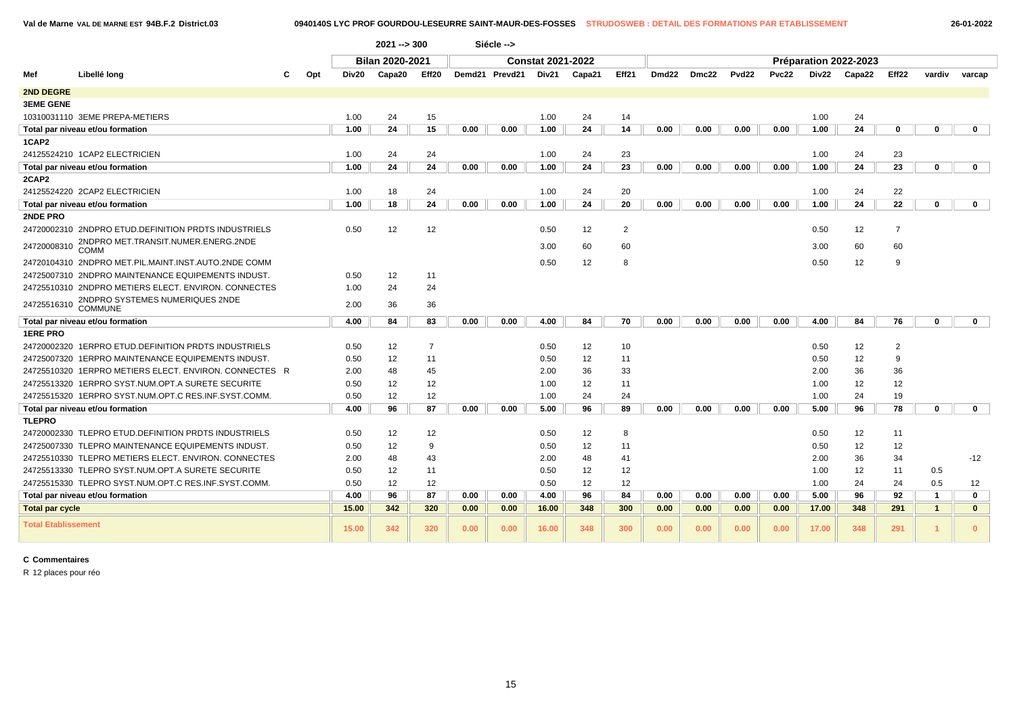**Val de Marne VAL DE MARNE EST 94B.F.2 District.03 0940140S LYC PROF GOURDOU-LESEURRE SAINT-MAUR-DES-FOSSES STRUDOSWEB : DETAIL DES FORMATIONS PAR ETABLISSEMENT 26-01-2022**

|                            |                                                        |     |       | $2021 - 300$    |                |      | Siécle -->     |                          |        |                |                   |       |                   |       |       |                       |                |                      |              |
|----------------------------|--------------------------------------------------------|-----|-------|-----------------|----------------|------|----------------|--------------------------|--------|----------------|-------------------|-------|-------------------|-------|-------|-----------------------|----------------|----------------------|--------------|
|                            |                                                        |     |       | Bilan 2020-2021 |                |      |                | <b>Constat 2021-2022</b> |        |                |                   |       |                   |       |       | Préparation 2022-2023 |                |                      |              |
| Mef                        | Libellé long                                           | Opt | Div20 | Capa20          | Eff20          |      | Demd21 Prevd21 | Div21                    | Capa21 | Eff21          | Dmd <sub>22</sub> | Dmc22 | Pvd <sub>22</sub> | Pvc22 | Div22 | Capa22                | Eff22          | vardiv               | varcap       |
| 2ND DEGRE                  |                                                        |     |       |                 |                |      |                |                          |        |                |                   |       |                   |       |       |                       |                |                      |              |
| <b>3EME GENE</b>           |                                                        |     |       |                 |                |      |                |                          |        |                |                   |       |                   |       |       |                       |                |                      |              |
|                            | 10310031110 3EME PREPA-METIERS                         |     | 1.00  | 24              | 15             |      |                | 1.00                     | 24     | 14             |                   |       |                   |       | 1.00  | 24                    |                |                      |              |
|                            | Total par niveau et/ou formation                       |     | 1.00  | 24              | 15             | 0.00 | 0.00           | 1.00                     | 24     | 14             | 0.00              | 0.00  | 0.00              | 0.00  | 1.00  | 24                    | 0              | $\mathbf 0$          | $\mathbf 0$  |
| 1CAP2                      |                                                        |     |       |                 |                |      |                |                          |        |                |                   |       |                   |       |       |                       |                |                      |              |
|                            | 24125524210 1CAP2 ELECTRICIEN                          |     | 1.00  | 24              | 24             |      |                | 1.00                     | 24     | 23             |                   |       |                   |       | 1.00  | 24                    | 23             |                      |              |
|                            | Total par niveau et/ou formation                       |     | 1.00  | 24              | 24             | 0.00 | 0.00           | 1.00                     | 24     | 23             | 0.00              | 0.00  | 0.00              | 0.00  | 1.00  | 24                    | 23             | $\bf{0}$             | $\mathbf 0$  |
| 2CAP2                      |                                                        |     |       |                 |                |      |                |                          |        |                |                   |       |                   |       |       |                       |                |                      |              |
|                            | 24125524220 2CAP2 ELECTRICIEN                          |     | 1.00  | 18              | 24             |      |                | 1.00                     | 24     | 20             |                   |       |                   |       | 1.00  | 24                    | 22             |                      |              |
|                            | Total par niveau et/ou formation                       |     | 1.00  | 18              | 24             | 0.00 | 0.00           | 1.00                     | 24     | 20             | 0.00              | 0.00  | 0.00              | 0.00  | 1.00  | 24                    | 22             | $\mathbf 0$          | $\mathbf 0$  |
| 2NDE PRO                   |                                                        |     |       |                 |                |      |                |                          |        |                |                   |       |                   |       |       |                       |                |                      |              |
|                            | 24720002310 2NDPRO ETUD.DEFINITION PRDTS INDUSTRIELS   |     | 0.50  | 12              | 12             |      |                | 0.50                     | 12     | $\overline{2}$ |                   |       |                   |       | 0.50  | 12                    | $\overline{7}$ |                      |              |
| 24720008310                | 2NDPRO MET.TRANSIT.NUMER.ENERG.2NDE<br>COMM            |     |       |                 |                |      |                | 3.00                     | 60     | 60             |                   |       |                   |       | 3.00  | 60                    | 60             |                      |              |
|                            | 24720104310 2NDPRO MET.PIL.MAINT.INST.AUTO.2NDE COMM   |     |       |                 |                |      |                | 0.50                     | 12     | 8              |                   |       |                   |       | 0.50  | 12                    | 9              |                      |              |
|                            | 24725007310 2NDPRO MAINTENANCE EQUIPEMENTS INDUST.     |     | 0.50  | 12              | 11             |      |                |                          |        |                |                   |       |                   |       |       |                       |                |                      |              |
|                            | 24725510310 2NDPRO METIERS ELECT. ENVIRON. CONNECTES   |     | 1.00  | 24              | 24             |      |                |                          |        |                |                   |       |                   |       |       |                       |                |                      |              |
| 24725516310                | 2NDPRO SYSTEMES NUMERIQUES 2NDE<br>COMMUNE             |     | 2.00  | 36              | 36             |      |                |                          |        |                |                   |       |                   |       |       |                       |                |                      |              |
|                            | Total par niveau et/ou formation                       |     | 4.00  | 84              | 83             | 0.00 | 0.00           | 4.00                     | 84     | 70             | 0.00              | 0.00  | 0.00              | 0.00  | 4.00  | 84                    | 76             | $\mathbf 0$          | $\mathbf{0}$ |
| <b>1ERE PRO</b>            |                                                        |     |       |                 |                |      |                |                          |        |                |                   |       |                   |       |       |                       |                |                      |              |
|                            | 24720002320 1ERPRO ETUD. DEFINITION PRDTS INDUSTRIELS  |     | 0.50  | 12              | $\overline{7}$ |      |                | 0.50                     | 12     | 10             |                   |       |                   |       | 0.50  | 12                    | 2              |                      |              |
|                            | 24725007320 1ERPRO MAINTENANCE EQUIPEMENTS INDUST.     |     | 0.50  | 12              | 11             |      |                | 0.50                     | 12     | 11             |                   |       |                   |       | 0.50  | 12                    | 9              |                      |              |
|                            | 24725510320 1ERPRO METIERS ELECT. ENVIRON. CONNECTES R |     | 2.00  | 48              | 45             |      |                | 2.00                     | 36     | 33             |                   |       |                   |       | 2.00  | 36                    | 36             |                      |              |
|                            | 24725513320 1ERPRO SYST.NUM.OPT.A SURETE SECURITE      |     | 0.50  | 12              | 12             |      |                | 1.00                     | 12     | 11             |                   |       |                   |       | 1.00  | 12                    | 12             |                      |              |
|                            | 24725515320 1ERPRO SYST.NUM.OPT.C RES.INF.SYST.COMM.   |     | 0.50  | 12              | 12             |      |                | 1.00                     | 24     | 24             |                   |       |                   |       | 1.00  | 24                    | 19             |                      |              |
|                            | Total par niveau et/ou formation                       |     | 4.00  | 96              | 87             | 0.00 | 0.00           | 5.00                     | 96     | 89             | 0.00              | 0.00  | 0.00              | 0.00  | 5.00  | 96                    | 78             | $\mathbf 0$          | $\mathbf{0}$ |
| <b>TLEPRO</b>              |                                                        |     |       |                 |                |      |                |                          |        |                |                   |       |                   |       |       |                       |                |                      |              |
|                            | 24720002330 TLEPRO ETUD. DEFINITION PRDTS INDUSTRIELS  |     | 0.50  | 12              | 12             |      |                | 0.50                     | 12     | 8              |                   |       |                   |       | 0.50  | 12                    | 11             |                      |              |
|                            | 24725007330 TLEPRO MAINTENANCE EQUIPEMENTS INDUST.     |     | 0.50  | 12              | 9              |      |                | 0.50                     | 12     | 11             |                   |       |                   |       | 0.50  | 12                    | 12             |                      |              |
|                            | 24725510330 TLEPRO METIERS ELECT. ENVIRON. CONNECTES   |     | 2.00  | 48              | 43             |      |                | 2.00                     | 48     | 41             |                   |       |                   |       | 2.00  | 36                    | 34             |                      | $-12$        |
|                            | 24725513330 TLEPRO SYST.NUM.OPT.A SURETE SECURITE      |     | 0.50  | 12              | 11             |      |                | 0.50                     | 12     | 12             |                   |       |                   |       | 1.00  | 12                    | 11             | 0.5                  |              |
|                            | 24725515330 TLEPRO SYST.NUM.OPT.C RES.INF.SYST.COMM    |     | 0.50  | 12              | 12             |      |                | 0.50                     | 12     | 12             |                   |       |                   |       | 1.00  | 24                    | 24             | 0.5                  | 12           |
|                            | Total par niveau et/ou formation                       |     | 4.00  | 96              | 87             | 0.00 | 0.00           | 4.00                     | 96     | 84             | 0.00              | 0.00  | 0.00              | 0.00  | 5.00  | 96                    | 92             | $\mathbf{1}$         | $\mathbf 0$  |
| <b>Total par cycle</b>     |                                                        |     | 15.00 | 342             | 320            | 0.00 | 0.00           | 16.00                    | 348    | 300            | 0.00              | 0.00  | 0.00              | 0.00  | 17.00 | 348                   | 291            | $\mathbf{1}$         | $\mathbf{0}$ |
| <b>Total Etablissement</b> |                                                        |     | 15.00 | 342             | 320            | 0.00 | 0.00           | 16.00                    | 348    | 300            | 0.00              | 0.00  | 0.00              | 0.00  | 17.00 | 348                   | 291            | $\blacktriangleleft$ | $\mathbf{0}$ |

**C Commentaires**

R 12 places pour réo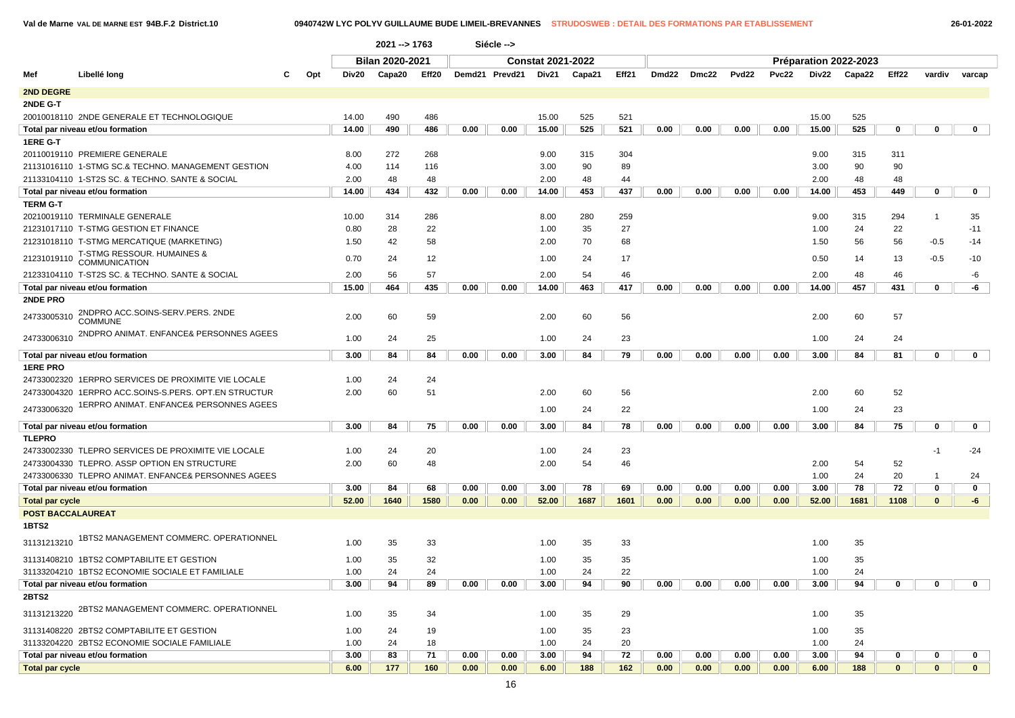$\sqrt{2}$ 

**Val de Marne VAL DE MARNE EST 94B.F.2 District.10 0940742W LYC POLYV GUILLAUME BUDE LIMEIL-BREVANNES STRUDOSWEB : DETAIL DES FORMATIONS PAR ETABLISSEMENT 26-01-2022**

|                        |                                                               |       | 2021 -- > 1763         |       |      | Siécle -->     |                          |        |       |       |       |                   |       |       |                       |              |                |              |
|------------------------|---------------------------------------------------------------|-------|------------------------|-------|------|----------------|--------------------------|--------|-------|-------|-------|-------------------|-------|-------|-----------------------|--------------|----------------|--------------|
|                        |                                                               |       | <b>Bilan 2020-2021</b> |       |      |                | <b>Constat 2021-2022</b> |        |       |       |       |                   |       |       | Préparation 2022-2023 |              |                |              |
| Mef                    | Libellé long<br>Opt<br>С                                      | Div20 | Capa20                 | Eff20 |      | Demd21 Prevd21 | Div21                    | Capa21 | Eff21 | Dmd22 | Dmc22 | Pvd <sub>22</sub> | Pvc22 | Div22 | Capa22                | Eff22        | vardiv         | varcap       |
| <b>2ND DEGRE</b>       |                                                               |       |                        |       |      |                |                          |        |       |       |       |                   |       |       |                       |              |                |              |
| 2NDE G-T               |                                                               |       |                        |       |      |                |                          |        |       |       |       |                   |       |       |                       |              |                |              |
|                        | 20010018110 2NDE GENERALE ET TECHNOLOGIQUE                    | 14.00 | 490                    | 486   |      |                | 15.00                    | 525    | 521   |       |       |                   |       | 15.00 | 525                   |              |                |              |
|                        | Total par niveau et/ou formation                              | 14.00 | 490                    | 486   | 0.00 | 0.00           | 15.00                    | 525    | 521   | 0.00  | 0.00  | 0.00              | 0.00  | 15.00 | 525                   | 0            | 0              | $\mathbf{0}$ |
| 1ERE G-T               |                                                               |       |                        |       |      |                |                          |        |       |       |       |                   |       |       |                       |              |                |              |
|                        | 20110019110 PREMIERE GENERALE                                 | 8.00  | 272                    | 268   |      |                | 9.00                     | 315    | 304   |       |       |                   |       | 9.00  | 315                   | 311          |                |              |
|                        | 21131016110 1-STMG SC.& TECHNO. MANAGEMENT GESTION            | 4.00  | 114                    | 116   |      |                | 3.00                     | 90     | 89    |       |       |                   |       | 3.00  | 90                    | 90           |                |              |
|                        | 21133104110  1-ST2S SC. & TECHNO. SANTE & SOCIAL              | 2.00  | 48                     | 48    |      |                | 2.00                     | 48     | 44    |       |       |                   |       | 2.00  | 48                    | 48           |                |              |
|                        | Total par niveau et/ou formation                              | 14.00 | 434                    | 432   | 0.00 | 0.00           | 14.00                    | 453    | 437   | 0.00  | 0.00  | 0.00              | 0.00  | 14.00 | 453                   | 449          | $\mathbf 0$    | $\mathbf 0$  |
| <b>TERM G-T</b>        |                                                               |       |                        |       |      |                |                          |        |       |       |       |                   |       |       |                       |              |                |              |
|                        | 20210019110 TERMINALE GENERALE                                | 10.00 | 314                    | 286   |      |                | 8.00                     | 280    | 259   |       |       |                   |       | 9.00  | 315                   | 294          | $\overline{1}$ | 35           |
|                        | 21231017110 T-STMG GESTION ET FINANCE                         | 0.80  | 28                     | 22    |      |                | 1.00                     | 35     | 27    |       |       |                   |       | 1.00  | 24                    | 22           |                | $-11$        |
|                        | 21231018110 T-STMG MERCATIQUE (MARKETING)                     | 1.50  | 42                     | 58    |      |                | 2.00                     | 70     | 68    |       |       |                   |       | 1.50  | 56                    | 56           | $-0.5$         | $-14$        |
| 21231019110            | <b>T-STMG RESSOUR. HUMAINES &amp;</b><br><b>COMMUNICATION</b> | 0.70  | 24                     | 12    |      |                | 1.00                     | 24     | 17    |       |       |                   |       | 0.50  | 14                    | 13           | $-0.5$         | $-10$        |
|                        | 21233104110 T-ST2S SC. & TECHNO. SANTE & SOCIAL               | 2.00  | 56                     | 57    |      |                | 2.00                     | 54     | 46    |       |       |                   |       | 2.00  | 48                    | 46           |                | -6           |
|                        | Total par niveau et/ou formation                              | 15.00 | 464                    | 435   | 0.00 | 0.00           | 14.00                    | 463    | 417   | 0.00  | 0.00  | 0.00              | 0.00  | 14.00 | 457                   | 431          | 0              | -6           |
| 2NDE PRO               |                                                               |       |                        |       |      |                |                          |        |       |       |       |                   |       |       |                       |              |                |              |
| 24733005310            | 2NDPRO ACC.SOINS-SERV.PERS. 2NDE<br><b>COMMUNE</b>            | 2.00  | 60                     | 59    |      |                | 2.00                     | 60     | 56    |       |       |                   |       | 2.00  | 60                    | 57           |                |              |
| 24733006310            | 2NDPRO ANIMAT. ENFANCE& PERSONNES AGEES                       | 1.00  | 24                     | 25    |      |                | 1.00                     | 24     | 23    |       |       |                   |       | 1.00  | 24                    | 24           |                |              |
|                        | Total par niveau et/ou formation                              | 3.00  | 84                     | 84    | 0.00 | 0.00           | 3.00                     | 84     | 79    | 0.00  | 0.00  | 0.00              | 0.00  | 3.00  | 84                    | 81           | $\mathbf 0$    | $\mathbf 0$  |
| <b>1ERE PRO</b>        |                                                               |       |                        |       |      |                |                          |        |       |       |       |                   |       |       |                       |              |                |              |
|                        | 24733002320 1ERPRO SERVICES DE PROXIMITE VIE LOCALE           | 1.00  | 24                     | 24    |      |                |                          |        |       |       |       |                   |       |       |                       |              |                |              |
|                        | 24733004320 1ERPRO ACC.SOINS-S.PERS. OPT.EN STRUCTUR          | 2.00  | 60                     | 51    |      |                | 2.00                     | 60     | 56    |       |       |                   |       | 2.00  | 60                    | 52           |                |              |
| 24733006320            | 1ERPRO ANIMAT. ENFANCE& PERSONNES AGEES                       |       |                        |       |      |                | 1.00                     | 24     | 22    |       |       |                   |       | 1.00  | 24                    | 23           |                |              |
|                        | Total par niveau et/ou formation                              | 3.00  | 84                     | 75    | 0.00 | 0.00           | 3.00                     | 84     | 78    | 0.00  | 0.00  | 0.00              | 0.00  | 3.00  | 84                    | 75           | $\mathbf 0$    | $\mathbf{0}$ |
| TLEPRO                 |                                                               |       |                        |       |      |                |                          |        |       |       |       |                   |       |       |                       |              |                |              |
|                        | 24733002330 TLEPRO SERVICES DE PROXIMITE VIE LOCALE           | 1.00  | 24                     | 20    |      |                | 1.00                     | 24     | 23    |       |       |                   |       |       |                       |              | -1             | $-24$        |
|                        | 24733004330 TLEPRO. ASSP OPTION EN STRUCTURE                  | 2.00  | 60                     | 48    |      |                | 2.00                     | 54     | 46    |       |       |                   |       | 2.00  | 54                    | 52           |                |              |
|                        | 24733006330 TLEPRO ANIMAT. ENFANCE& PERSONNES AGEES           |       |                        |       |      |                |                          |        |       |       |       |                   |       | 1.00  | 24                    | 20           | -1             | 24           |
|                        | Total par niveau et/ou formation                              | 3.00  | 84                     | 68    | 0.00 | 0.00           | 3.00                     | 78     | 69    | 0.00  | 0.00  | 0.00              | 0.00  | 3.00  | 78                    | 72           | 0              | 0            |
| <b>Total par cycle</b> |                                                               | 52.00 | 1640                   | 1580  | 0.00 | 0.00           | 52.00                    | 1687   | 1601  | 0.00  | 0.00  | 0.00              | 0.00  | 52.00 | 1681                  | 1108         | $\mathbf{0}$   | -6           |
|                        | <b>POST BACCALAUREAT</b>                                      |       |                        |       |      |                |                          |        |       |       |       |                   |       |       |                       |              |                |              |
| 1BTS2                  |                                                               |       |                        |       |      |                |                          |        |       |       |       |                   |       |       |                       |              |                |              |
| 31131213210            | 1BTS2 MANAGEMENT COMMERC. OPERATIONNEL                        | 1.00  | 35                     | 33    |      |                | 1.00                     | 35     | 33    |       |       |                   |       | 1.00  | 35                    |              |                |              |
|                        | 31131408210 1BTS2 COMPTABILITE ET GESTION                     | 1.00  | 35                     | 32    |      |                | 1.00                     | 35     | 35    |       |       |                   |       | 1.00  | 35                    |              |                |              |
|                        | 31133204210 1BTS2 ECONOMIE SOCIALE ET FAMILIALE               | 1.00  | 24                     | 24    |      |                | 1.00                     | 24     | 22    |       |       |                   |       | 1.00  | 24                    |              |                |              |
|                        | Total par niveau et/ou formation                              | 3.00  | 94                     | 89    | 0.00 | 0.00           | 3.00                     | 94     | 90    | 0.00  | 0.00  | 0.00              | 0.00  | 3.00  | 94                    | 0            | $\mathbf{0}$   | 0            |
| 2BTS2                  |                                                               |       |                        |       |      |                |                          |        |       |       |       |                   |       |       |                       |              |                |              |
|                        | 31131213220 2BTS2 MANAGEMENT COMMERC. OPERATIONNEL            | 1.00  | 35                     | 34    |      |                | 1.00                     | 35     | 29    |       |       |                   |       | 1.00  | 35                    |              |                |              |
|                        | 31131408220 2BTS2 COMPTABILITE ET GESTION                     | 1.00  | 24                     | 19    |      |                | 1.00                     | 35     | 23    |       |       |                   |       | 1.00  | 35                    |              |                |              |
|                        | 31133204220 2BTS2 ECONOMIE SOCIALE FAMILIALE                  | 1.00  | 24                     | 18    |      |                | 1.00                     | 24     | 20    |       |       |                   |       | 1.00  | 24                    |              |                |              |
|                        | Total par niveau et/ou formation                              | 3.00  | 83                     | 71    | 0.00 | 0.00           | 3.00                     | 94     | 72    | 0.00  | 0.00  | 0.00              | 0.00  | 3.00  | 94                    | $\mathbf{0}$ | $\mathbf{0}$   | 0            |
| <b>Total par cycle</b> |                                                               | 6.00  | 177                    | 160   | 0.00 | 0.00           | 6.00                     | 188    | 162   | 0.00  | 0.00  | 0.00              | 0.00  | 6.00  | 188                   | $\mathbf{0}$ | $\mathbf{0}$   | $\mathbf{0}$ |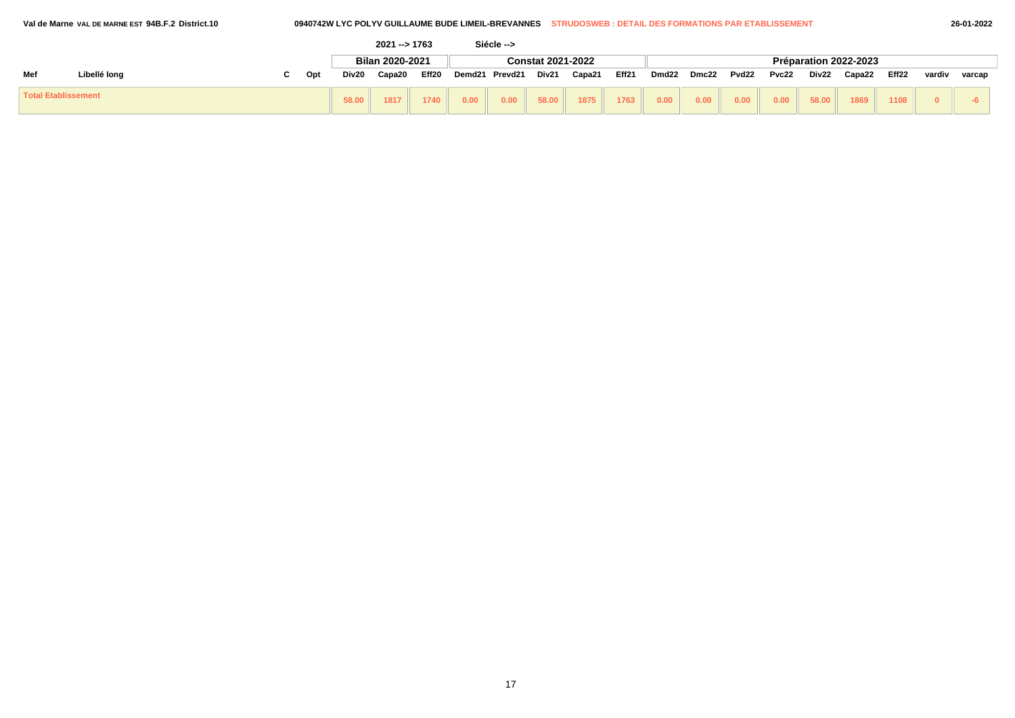|  | al de Marne val de marne est 94B.F.2 District.10 |  |
|--|--------------------------------------------------|--|
|  |                                                  |  |

|                            |              |              | $2021 - 1763$   |       |               | Siécle --> |                          |        |       |       |       |       |       |       |                       |       |        |        |
|----------------------------|--------------|--------------|-----------------|-------|---------------|------------|--------------------------|--------|-------|-------|-------|-------|-------|-------|-----------------------|-------|--------|--------|
|                            |              |              | Bilan 2020-2021 |       |               |            | <b>Constat 2021-2022</b> |        |       |       |       |       |       |       | Préparation 2022-2023 |       |        |        |
| Mef                        | Libellé long | Div20<br>Opt | Capa20          | Eff20 | <b>Demd21</b> | Prevd21    | Div21                    | Capa21 | Eff21 | Dmd22 | Dmc22 | Pvd22 | Pvc22 | Div22 | Capa22                | Eff22 | vardiv | varcap |
| <b>Total Etablissement</b> |              | 58.00        | 1817            | 1740  | 0.00          | 0.00       | 58.00                    | 1875   | 1763  | 0.00  | 0.00  | 0.00  | 0.00  | 58.00 | 1869                  | 1108  |        |        |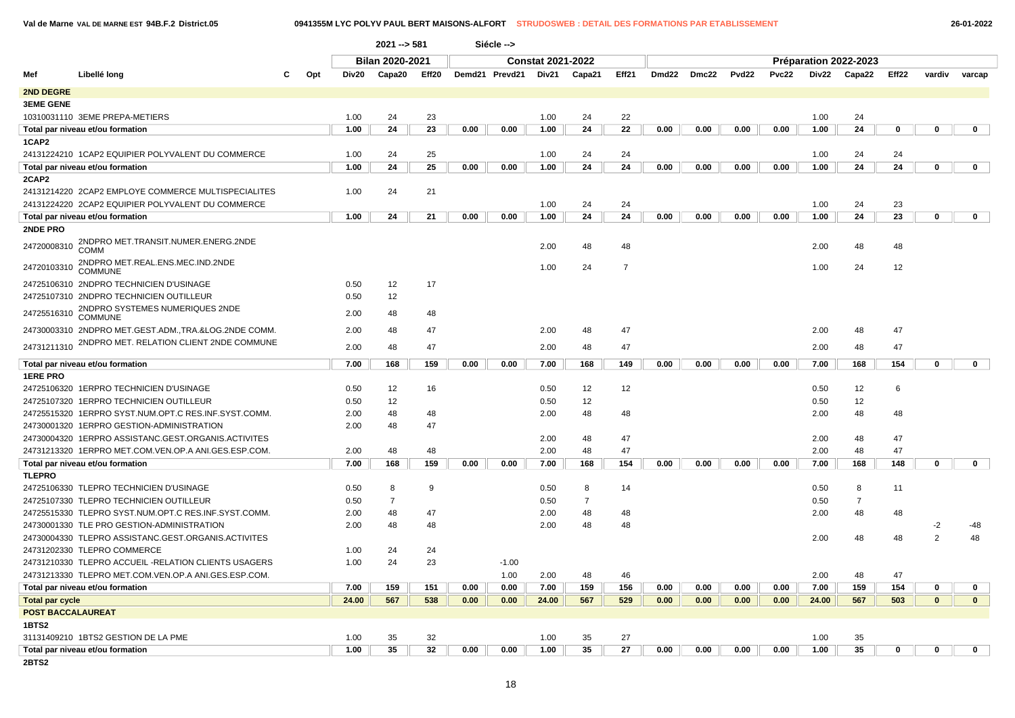### **Val de Marne VAL DE MARNE EST 94B.F.2 District.05 0941355M LYC POLYV PAUL BERT MAISONS-ALFORT STRUDOSWEB : DETAIL DES FORMATIONS PAR ETABLISSEMENT 26-01-2022**

|                          |                                                      |     |       | $2021 - 581$           |                   |      | Siécle -->     |                          |                |                |       |       |                   |              |       |                       |          |                |              |
|--------------------------|------------------------------------------------------|-----|-------|------------------------|-------------------|------|----------------|--------------------------|----------------|----------------|-------|-------|-------------------|--------------|-------|-----------------------|----------|----------------|--------------|
|                          |                                                      |     |       | <b>Bilan 2020-2021</b> |                   |      |                | <b>Constat 2021-2022</b> |                |                |       |       |                   |              |       | Préparation 2022-2023 |          |                |              |
| Mef                      | Libellé long                                         | Opt | Div20 | Capa20                 | Eff <sub>20</sub> |      | Demd21 Prevd21 | Div21                    | Capa21         | Eff21          | Dmd22 | Dmc22 | Pvd <sub>22</sub> | <b>Pvc22</b> | Div22 | Capa22                | Eff22    | vardiv         | varcap       |
| 2ND DEGRE                |                                                      |     |       |                        |                   |      |                |                          |                |                |       |       |                   |              |       |                       |          |                |              |
| <b>3EME GENE</b>         |                                                      |     |       |                        |                   |      |                |                          |                |                |       |       |                   |              |       |                       |          |                |              |
|                          | 10310031110 3EME PREPA-METIERS                       |     | 1.00  | 24                     | 23                |      |                | 1.00                     | 24             | 22             |       |       |                   |              | 1.00  | 24                    |          |                |              |
|                          |                                                      |     |       | 24                     | 23                | 0.00 |                |                          | 24             | 22             | 0.00  | 0.00  | 0.00              | 0.00         |       | 24                    |          | 0              |              |
|                          | Total par niveau et/ou formation                     |     | 1.00  |                        |                   |      | 0.00           | 1.00                     |                |                |       |       |                   |              | 1.00  |                       | 0        |                | 0            |
| 1CAP2                    |                                                      |     |       |                        |                   |      |                |                          |                |                |       |       |                   |              |       |                       |          |                |              |
|                          | 24131224210 1CAP2 EQUIPIER POLYVALENT DU COMMERCE    |     | 1.00  | 24                     | 25                |      |                | 1.00                     | 24             | 24             |       |       |                   |              | 1.00  | 24                    | 24<br>24 | $\mathbf 0$    |              |
|                          | Total par niveau et/ou formation                     |     | 1.00  | 24                     | 25                | 0.00 | 0.00           | 1.00                     | 24             | 24             | 0.00  | 0.00  | 0.00              | 0.00         | 1.00  | 24                    |          |                | $\mathbf 0$  |
| 2CAP2                    |                                                      |     |       |                        |                   |      |                |                          |                |                |       |       |                   |              |       |                       |          |                |              |
|                          | 24131214220 2CAP2 EMPLOYE COMMERCE MULTISPECIALITES  |     | 1.00  | 24                     | 21                |      |                |                          |                |                |       |       |                   |              |       |                       |          |                |              |
|                          | 24131224220 2CAP2 EQUIPIER POLYVALENT DU COMMERCE    |     |       |                        |                   |      |                | 1.00                     | 24             | 24             |       |       |                   |              | 1.00  | 24                    | 23       | $\mathbf{0}$   |              |
|                          | Total par niveau et/ou formation                     |     | 1.00  | 24                     | 21                | 0.00 | 0.00           | 1.00                     | 24             | 24             | 0.00  | 0.00  | 0.00              | 0.00         | 1.00  | 24                    | 23       |                | $\mathbf 0$  |
| 2NDE PRO                 |                                                      |     |       |                        |                   |      |                |                          |                |                |       |       |                   |              |       |                       |          |                |              |
| 24720008310              | 2NDPRO MET.TRANSIT.NUMER.ENERG.2NDE<br>COMM          |     |       |                        |                   |      |                | 2.00                     | 48             | 48             |       |       |                   |              | 2.00  | 48                    | 48       |                |              |
|                          | 2NDPRO MET.REAL.ENS.MEC.IND.2NDE                     |     |       |                        |                   |      |                |                          |                |                |       |       |                   |              |       |                       |          |                |              |
| 24720103310              | <b>COMMUNE</b>                                       |     |       |                        |                   |      |                | 1.00                     | 24             | $\overline{7}$ |       |       |                   |              | 1.00  | 24                    | 12       |                |              |
|                          | 24725106310 2NDPRO TECHNICIEN D'USINAGE              |     | 0.50  | 12                     | 17                |      |                |                          |                |                |       |       |                   |              |       |                       |          |                |              |
|                          | 24725107310 2NDPRO TECHNICIEN OUTILLEUR              |     | 0.50  | 12                     |                   |      |                |                          |                |                |       |       |                   |              |       |                       |          |                |              |
| 24725516310              | 2NDPRO SYSTEMES NUMERIQUES 2NDE<br><b>COMMUNE</b>    |     | 2.00  | 48                     | 48                |      |                |                          |                |                |       |       |                   |              |       |                       |          |                |              |
|                          | 24730003310 2NDPRO MET.GEST.ADM.,TRA.&LOG.2NDE COMM. |     | 2.00  | 48                     | 47                |      |                | 2.00                     | 48             | 47             |       |       |                   |              | 2.00  | 48                    | 47       |                |              |
|                          | 2NDPRO MET. RELATION CLIENT 2NDE COMMUNE             |     |       |                        |                   |      |                |                          |                |                |       |       |                   |              |       |                       |          |                |              |
| 24731211310              |                                                      |     | 2.00  | 48                     | 47                |      |                | 2.00                     | 48             | 47             |       |       |                   |              | 2.00  | 48                    | 47       |                |              |
|                          | Total par niveau et/ou formation                     |     | 7.00  | 168                    | 159               | 0.00 | 0.00           | 7.00                     | 168            | 149            | 0.00  | 0.00  | 0.00              | 0.00         | 7.00  | 168                   | 154      | 0              | 0            |
| <b>1ERE PRO</b>          |                                                      |     |       |                        |                   |      |                |                          |                |                |       |       |                   |              |       |                       |          |                |              |
|                          | 24725106320 1ERPRO TECHNICIEN D'USINAGE              |     | 0.50  | 12                     | 16                |      |                | 0.50                     | 12             | 12             |       |       |                   |              | 0.50  | 12                    | 6        |                |              |
|                          | 24725107320 1ERPRO TECHNICIEN OUTILLEUR              |     | 0.50  | 12                     |                   |      |                | 0.50                     | 12             |                |       |       |                   |              | 0.50  | 12                    |          |                |              |
|                          | 24725515320 1ERPRO SYST.NUM.OPT.C RES.INF.SYST.COMM. |     | 2.00  | 48                     | 48                |      |                | 2.00                     | 48             | 48             |       |       |                   |              | 2.00  | 48                    | 48       |                |              |
|                          | 24730001320 1ERPRO GESTION-ADMINISTRATION            |     | 2.00  | 48                     | 47                |      |                |                          |                |                |       |       |                   |              |       |                       |          |                |              |
|                          | 24730004320 1ERPRO ASSISTANC.GEST.ORGANIS.ACTIVITES  |     |       |                        |                   |      |                | 2.00                     | 48             | 47             |       |       |                   |              | 2.00  | 48                    | 47       |                |              |
|                          | 24731213320 1ERPRO MET.COM.VEN.OP.A ANI.GES.ESP.COM. |     | 2.00  | 48                     | 48                |      |                | 2.00                     | 48             | 47             |       |       |                   |              | 2.00  | 48                    | 47       |                |              |
|                          | Total par niveau et/ou formation                     |     | 7.00  | 168                    | 159               | 0.00 | 0.00           | 7.00                     | 168            | 154            | 0.00  | 0.00  | 0.00              | 0.00         | 7.00  | 168                   | 148      | 0              | $\mathbf 0$  |
| <b>TLEPRO</b>            |                                                      |     |       |                        |                   |      |                |                          |                |                |       |       |                   |              |       |                       |          |                |              |
|                          | 24725106330 TLEPRO TECHNICIEN D'USINAGE              |     | 0.50  | 8                      | 9                 |      |                | 0.50                     | 8              | 14             |       |       |                   |              | 0.50  | 8                     | 11       |                |              |
|                          | 24725107330 TLEPRO TECHNICIEN OUTILLEUR              |     | 0.50  | $\overline{7}$         |                   |      |                | 0.50                     | $\overline{7}$ |                |       |       |                   |              | 0.50  | $\overline{7}$        |          |                |              |
|                          | 24725515330 TLEPRO SYST.NUM.OPT.C RES.INF.SYST.COMM. |     | 2.00  | 48                     | 47                |      |                | 2.00                     | 48             | 48             |       |       |                   |              | 2.00  | 48                    | 48       |                |              |
|                          | 24730001330 TLE PRO GESTION-ADMINISTRATION           |     | 2.00  | 48                     | 48                |      |                | 2.00                     | 48             | 48             |       |       |                   |              |       |                       |          | $-2$           | -48          |
|                          | 24730004330 TLEPRO ASSISTANC.GEST.ORGANIS.ACTIVITES  |     |       |                        |                   |      |                |                          |                |                |       |       |                   |              | 2.00  | 48                    | 48       | $\overline{2}$ | 48           |
|                          | 24731202330 TLEPRO COMMERCE                          |     | 1.00  | 24                     | 24                |      |                |                          |                |                |       |       |                   |              |       |                       |          |                |              |
|                          | 24731210330 TLEPRO ACCUEIL -RELATION CLIENTS USAGERS |     | 1.00  | 24                     | 23                |      | $-1.00$        |                          |                |                |       |       |                   |              |       |                       |          |                |              |
|                          | 24731213330 TLEPRO MET.COM.VEN.OP.A ANI.GES.ESP.COM. |     |       |                        |                   |      | 1.00           | 2.00                     | 48             | 46             |       |       |                   |              | 2.00  | 48                    | 47       |                |              |
|                          |                                                      |     |       | 159                    |                   |      |                |                          |                | 156            |       |       |                   |              |       | 159                   |          |                |              |
|                          | Total par niveau et/ou formation                     |     | 7.00  |                        | 151               | 0.00 | 0.00           | 7.00                     | 159            |                | 0.00  | 0.00  | 0.00              | 0.00         | 7.00  |                       | 154      | 0              | 0            |
| <b>Total par cycle</b>   |                                                      |     | 24.00 | 567                    | 538               | 0.00 | 0.00           | 24.00                    | 567            | 529            | 0.00  | 0.00  | 0.00              | 0.00         | 24.00 | 567                   | 503      | $\mathbf{0}$   | $\mathbf{0}$ |
| <b>POST BACCALAUREAT</b> |                                                      |     |       |                        |                   |      |                |                          |                |                |       |       |                   |              |       |                       |          |                |              |
| 1BTS2                    |                                                      |     |       |                        |                   |      |                |                          |                |                |       |       |                   |              |       |                       |          |                |              |
|                          | 31131409210 1BTS2 GESTION DE LA PME                  |     | 1.00  | 35                     | 32                |      |                | 1.00                     | 35             | 27             |       |       |                   |              | 1.00  | 35                    |          |                |              |
| 2BTS2                    | Total par niveau et/ou formation                     |     | 1.00  | 35                     | 32                | 0.00 | 0.00           | 1.00                     | 35             | 27             | 0.00  | 0.00  | 0.00              | 0.00         | 1.00  | 35                    | 0        | $\mathbf{0}$   | $\mathbf 0$  |
|                          |                                                      |     |       |                        |                   |      |                |                          |                |                |       |       |                   |              |       |                       |          |                |              |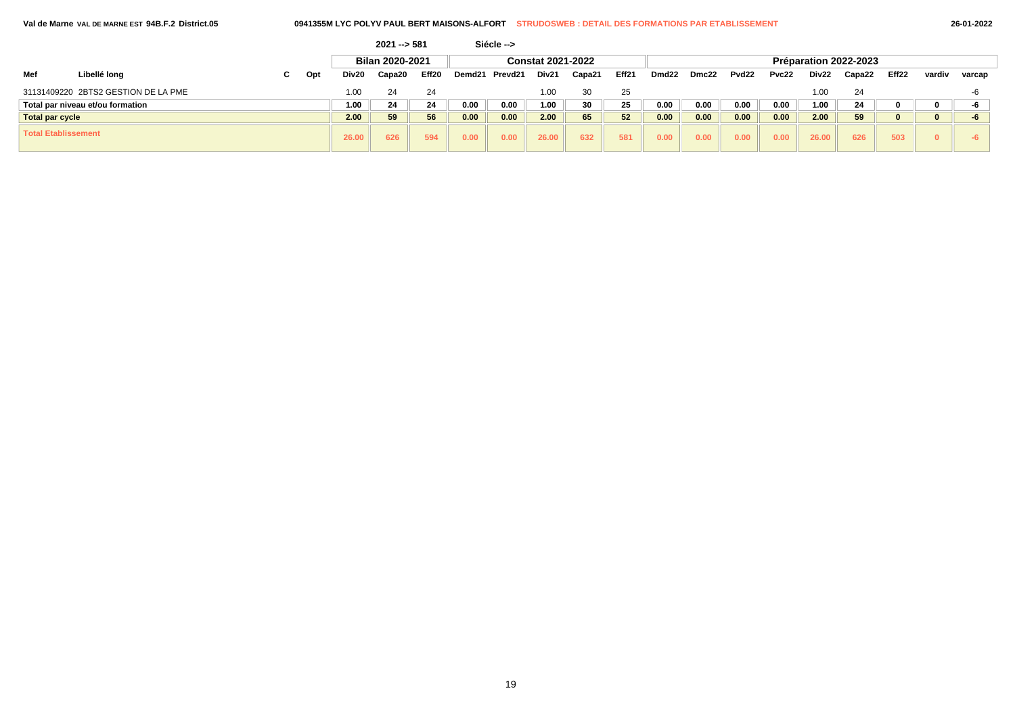| Val de Marne VAL DE MARNE EST 94B.F.2 District.05 |  |
|---------------------------------------------------|--|
|---------------------------------------------------|--|

|                            |                                     |   |     |       | $2021 - 581$    |                   |        | Siécle --> |                          |        |       |       |       |                   |       |       |                       |       |        |        |
|----------------------------|-------------------------------------|---|-----|-------|-----------------|-------------------|--------|------------|--------------------------|--------|-------|-------|-------|-------------------|-------|-------|-----------------------|-------|--------|--------|
|                            |                                     |   |     |       | Bilan 2020-2021 |                   |        |            | <b>Constat 2021-2022</b> |        |       |       |       |                   |       |       | Préparation 2022-2023 |       |        |        |
| Mef                        | Libellé long                        | C | Opt | Div20 | Capa20          | Eff <sub>20</sub> | Demd21 | Prevd21    | Div21                    | Capa21 | Eff21 | Dmd22 | Dmc22 | Pvd <sub>22</sub> | Pvc22 | Div22 | Capa22                | Eff22 | vardiv | varcap |
|                            | 31131409220 2BTS2 GESTION DE LA PME |   |     | 1.00  | 24              | 24                |        |            | 1.00                     | 30     | 25    |       |       |                   |       | 1.00  | 24                    |       |        | -6     |
|                            | Total par niveau et/ou formation    |   |     | 1.00  | 24              | 24                | 0.00   | 0.00       | 1.00                     | 30     | 25    | 0.00  | 0.00  | 0.00              | 0.00  | 1.00  | 24                    |       |        | -6     |
| <b>Total par cycle</b>     |                                     |   |     | 2.00  | 59              | 56                | 0.00   | 0.00       | 2.00                     | 65     | 52    | 0.00  | 0.00  | 0.00              | 0.00  | 2.00  | 59                    |       |        |        |
| <b>Total Etablissement</b> |                                     |   |     | 26.00 | 626             | 594               | 0.00   | 0.00       | 26.00                    | 632    | 581   | 0.00  | 0.00  | 0.00              | 0.00  | 26.00 | 626                   | 503   |        |        |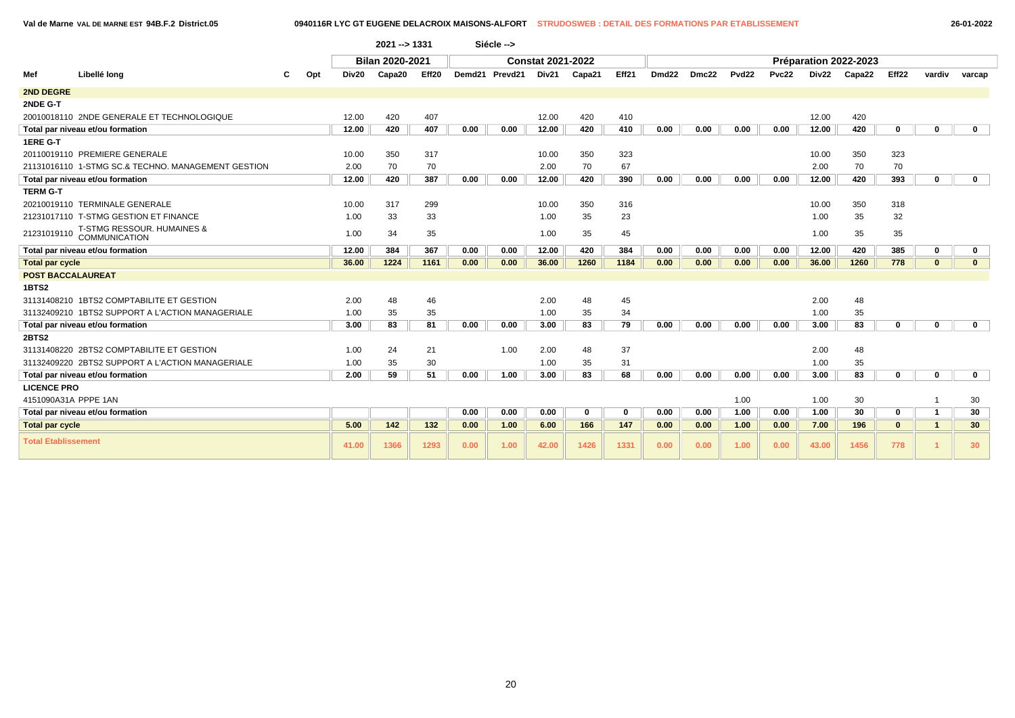**Val de Marne VAL DE MARNE EST 94B.F.2 District.05 0940116R LYC GT EUGENE DELACROIX MAISONS-ALFORT STRUDOSWEB : DETAIL DES FORMATIONS PAR ETABLISSEMENT 26-01-2022**

|                            |                                                    |     |                   | 2021 -- > 1331  |       |      | Siécle -->     |                          |              |             |                   |       |                   |              |       |                       |                   |                      |                 |
|----------------------------|----------------------------------------------------|-----|-------------------|-----------------|-------|------|----------------|--------------------------|--------------|-------------|-------------------|-------|-------------------|--------------|-------|-----------------------|-------------------|----------------------|-----------------|
|                            |                                                    |     |                   | Bilan 2020-2021 |       |      |                | <b>Constat 2021-2022</b> |              |             |                   |       |                   |              |       | Préparation 2022-2023 |                   |                      |                 |
| Mef                        | Libellé long                                       | Opt | Div <sub>20</sub> | Capa20          | Eff20 |      | Demd21 Prevd21 | Div21                    | Capa21       | Eff21       | Dmd <sub>22</sub> | Dmc22 | Pvd <sub>22</sub> | <b>Pvc22</b> | Div22 | Capa22                | Eff <sub>22</sub> | vardiv               | varcap          |
| 2ND DEGRE                  |                                                    |     |                   |                 |       |      |                |                          |              |             |                   |       |                   |              |       |                       |                   |                      |                 |
| 2NDE G-T                   |                                                    |     |                   |                 |       |      |                |                          |              |             |                   |       |                   |              |       |                       |                   |                      |                 |
|                            | 20010018110 2NDE GENERALE ET TECHNOLOGIQUE         |     | 12.00             | 420             | 407   |      |                | 12.00                    | 420          | 410         |                   |       |                   |              | 12.00 | 420                   |                   |                      |                 |
|                            | Total par niveau et/ou formation                   |     | 12.00             | 420             | 407   | 0.00 | 0.00           | 12.00                    | 420          | 410         | 0.00              | 0.00  | 0.00              | 0.00         | 12.00 | 420                   | 0                 | 0                    | $\mathbf{0}$    |
| 1ERE G-T                   |                                                    |     |                   |                 |       |      |                |                          |              |             |                   |       |                   |              |       |                       |                   |                      |                 |
|                            | 20110019110 PREMIERE GENERALE                      |     | 10.00             | 350             | 317   |      |                | 10.00                    | 350          | 323         |                   |       |                   |              | 10.00 | 350                   | 323               |                      |                 |
|                            | 21131016110 1-STMG SC.& TECHNO. MANAGEMENT GESTION |     | 2.00              | 70              | 70    |      |                | 2.00                     | 70           | 67          |                   |       |                   |              | 2.00  | 70                    | 70                |                      |                 |
|                            | Total par niveau et/ou formation                   |     | 12.00             | 420             | 387   | 0.00 | 0.00           | 12.00                    | 420          | 390         | 0.00              | 0.00  | 0.00              | 0.00         | 12.00 | 420                   | 393               | $\mathbf 0$          | $\mathbf 0$     |
| <b>TERM G-T</b>            |                                                    |     |                   |                 |       |      |                |                          |              |             |                   |       |                   |              |       |                       |                   |                      |                 |
|                            | 20210019110 TERMINALE GENERALE                     |     | 10.00             | 317             | 299   |      |                | 10.00                    | 350          | 316         |                   |       |                   |              | 10.00 | 350                   | 318               |                      |                 |
|                            | 21231017110 T-STMG GESTION ET FINANCE              |     | 1.00              | 33              | 33    |      |                | 1.00                     | 35           | 23          |                   |       |                   |              | 1.00  | 35                    | 32                |                      |                 |
| 21231019110                | T-STMG RESSOUR. HUMAINES &<br>COMMUNICATION        |     | 1.00              | 34              | 35    |      |                | 1.00                     | 35           | 45          |                   |       |                   |              | 1.00  | 35                    | 35                |                      |                 |
|                            | Total par niveau et/ou formation                   |     | 12.00             | 384             | 367   | 0.00 | 0.00           | 12.00                    | 420          | 384         | 0.00              | 0.00  | 0.00              | 0.00         | 12.00 | 420                   | 385               | $\bf{0}$             | $\mathbf 0$     |
| <b>Total par cycle</b>     |                                                    |     | 36.00             | 1224            | 1161  | 0.00 | 0.00           | 36.00                    | 1260         | 1184        | 0.00              | 0.00  | 0.00              | 0.00         | 36.00 | 1260                  | 778               | $\mathbf{0}$         | $\mathbf{0}$    |
| <b>POST BACCALAUREAT</b>   |                                                    |     |                   |                 |       |      |                |                          |              |             |                   |       |                   |              |       |                       |                   |                      |                 |
| 1BTS2                      |                                                    |     |                   |                 |       |      |                |                          |              |             |                   |       |                   |              |       |                       |                   |                      |                 |
|                            | 31131408210 1BTS2 COMPTABILITE ET GESTION          |     | 2.00              | 48              | 46    |      |                | 2.00                     | 48           | 45          |                   |       |                   |              | 2.00  | 48                    |                   |                      |                 |
|                            | 31132409210 1BTS2 SUPPORT A L'ACTION MANAGERIALE   |     | 1.00              | 35              | 35    |      |                | 1.00                     | 35           | 34          |                   |       |                   |              | 1.00  | 35                    |                   |                      |                 |
|                            | Total par niveau et/ou formation                   |     | 3.00              | 83              | 81    | 0.00 | 0.00           | 3.00                     | 83           | 79          | 0.00              | 0.00  | 0.00              | 0.00         | 3.00  | 83                    | 0                 | $\bf{0}$             | $\mathbf 0$     |
| 2BTS2                      |                                                    |     |                   |                 |       |      |                |                          |              |             |                   |       |                   |              |       |                       |                   |                      |                 |
|                            | 31131408220 2BTS2 COMPTABILITE ET GESTION          |     | 1.00              | 24              | 21    |      | 1.00           | 2.00                     | 48           | 37          |                   |       |                   |              | 2.00  | 48                    |                   |                      |                 |
|                            | 31132409220 2BTS2 SUPPORT A L'ACTION MANAGERIALE   |     | 1.00              | 35              | 30    |      |                | 1.00                     | 35           | 31          |                   |       |                   |              | 1.00  | 35                    |                   |                      |                 |
|                            | Total par niveau et/ou formation                   |     | 2.00              | 59              | 51    | 0.00 | 1.00           | 3.00                     | 83           | 68          | 0.00              | 0.00  | 0.00              | 0.00         | 3.00  | 83                    | $\mathbf{0}$      | $\mathbf{0}$         | $\mathbf 0$     |
| <b>LICENCE PRO</b>         |                                                    |     |                   |                 |       |      |                |                          |              |             |                   |       |                   |              |       |                       |                   |                      |                 |
| 4151090A31A PPPE 1AN       |                                                    |     |                   |                 |       |      |                |                          |              |             |                   |       | 1.00              |              | 1.00  | 30                    |                   |                      | 30              |
|                            | Total par niveau et/ou formation                   |     |                   |                 |       | 0.00 | 0.00           | 0.00                     | $\mathbf{0}$ | $\mathbf 0$ | 0.00              | 0.00  | 1.00              | 0.00         | 1.00  | 30                    | 0                 | $\mathbf{1}$         | 30              |
| <b>Total par cycle</b>     |                                                    |     | 5.00              | 142             | 132   | 0.00 | 1.00           | 6.00                     | 166          | 147         | 0.00              | 0.00  | 1.00              | 0.00         | 7.00  | 196                   | $\mathbf{0}$      | $\blacktriangleleft$ | 30              |
| <b>Total Etablissement</b> |                                                    |     | 41.00             | 1366            | 1293  | 0.00 | 1.00           | 42.00                    | 1426         | 1331        | 0.00              | 0.00  | 1.00              | 0.00         | 43.00 | 1456                  | 778               |                      | 30 <sup>°</sup> |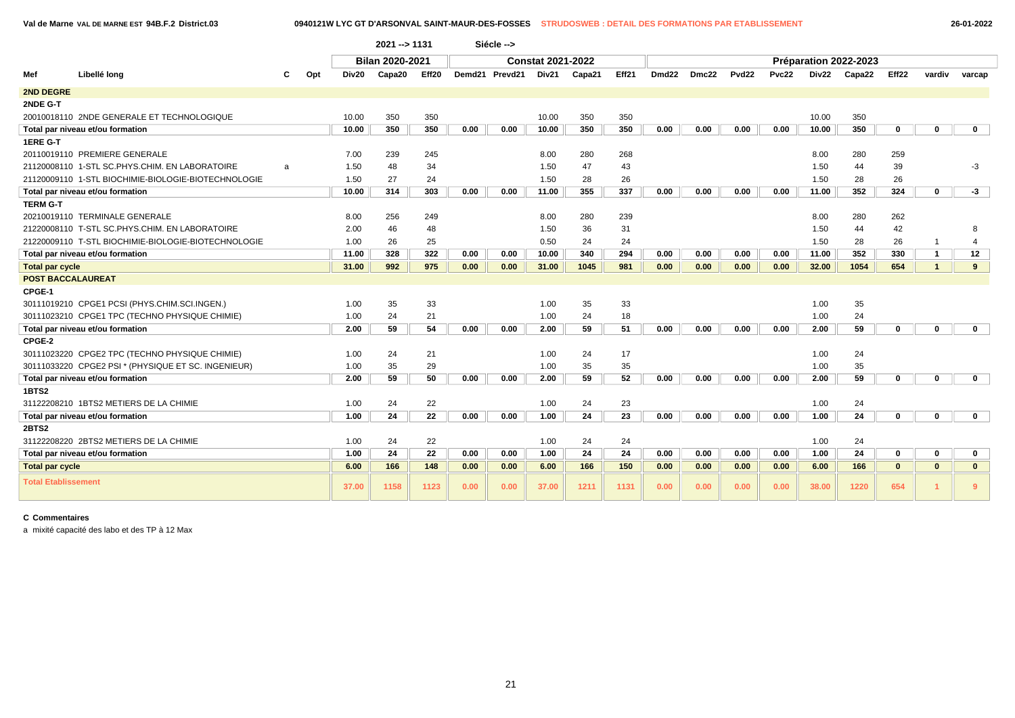**Val de Marne VAL DE MARNE EST 94B.F.2 District.03 0940121W LYC GT D'ARSONVAL SAINT-MAUR-DES-FOSSES STRUDOSWEB : DETAIL DES FORMATIONS PAR ETABLISSEMENT 26-01-2022**

|                            |                                                     |   |     |       | 2021 -- > 1131  |       |      | Siécle -->     |                          |        |       |                   |       |                   |       |       |                       |              |                |              |  |
|----------------------------|-----------------------------------------------------|---|-----|-------|-----------------|-------|------|----------------|--------------------------|--------|-------|-------------------|-------|-------------------|-------|-------|-----------------------|--------------|----------------|--------------|--|
|                            |                                                     |   |     |       | Bilan 2020-2021 |       |      |                | <b>Constat 2021-2022</b> |        |       |                   |       |                   |       |       | Préparation 2022-2023 |              |                |              |  |
| Mef                        | Libellé long                                        | С | Opt | Div20 | Capa20          | Eff20 |      | Demd21 Prevd21 | Div21                    | Capa21 | Eff21 | Dmd <sub>22</sub> | Dmc22 | Pvd <sub>22</sub> | Pvc22 | Div22 | Capa22                | Eff22        | vardiv         | varcap       |  |
| 2ND DEGRE                  |                                                     |   |     |       |                 |       |      |                |                          |        |       |                   |       |                   |       |       |                       |              |                |              |  |
| 2NDE G-T                   |                                                     |   |     |       |                 |       |      |                |                          |        |       |                   |       |                   |       |       |                       |              |                |              |  |
|                            | 20010018110 2NDE GENERALE ET TECHNOLOGIQUE          |   |     | 10.00 | 350             | 350   |      |                | 10.00                    | 350    | 350   |                   |       |                   |       | 10.00 | 350                   |              |                |              |  |
|                            | Total par niveau et/ou formation                    |   |     | 10.00 | 350             | 350   | 0.00 | 0.00           | 10.00                    | 350    | 350   | 0.00              | 0.00  | 0.00              | 0.00  | 10.00 | 350                   | 0            | $\bf{0}$       | $\mathbf 0$  |  |
| 1ERE G-T                   |                                                     |   |     |       |                 |       |      |                |                          |        |       |                   |       |                   |       |       |                       |              |                |              |  |
|                            | 20110019110 PREMIERE GENERALE                       |   |     | 7.00  | 239             | 245   |      |                | 8.00                     | 280    | 268   |                   |       |                   |       | 8.00  | 280                   | 259          |                |              |  |
|                            | 21120008110 1-STL SC.PHYS.CHIM. EN LABORATOIRE      | a |     | 1.50  | 48              | 34    |      |                | 1.50                     | 47     | 43    |                   |       |                   |       | 1.50  | 44                    | 39           |                | $-3$         |  |
|                            | 21120009110 1-STL BIOCHIMIE-BIOLOGIE-BIOTECHNOLOGIE |   |     | 1.50  | 27              | 24    |      |                | 1.50                     | 28     | 26    |                   |       |                   |       | 1.50  | 28                    | 26           |                |              |  |
|                            | Total par niveau et/ou formation                    |   |     | 10.00 | 314             | 303   | 0.00 | 0.00           | 11.00                    | 355    | 337   | 0.00              | 0.00  | 0.00              | 0.00  | 11.00 | 352                   | 324          | $\mathbf 0$    | $-3$         |  |
| <b>TERM G-T</b>            |                                                     |   |     |       |                 |       |      |                |                          |        |       |                   |       |                   |       |       |                       |              |                |              |  |
|                            | 20210019110 TERMINALE GENERALE                      |   |     | 8.00  | 256             | 249   |      |                | 8.00                     | 280    | 239   |                   |       |                   |       | 8.00  | 280                   | 262          |                |              |  |
|                            | 21220008110 T-STL SC.PHYS.CHIM. EN LABORATOIRE      |   |     | 2.00  | 46              | 48    |      |                | 1.50                     | 36     | 31    |                   |       |                   |       | 1.50  | 44                    | 42           |                |              |  |
|                            | 21220009110 T-STL BIOCHIMIE-BIOLOGIE-BIOTECHNOLOGIE |   |     | 1.00  | 26              | 25    |      |                | 0.50                     | 24     | 24    |                   |       |                   |       | 1.50  | 28                    | 26           | -1             | $\mathbf 4$  |  |
|                            | Total par niveau et/ou formation                    |   |     | 11.00 | 328             | 322   | 0.00 | 0.00           | 10.00                    | 340    | 294   | 0.00              | 0.00  | 0.00              | 0.00  | 11.00 | 352                   | 330          | $\mathbf{1}$   | 12           |  |
| <b>Total par cycle</b>     |                                                     |   |     | 31.00 | 992             | 975   | 0.00 | 0.00           | 31.00                    | 1045   | 981   | 0.00              | 0.00  | 0.00              | 0.00  | 32.00 | 1054                  | 654          | $\overline{1}$ | 9            |  |
| <b>POST BACCALAUREAT</b>   |                                                     |   |     |       |                 |       |      |                |                          |        |       |                   |       |                   |       |       |                       |              |                |              |  |
| CPGE-1                     |                                                     |   |     |       |                 |       |      |                |                          |        |       |                   |       |                   |       |       |                       |              |                |              |  |
|                            | 30111019210 CPGE1 PCSI (PHYS.CHIM.SCI.INGEN.)       |   |     | 1.00  | 35              | 33    |      |                | 1.00                     | 35     | 33    |                   |       |                   |       | 1.00  | 35                    |              |                |              |  |
|                            | 30111023210 CPGE1 TPC (TECHNO PHYSIQUE CHIMIE)      |   |     | 1.00  | 24              | 21    |      |                | 1.00                     | 24     | 18    |                   |       |                   |       | 1.00  | 24                    |              |                |              |  |
|                            | Total par niveau et/ou formation                    |   |     | 2.00  | 59              | 54    | 0.00 | 0.00           | 2.00                     | 59     | 51    | 0.00              | 0.00  | 0.00              | 0.00  | 2.00  | 59                    | 0            | $\mathbf{0}$   | $\mathbf 0$  |  |
| CPGE-2                     |                                                     |   |     |       |                 |       |      |                |                          |        |       |                   |       |                   |       |       |                       |              |                |              |  |
|                            | 30111023220 CPGE2 TPC (TECHNO PHYSIQUE CHIMIE)      |   |     | 1.00  | 24              | 21    |      |                | 1.00                     | 24     | 17    |                   |       |                   |       | 1.00  | 24                    |              |                |              |  |
|                            | 30111033220 CPGE2 PSI * (PHYSIQUE ET SC. INGENIEUR) |   |     | 1.00  | 35              | 29    |      |                | 1.00                     | 35     | 35    |                   |       |                   |       | 1.00  | 35                    |              |                |              |  |
|                            | Total par niveau et/ou formation                    |   |     | 2.00  | 59              | 50    | 0.00 | 0.00           | 2.00                     | 59     | 52    | 0.00              | 0.00  | 0.00              | 0.00  | 2.00  | 59                    | 0            | $\Omega$       | $\mathbf 0$  |  |
| 1BTS2                      |                                                     |   |     |       |                 |       |      |                |                          |        |       |                   |       |                   |       |       |                       |              |                |              |  |
|                            | 31122208210 1BTS2 METIERS DE LA CHIMIE              |   |     | 1.00  | 24              | 22    |      |                | 1.00                     | 24     | 23    |                   |       |                   |       | 1.00  | 24                    |              |                |              |  |
|                            | Total par niveau et/ou formation                    |   |     | 1.00  | 24              | 22    | 0.00 | 0.00           | 1.00                     | 24     | 23    | 0.00              | 0.00  | 0.00              | 0.00  | 1.00  | 24                    | 0            | $\Omega$       | $\mathbf{0}$ |  |
| 2BTS2                      |                                                     |   |     |       |                 |       |      |                |                          |        |       |                   |       |                   |       |       |                       |              |                |              |  |
|                            | 31122208220 2BTS2 METIERS DE LA CHIMIE              |   |     | 1.00  | 24              | 22    |      |                | 1.00                     | 24     | 24    |                   |       |                   |       | 1.00  | 24                    |              |                |              |  |
|                            | Total par niveau et/ou formation                    |   |     | 1.00  | 24              | 22    | 0.00 | 0.00           | 1.00                     | 24     | 24    | 0.00              | 0.00  | 0.00              | 0.00  | 1.00  | 24                    | $\bf{0}$     | $\mathbf{0}$   | $\mathbf 0$  |  |
| <b>Total par cycle</b>     |                                                     |   |     | 6.00  | 166             | 148   | 0.00 | 0.00           | 6.00                     | 166    | 150   | 0.00              | 0.00  | 0.00              | 0.00  | 6.00  | 166                   | $\mathbf{0}$ | $\mathbf{0}$   | $\mathbf{0}$ |  |
| <b>Total Etablissement</b> |                                                     |   |     | 37.00 | 1158            | 1123  | 0.00 | 0.00           | 37.00                    | 1211   | 1131  | 0.00              | 0.00  | 0.00              | 0.00  | 38.00 | 1220                  | 654          |                | -9           |  |

# **C Commentaires**

a mixité capacité des labo et des TP à 12 Max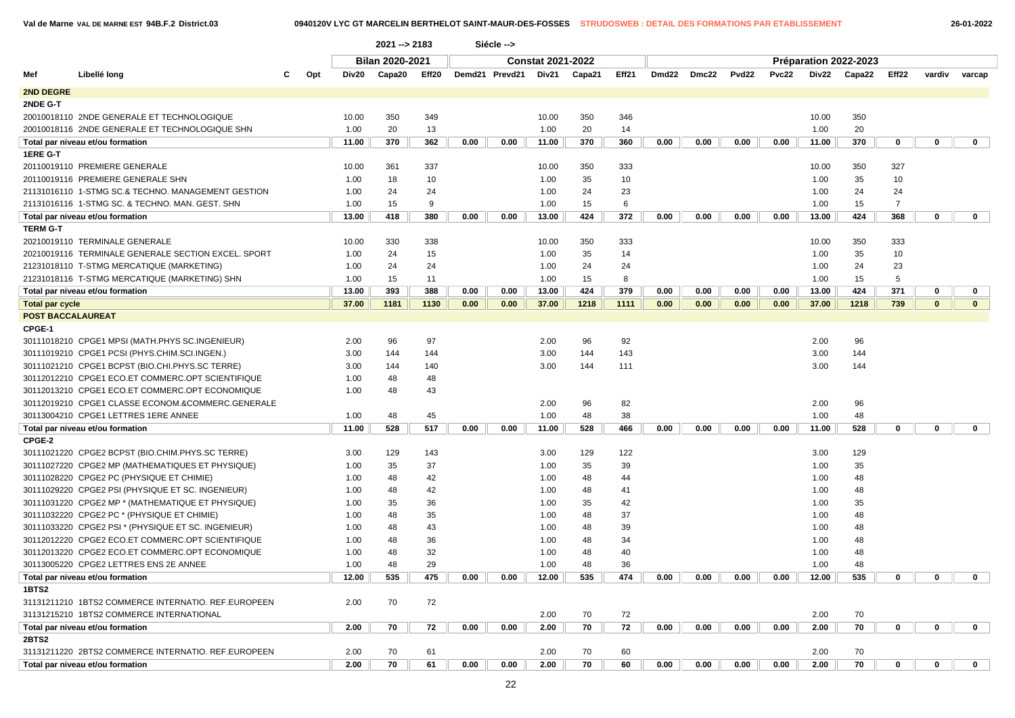|                          |                                                     |     |       | 2021 -- > 2183  |       |      | Siécle -->     |                          |        |       |       |       |                   |       |       |                       |                |              |              |
|--------------------------|-----------------------------------------------------|-----|-------|-----------------|-------|------|----------------|--------------------------|--------|-------|-------|-------|-------------------|-------|-------|-----------------------|----------------|--------------|--------------|
|                          |                                                     |     |       | Bilan 2020-2021 |       |      |                | <b>Constat 2021-2022</b> |        |       |       |       |                   |       |       | Préparation 2022-2023 |                |              |              |
| Mef                      | Libellé long                                        | Opt | Div20 | Capa20          | Eff20 |      | Demd21 Prevd21 | Div21                    | Capa21 | Eff21 | Dmd22 | Dmc22 | Pvd <sub>22</sub> | Pvc22 |       | Div22 Capa22          | Eff22          | vardiv       | varcap       |
| <b>2ND DEGRE</b>         |                                                     |     |       |                 |       |      |                |                          |        |       |       |       |                   |       |       |                       |                |              |              |
| 2NDE G-T                 |                                                     |     |       |                 |       |      |                |                          |        |       |       |       |                   |       |       |                       |                |              |              |
|                          | 20010018110 2NDE GENERALE ET TECHNOLOGIQUE          |     | 10.00 | 350             | 349   |      |                | 10.00                    | 350    | 346   |       |       |                   |       | 10.00 | 350                   |                |              |              |
|                          | 20010018116 2NDE GENERALE ET TECHNOLOGIQUE SHN      |     | 1.00  | 20              | 13    |      |                | 1.00                     | 20     | 14    |       |       |                   |       | 1.00  | 20                    |                |              |              |
|                          | Total par niveau et/ou formation                    |     | 11.00 | 370             | 362   | 0.00 | 0.00           | 11.00                    | 370    | 360   | 0.00  | 0.00  | 0.00              | 0.00  | 11.00 | 370                   | 0              | $\mathbf 0$  | $\mathbf 0$  |
| 1ERE G-T                 |                                                     |     |       |                 |       |      |                |                          |        |       |       |       |                   |       |       |                       |                |              |              |
|                          | 20110019110 PREMIERE GENERALE                       |     | 10.00 | 361             | 337   |      |                | 10.00                    | 350    | 333   |       |       |                   |       | 10.00 | 350                   | 327            |              |              |
|                          | 20110019116 PREMIERE GENERALE SHN                   |     | 1.00  | 18              | 10    |      |                | 1.00                     | 35     | 10    |       |       |                   |       | 1.00  | 35                    | 10             |              |              |
|                          | 21131016110 1-STMG SC.& TECHNO. MANAGEMENT GESTION  |     | 1.00  | 24              | 24    |      |                | 1.00                     | 24     | 23    |       |       |                   |       | 1.00  | 24                    | 24             |              |              |
|                          | 21131016116 1-STMG SC. & TECHNO. MAN. GEST. SHN     |     | 1.00  | 15              | 9     |      |                | 1.00                     | 15     | 6     |       |       |                   |       | 1.00  | 15                    | $\overline{7}$ |              |              |
|                          | Total par niveau et/ou formation                    |     | 13.00 | 418             | 380   | 0.00 | 0.00           | 13.00                    | 424    | 372   | 0.00  | 0.00  | 0.00              | 0.00  | 13.00 | 424                   | 368            | $\mathbf 0$  | $\mathbf{0}$ |
| <b>TERM G-T</b>          |                                                     |     |       |                 |       |      |                |                          |        |       |       |       |                   |       |       |                       |                |              |              |
|                          | 20210019110 TERMINALE GENERALE                      |     | 10.00 | 330             | 338   |      |                | 10.00                    | 350    | 333   |       |       |                   |       | 10.00 | 350                   | 333            |              |              |
|                          | 20210019116 TERMINALE GENERALE SECTION EXCEL. SPORT |     | 1.00  | 24              | 15    |      |                | 1.00                     | 35     | 14    |       |       |                   |       | 1.00  | 35                    | 10             |              |              |
|                          | 21231018110 T-STMG MERCATIQUE (MARKETING)           |     | 1.00  | 24              | 24    |      |                | 1.00                     | 24     | 24    |       |       |                   |       | 1.00  | 24                    | 23             |              |              |
|                          | 21231018116 T-STMG MERCATIQUE (MARKETING) SHN       |     | 1.00  | 15              | 11    |      |                | 1.00                     | 15     | 8     |       |       |                   |       | 1.00  | 15                    | 5              |              |              |
|                          | Total par niveau et/ou formation                    |     | 13.00 | 393             | 388   | 0.00 | 0.00           | 13.00                    | 424    | 379   | 0.00  | 0.00  | 0.00              | 0.00  | 13.00 | 424                   | 371            | 0            | 0            |
| <b>Total par cycle</b>   |                                                     |     | 37.00 | 1181            | 1130  | 0.00 | 0.00           | 37.00                    | 1218   | 1111  | 0.00  | 0.00  | 0.00              | 0.00  | 37.00 | 1218                  | 739            | $\mathbf{0}$ | $\mathbf{0}$ |
| <b>POST BACCALAUREAT</b> |                                                     |     |       |                 |       |      |                |                          |        |       |       |       |                   |       |       |                       |                |              |              |
| CPGE-1                   |                                                     |     |       |                 |       |      |                |                          |        |       |       |       |                   |       |       |                       |                |              |              |
|                          | 30111018210 CPGE1 MPSI (MATH.PHYS SC.INGENIEUR)     |     | 2.00  | 96              | 97    |      |                | 2.00                     | 96     | 92    |       |       |                   |       | 2.00  | 96                    |                |              |              |
|                          | 30111019210 CPGE1 PCSI (PHYS.CHIM.SCI.INGEN.)       |     | 3.00  | 144             | 144   |      |                | 3.00                     | 144    | 143   |       |       |                   |       | 3.00  | 144                   |                |              |              |
|                          | 30111021210 CPGE1 BCPST (BIO.CHI.PHYS.SC TERRE)     |     | 3.00  | 144             | 140   |      |                | 3.00                     | 144    | 111   |       |       |                   |       | 3.00  | 144                   |                |              |              |
|                          | 30112012210 CPGE1 ECO.ET COMMERC.OPT SCIENTIFIQUE   |     | 1.00  | 48              | 48    |      |                |                          |        |       |       |       |                   |       |       |                       |                |              |              |
|                          | 30112013210 CPGE1 ECO.ET COMMERC.OPT ECONOMIQUE     |     | 1.00  | 48              | 43    |      |                |                          |        |       |       |       |                   |       |       |                       |                |              |              |
|                          | 30112019210 CPGE1 CLASSE ECONOM.&COMMERC.GENERALE   |     |       |                 |       |      |                | 2.00                     | 96     | 82    |       |       |                   |       | 2.00  | 96                    |                |              |              |
|                          | 30113004210 CPGE1 LETTRES 1ERE ANNEE                |     | 1.00  | 48              | 45    |      |                | 1.00                     | 48     | 38    |       |       |                   |       | 1.00  | 48                    |                |              |              |
|                          | Total par niveau et/ou formation                    |     | 11.00 | 528             | 517   | 0.00 | 0.00           | 11.00                    | 528    | 466   | 0.00  | 0.00  | 0.00              | 0.00  | 11.00 | 528                   | 0              | 0            | $\mathbf 0$  |
| CPGE-2                   |                                                     |     |       |                 |       |      |                |                          |        |       |       |       |                   |       |       |                       |                |              |              |
|                          | 30111021220 CPGE2 BCPST (BIO.CHIM.PHYS.SC TERRE)    |     | 3.00  | 129             | 143   |      |                | 3.00                     | 129    | 122   |       |       |                   |       | 3.00  | 129                   |                |              |              |
|                          | 30111027220 CPGE2 MP (MATHEMATIQUES ET PHYSIQUE)    |     | 1.00  | 35              | 37    |      |                | 1.00                     | 35     | 39    |       |       |                   |       | 1.00  | 35                    |                |              |              |
|                          | 30111028220 CPGE2 PC (PHYSIQUE ET CHIMIE)           |     | 1.00  | 48              | 42    |      |                | 1.00                     | 48     | 44    |       |       |                   |       | 1.00  | 48                    |                |              |              |
|                          | 30111029220 CPGE2 PSI (PHYSIQUE ET SC. INGENIEUR)   |     | 1.00  | 48              | 42    |      |                | 1.00                     | 48     | 41    |       |       |                   |       | 1.00  | 48                    |                |              |              |
|                          | 30111031220 CPGE2 MP * (MATHEMATIQUE ET PHYSIQUE)   |     | 1.00  | 35              | 36    |      |                | 1.00                     | 35     | 42    |       |       |                   |       | 1.00  | 35                    |                |              |              |
|                          | 30111032220 CPGE2 PC * (PHYSIQUE ET CHIMIE)         |     | 1.00  | 48              | 35    |      |                | 1.00                     | 48     | 37    |       |       |                   |       | 1.00  | 48                    |                |              |              |
|                          | 30111033220 CPGE2 PSI * (PHYSIQUE ET SC. INGENIEUR) |     | 1.00  | 48              | 43    |      |                | 1.00                     | 48     | 39    |       |       |                   |       | 1.00  | 48                    |                |              |              |
|                          | 30112012220 CPGE2 ECO.ET COMMERC.OPT SCIENTIFIQUE   |     | 1.00  | 48              | 36    |      |                | 1.00                     | 48     | 34    |       |       |                   |       | 1.00  | 48                    |                |              |              |
|                          | 30112013220 CPGE2 ECO.ET COMMERC.OPT ECONOMIQUE     |     | 1.00  | 48              | 32    |      |                | 1.00                     | 48     | 40    |       |       |                   |       | 1.00  | 48                    |                |              |              |
|                          | 30113005220 CPGE2 LETTRES ENS 2E ANNEE              |     | 1.00  | 48              | 29    |      |                | 1.00                     | 48     | 36    |       |       |                   |       | 1.00  | 48                    |                |              |              |
|                          | Total par niveau et/ou formation                    |     | 12.00 | 535             | 475   | 0.00 | 0.00           | 12.00                    | 535    | 474   | 0.00  | 0.00  | 0.00              | 0.00  | 12.00 | 535                   | $\Omega$       | n            | 0            |
| 1BTS2                    |                                                     |     |       |                 |       |      |                |                          |        |       |       |       |                   |       |       |                       |                |              |              |
|                          | 31131211210 1BTS2 COMMERCE INTERNATIO. REF.EUROPEEN |     | 2.00  | 70              | 72    |      |                |                          |        |       |       |       |                   |       |       |                       |                |              |              |
|                          | 31131215210 1BTS2 COMMERCE INTERNATIONAL            |     |       |                 |       |      |                | 2.00                     | 70     | 72    |       |       |                   |       | 2.00  | 70                    |                |              |              |
|                          | Total par niveau et/ou formation                    |     | 2.00  | 70              | 72    | 0.00 | 0.00           | 2.00                     | 70     | 72    | 0.00  | 0.00  | 0.00              | 0.00  | 2.00  | 70                    | $\mathbf 0$    | $\mathbf 0$  | $\mathbf 0$  |
| <b>2BTS2</b>             |                                                     |     |       |                 |       |      |                |                          |        |       |       |       |                   |       |       |                       |                |              |              |
|                          | 31131211220 2BTS2 COMMERCE INTERNATIO. REF.EUROPEEN |     | 2.00  | 70              | 61    |      |                | 2.00                     | 70     | 60    |       |       |                   |       | 2.00  | 70                    |                |              |              |
|                          | Total par niveau et/ou formation                    |     | 2.00  | 70              | 61    | 0.00 | 0.00           | 2.00                     | 70     | 60    | 0.00  | 0.00  | 0.00              | 0.00  | 2.00  | 70                    | $\mathbf 0$    | 0            | $\mathbf{0}$ |
|                          |                                                     |     |       |                 |       |      |                |                          |        |       |       |       |                   |       |       |                       |                |              |              |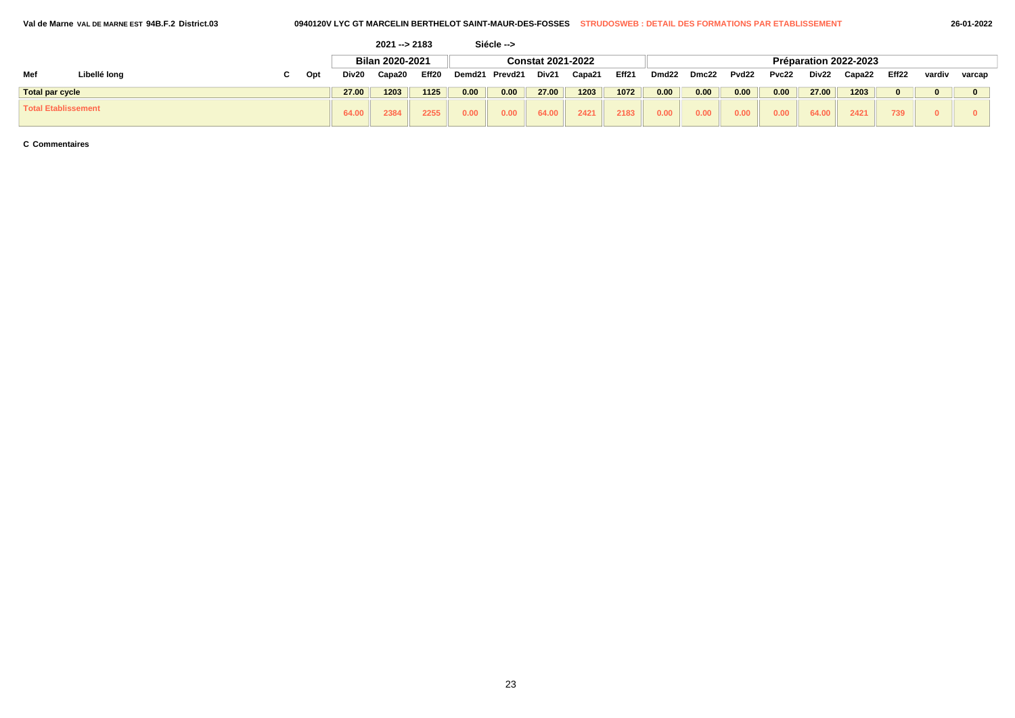| 'al de Marne VAL DE MARNE EST 94B.F.2 District.03 |  |
|---------------------------------------------------|--|
|---------------------------------------------------|--|

|                            |              |    |     |       | $2021 - 2183$   |       |        | Siécle --> |                          |        |       |                   |       |       |       |       |                       |       |        |        |
|----------------------------|--------------|----|-----|-------|-----------------|-------|--------|------------|--------------------------|--------|-------|-------------------|-------|-------|-------|-------|-----------------------|-------|--------|--------|
|                            |              |    |     |       | Bilan 2020-2021 |       |        |            | <b>Constat 2021-2022</b> |        |       |                   |       |       |       |       | Préparation 2022-2023 |       |        |        |
| Mef                        | Libellé long | C. | Opt | Div20 | Capa20          | Eff20 | Demd21 | Prevd21    | Div21                    | Capa21 | Eff21 | Dmd <sub>22</sub> | Dmc22 | Pvd22 | Pvc22 | Div22 | Capa22                | Eff22 | vardiv | varcap |
| <b>Total par cycle</b>     |              |    |     | 27.00 | 1203            | 1125  | 0.00   | 0.00       | 27.00                    | 1203   | 1072  | 0.00              | 0.00  | 0.00  | 0.00  | 27.00 | 1203                  |       |        |        |
| <b>Total Etablissement</b> |              |    |     | 64.00 | 2384            | 2255  | 0.00   | 0.00       | 64.00                    | 2421   | 2183  | 0.00              | 0.00  | 0.00  | 0.00  | 64.00 | 2421                  | 739   |        |        |

**C Commentaires**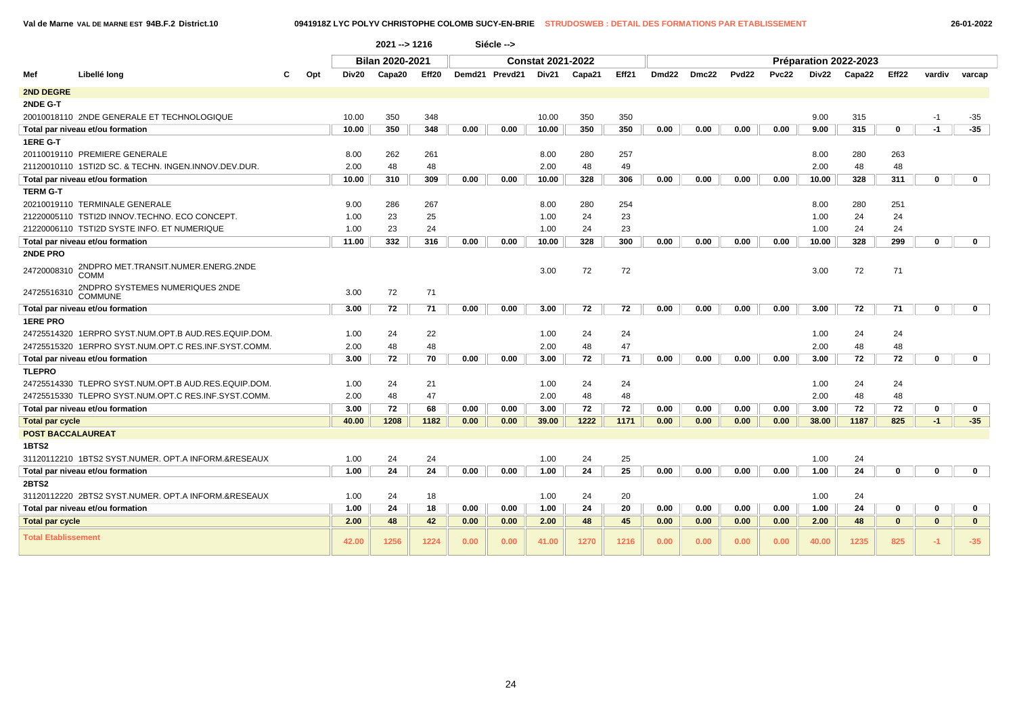**Val de Marne VAL DE MARNE EST 94B.F.2 District.10 0941918Z LYC POLYV CHRISTOPHE COLOMB SUCY-EN-BRIE STRUDOSWEB : DETAIL DES FORMATIONS PAR ETABLISSEMENT 26-01-2022**

|                            |                                                      |     |       | $2021 - 1216$          |       |      | Siécle -->     |                          |        |       |       |       |                   |              |       |                       |              |              |              |
|----------------------------|------------------------------------------------------|-----|-------|------------------------|-------|------|----------------|--------------------------|--------|-------|-------|-------|-------------------|--------------|-------|-----------------------|--------------|--------------|--------------|
|                            |                                                      |     |       | <b>Bilan 2020-2021</b> |       |      |                | <b>Constat 2021-2022</b> |        |       |       |       |                   |              |       | Préparation 2022-2023 |              |              |              |
| Mef                        | Libellé long                                         | Opt | Div20 | Capa20                 | Eff20 |      | Demd21 Prevd21 | Div21                    | Capa21 | Eff21 | Dmd22 | Dmc22 | Pvd <sub>22</sub> | <b>Pvc22</b> | Div22 | Capa22                | Eff22        | vardiv       | varcap       |
| <b>2ND DEGRE</b>           |                                                      |     |       |                        |       |      |                |                          |        |       |       |       |                   |              |       |                       |              |              |              |
| 2NDE G-T                   |                                                      |     |       |                        |       |      |                |                          |        |       |       |       |                   |              |       |                       |              |              |              |
|                            | 20010018110 2NDE GENERALE ET TECHNOLOGIQUE           |     | 10.00 | 350                    | 348   |      |                | 10.00                    | 350    | 350   |       |       |                   |              | 9.00  | 315                   |              | $-1$         | $-35$        |
|                            | Total par niveau et/ou formation                     |     | 10.00 | 350                    | 348   | 0.00 | 0.00           | 10.00                    | 350    | 350   | 0.00  | 0.00  | 0.00              | 0.00         | 9.00  | 315                   | $\mathbf{0}$ | $-1$         | $-35$        |
| 1ERE G-T                   |                                                      |     |       |                        |       |      |                |                          |        |       |       |       |                   |              |       |                       |              |              |              |
|                            | 20110019110 PREMIERE GENERALE                        |     | 8.00  | 262                    | 261   |      |                | 8.00                     | 280    | 257   |       |       |                   |              | 8.00  | 280                   | 263          |              |              |
|                            | 21120010110 1STI2D SC. & TECHN. INGEN.INNOV.DEV.DUR. |     | 2.00  | 48                     | 48    |      |                | 2.00                     | 48     | 49    |       |       |                   |              | 2.00  | 48                    | 48           |              |              |
|                            | Total par niveau et/ou formation                     |     | 10.00 | 310                    | 309   | 0.00 | 0.00           | 10.00                    | 328    | 306   | 0.00  | 0.00  | 0.00              | 0.00         | 10.00 | 328                   | 311          | $\mathbf{0}$ | $\mathbf 0$  |
| <b>TERM G-T</b>            |                                                      |     |       |                        |       |      |                |                          |        |       |       |       |                   |              |       |                       |              |              |              |
|                            | 20210019110 TERMINALE GENERALE                       |     | 9.00  | 286                    | 267   |      |                | 8.00                     | 280    | 254   |       |       |                   |              | 8.00  | 280                   | 251          |              |              |
|                            | 21220005110 TSTI2D INNOV.TECHNO. ECO CONCEPT.        |     | 1.00  | 23                     | 25    |      |                | 1.00                     | 24     | 23    |       |       |                   |              | 1.00  | 24                    | 24           |              |              |
|                            | 21220006110 TSTI2D SYSTE INFO. ET NUMERIQUE          |     | 1.00  | 23                     | 24    |      |                | 1.00                     | 24     | 23    |       |       |                   |              | 1.00  | 24                    | 24           |              |              |
|                            | Total par niveau et/ou formation                     |     | 11.00 | 332                    | 316   | 0.00 | 0.00           | 10.00                    | 328    | 300   | 0.00  | 0.00  | 0.00              | 0.00         | 10.00 | 328                   | 299          | $\bf{0}$     | $\mathbf{0}$ |
| 2NDE PRO                   |                                                      |     |       |                        |       |      |                |                          |        |       |       |       |                   |              |       |                       |              |              |              |
| 24720008310                | 2NDPRO MET.TRANSIT.NUMER.ENERG.2NDE<br>COMM          |     |       |                        |       |      |                | 3.00                     | 72     | 72    |       |       |                   |              | 3.00  | 72                    | 71           |              |              |
| 24725516310                | 2NDPRO SYSTEMES NUMERIQUES 2NDE<br>COMMUNE           |     | 3.00  | 72                     | 71    |      |                |                          |        |       |       |       |                   |              |       |                       |              |              |              |
|                            | Total par niveau et/ou formation                     |     | 3.00  | 72                     | 71    | 0.00 | 0.00           | 3.00                     | 72     | 72    | 0.00  | 0.00  | 0.00              | 0.00         | 3.00  | 72                    | 71           | $\mathbf{0}$ | $\mathbf 0$  |
| <b>1ERE PRO</b>            |                                                      |     |       |                        |       |      |                |                          |        |       |       |       |                   |              |       |                       |              |              |              |
|                            | 24725514320 1ERPRO SYST.NUM.OPT.B AUD.RES.EQUIP.DOM. |     | 1.00  | 24                     | 22    |      |                | 1.00                     | 24     | 24    |       |       |                   |              | 1.00  | 24                    | 24           |              |              |
|                            | 24725515320 1ERPRO SYST.NUM.OPT.C RES.INF.SYST.COMM. |     | 2.00  | 48                     | 48    |      |                | 2.00                     | 48     | 47    |       |       |                   |              | 2.00  | 48                    | 48           |              |              |
|                            | Total par niveau et/ou formation                     |     | 3.00  | 72                     | 70    | 0.00 | 0.00           | 3.00                     | 72     | 71    | 0.00  | 0.00  | 0.00              | 0.00         | 3.00  | 72                    | 72           | $\mathbf{0}$ | $\mathbf 0$  |
| <b>TLEPRO</b>              |                                                      |     |       |                        |       |      |                |                          |        |       |       |       |                   |              |       |                       |              |              |              |
|                            | 24725514330 TLEPRO SYST.NUM.OPT.B AUD.RES.EQUIP.DOM. |     | 1.00  | 24                     | 21    |      |                | 1.00                     | 24     | 24    |       |       |                   |              | 1.00  | 24                    | 24           |              |              |
|                            | 24725515330 TLEPRO SYST.NUM.OPT.C RES.INF.SYST.COMM. |     | 2.00  | 48                     | 47    |      |                | 2.00                     | 48     | 48    |       |       |                   |              | 2.00  | 48                    | 48           |              |              |
|                            | Total par niveau et/ou formation                     |     | 3.00  | 72                     | 68    | 0.00 | 0.00           | 3.00                     | 72     | 72    | 0.00  | 0.00  | 0.00              | 0.00         | 3.00  | 72                    | 72           | $\mathbf 0$  | $\mathbf 0$  |
| <b>Total par cycle</b>     |                                                      |     | 40.00 | 1208                   | 1182  | 0.00 | 0.00           | 39.00                    | 1222   | 1171  | 0.00  | 0.00  | 0.00              | 0.00         | 38.00 | 1187                  | 825          | $-1$         | $-35$        |
| <b>POST BACCALAUREAT</b>   |                                                      |     |       |                        |       |      |                |                          |        |       |       |       |                   |              |       |                       |              |              |              |
| 1BTS2                      |                                                      |     |       |                        |       |      |                |                          |        |       |       |       |                   |              |       |                       |              |              |              |
|                            | 31120112210 1BTS2 SYST.NUMER. OPT.A INFORM.&RESEAUX  |     | 1.00  | 24                     | 24    |      |                | 1.00                     | 24     | 25    |       |       |                   |              | 1.00  | 24                    |              |              |              |
|                            | Total par niveau et/ou formation                     |     | 1.00  | 24                     | 24    | 0.00 | 0.00           | 1.00                     | 24     | 25    | 0.00  | 0.00  | 0.00              | 0.00         | 1.00  | 24                    | $\mathbf 0$  | $\bf{0}$     | $\mathbf 0$  |
| 2BTS2                      |                                                      |     |       |                        |       |      |                |                          |        |       |       |       |                   |              |       |                       |              |              |              |
|                            | 31120112220 2BTS2 SYST.NUMER. OPT.A INFORM.&RESEAUX  |     | 1.00  | 24                     | 18    |      |                | 1.00                     | 24     | 20    |       |       |                   |              | 1.00  | 24                    |              |              |              |
|                            | Total par niveau et/ou formation                     |     | 1.00  | 24                     | 18    | 0.00 | 0.00           | 1.00                     | 24     | 20    | 0.00  | 0.00  | 0.00              | 0.00         | 1.00  | 24                    | 0            | $\mathbf 0$  | $\mathbf 0$  |
| <b>Total par cycle</b>     |                                                      |     | 2.00  | 48                     | 42    | 0.00 | 0.00           | 2.00                     | 48     | 45    | 0.00  | 0.00  | 0.00              | 0.00         | 2.00  | 48                    | $\mathbf{0}$ | $\mathbf{0}$ | $\mathbf{0}$ |
| <b>Total Etablissement</b> |                                                      |     | 42.00 | 1256                   | 1224  | 0.00 | 0.00           | 41.00                    | 1270   | 1216  | 0.00  | 0.00  | 0.00              | 0.00         | 40.00 | 1235                  | 825          | $-1$         | $-35$        |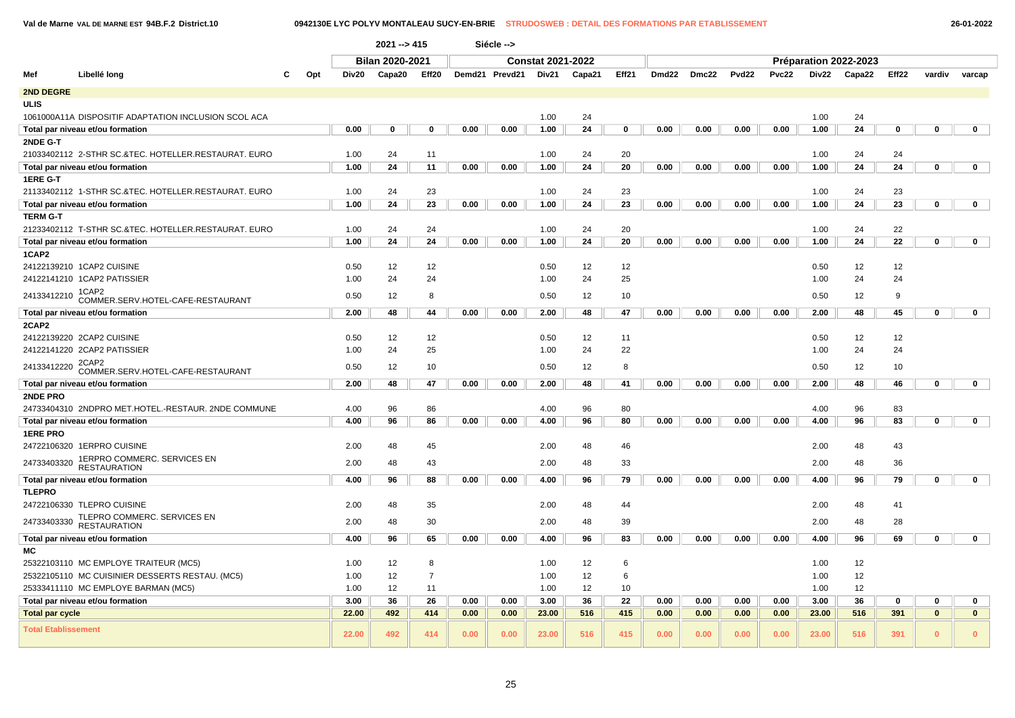### **Val de Marne VAL DE MARNE EST 94B.F.2 District.10 0942130E LYC POLYV MONTALEAU SUCY-EN-BRIE STRUDOSWEB : DETAIL DES FORMATIONS PAR ETABLISSEMENT 26-01-2022**

|                            |                                                                                          |     |              | $2021 - 5415$          |                |      | Siécle -->     |                          |          |             |       |       |       |              |              |                       |          |              |              |  |
|----------------------------|------------------------------------------------------------------------------------------|-----|--------------|------------------------|----------------|------|----------------|--------------------------|----------|-------------|-------|-------|-------|--------------|--------------|-----------------------|----------|--------------|--------------|--|
|                            |                                                                                          |     |              | <b>Bilan 2020-2021</b> |                |      |                | <b>Constat 2021-2022</b> |          |             |       |       |       |              |              | Préparation 2022-2023 |          |              |              |  |
| Mef                        | Libellé long                                                                             | Opt | Div20        | Capa20                 | Eff20          |      | Demd21 Prevd21 | Div21                    | Capa21   | Eff21       | Dmd22 | Dmc22 | Pvd22 | <b>Pvc22</b> | Div22        | Capa22                | Eff22    | vardiv       | varcap       |  |
| <b>2ND DEGRE</b>           |                                                                                          |     |              |                        |                |      |                |                          |          |             |       |       |       |              |              |                       |          |              |              |  |
| ULIS                       |                                                                                          |     |              |                        |                |      |                |                          |          |             |       |       |       |              |              |                       |          |              |              |  |
|                            | 1061000A11A DISPOSITIF ADAPTATION INCLUSION SCOL ACA                                     |     |              |                        |                |      |                | 1.00                     | 24       |             |       |       |       |              | 1.00         | 24                    |          |              |              |  |
|                            | Total par niveau et/ou formation                                                         |     | 0.00         | $\mathbf 0$            | $\mathbf 0$    | 0.00 | 0.00           | 1.00                     | 24       | $\mathbf 0$ | 0.00  | 0.00  | 0.00  | 0.00         | 1.00         | 24                    | 0        | $\bf{0}$     | $\mathbf 0$  |  |
| 2NDE G-T                   |                                                                                          |     |              |                        |                |      |                |                          |          |             |       |       |       |              |              |                       |          |              |              |  |
|                            | 21033402112 2-STHR SC.&TEC. HOTELLER.RESTAURAT. EURO                                     |     | 1.00         | 24                     | 11             |      |                | 1.00                     | 24       | 20          |       |       |       |              | 1.00         | 24                    | 24       |              |              |  |
|                            | Total par niveau et/ou formation                                                         |     | 1.00         | 24                     | 11             | 0.00 | 0.00           | 1.00                     | 24       | 20          | 0.00  | 0.00  | 0.00  | 0.00         | 1.00         | 24                    | 24       | 0            | $\mathbf 0$  |  |
| 1ERE G-T                   |                                                                                          |     |              |                        |                |      |                |                          |          |             |       |       |       |              |              |                       |          |              |              |  |
|                            | 21133402112 1-STHR SC.&TEC. HOTELLER.RESTAURAT. EURO                                     |     | 1.00         | 24                     | 23             |      |                | 1.00                     | 24       | 23          |       |       |       |              | 1.00         | 24                    | 23       |              |              |  |
|                            | Total par niveau et/ou formation                                                         |     | 1.00         | 24                     | 23             | 0.00 | 0.00           | 1.00                     | 24       | 23          | 0.00  | 0.00  | 0.00  | 0.00         | 1.00         | 24                    | 23       | 0            | $\mathbf 0$  |  |
| TERM G-T                   |                                                                                          |     |              |                        |                |      |                |                          |          |             |       |       |       |              |              |                       |          |              |              |  |
|                            | 21233402112 T-STHR SC.&TEC. HOTELLER.RESTAURAT. EURO<br>Total par niveau et/ou formation |     | 1.00<br>1.00 | 24<br>24               | 24<br>24       | 0.00 | 0.00           | 1.00<br>1.00             | 24<br>24 | 20<br>20    | 0.00  | 0.00  | 0.00  | 0.00         | 1.00<br>1.00 | 24<br>24              | 22<br>22 | 0            | $\mathbf 0$  |  |
| 1CAP2                      |                                                                                          |     |              |                        |                |      |                |                          |          |             |       |       |       |              |              |                       |          |              |              |  |
|                            | 24122139210 1CAP2 CUISINE                                                                |     | 0.50         | 12                     | 12             |      |                | 0.50                     | 12       | 12          |       |       |       |              | 0.50         | 12                    | 12       |              |              |  |
|                            | 24122141210 1CAP2 PATISSIER                                                              |     | 1.00         | 24                     | 24             |      |                | 1.00                     | 24       | 25          |       |       |       |              | 1.00         | 24                    | 24       |              |              |  |
|                            | 1CAP2                                                                                    |     |              |                        |                |      |                |                          |          |             |       |       |       |              |              |                       |          |              |              |  |
| 24133412210                | COMMER.SERV.HOTEL-CAFE-RESTAURANT                                                        |     | 0.50         | 12                     | 8              |      |                | 0.50                     | 12       | 10          |       |       |       |              | 0.50         | 12                    | 9        |              |              |  |
|                            | Total par niveau et/ou formation                                                         |     | 2.00         | 48                     | 44             | 0.00 | 0.00           | 2.00                     | 48       | 47          | 0.00  | 0.00  | 0.00  | 0.00         | 2.00         | 48                    | 45       | 0            | $\mathbf 0$  |  |
| 2CAP2                      |                                                                                          |     |              |                        |                |      |                |                          |          |             |       |       |       |              |              |                       |          |              |              |  |
|                            | 24122139220 2CAP2 CUISINE                                                                |     | 0.50         | 12                     | 12             |      |                | 0.50                     | 12       | 11          |       |       |       |              | 0.50         | 12                    | 12       |              |              |  |
|                            | 24122141220 2CAP2 PATISSIER                                                              |     | 1.00         | 24                     | 25             |      |                | 1.00                     | 24       | 22          |       |       |       |              | 1.00         | 24                    | 24       |              |              |  |
| 24133412220                | 2CAP2<br>COMMER.SERV.HOTEL-CAFE-RESTAURANT                                               |     | 0.50         | 12                     | 10             |      |                | 0.50                     | 12       | 8           |       |       |       |              | 0.50         | 12                    | 10       |              |              |  |
|                            | Total par niveau et/ou formation                                                         |     | 2.00         | 48                     | 47             | 0.00 | 0.00           | 2.00                     | 48       | 41          | 0.00  | 0.00  | 0.00  | 0.00         | 2.00         | 48                    | 46       | 0            | $\mathbf 0$  |  |
| <b>2NDE PRO</b>            |                                                                                          |     |              |                        |                |      |                |                          |          |             |       |       |       |              |              |                       |          |              |              |  |
|                            | 24733404310 2NDPRO MET.HOTEL.-RESTAUR. 2NDE COMMUNE                                      |     | 4.00         | 96                     | 86             |      |                | 4.00                     | 96       | 80          |       |       |       |              | 4.00         | 96                    | 83       |              |              |  |
|                            | Total par niveau et/ou formation                                                         |     | 4.00         | 96                     | 86             | 0.00 | 0.00           | 4.00                     | 96       | 80          | 0.00  | 0.00  | 0.00  | 0.00         | 4.00         | 96                    | 83       | $\mathbf 0$  | $\mathbf 0$  |  |
| <b>1ERE PRO</b>            |                                                                                          |     |              |                        |                |      |                |                          |          |             |       |       |       |              |              |                       |          |              |              |  |
|                            | 24722106320 1ERPRO CUISINE                                                               |     | 2.00         | 48                     | 45             |      |                | 2.00                     | 48       | 46          |       |       |       |              | 2.00         | 48                    | 43       |              |              |  |
| 24733403320                | 1ERPRO COMMERC. SERVICES EN<br><b>RESTAURATION</b>                                       |     | 2.00         | 48                     | 43             |      |                | 2.00                     | 48       | 33          |       |       |       |              | 2.00         | 48                    | 36       |              |              |  |
|                            | Total par niveau et/ou formation                                                         |     | 4.00         | 96                     | 88             | 0.00 | 0.00           | 4.00                     | 96       | 79          | 0.00  | 0.00  | 0.00  | 0.00         | 4.00         | 96                    | 79       | $\mathbf 0$  | $\mathbf 0$  |  |
| <b>TLEPRO</b>              |                                                                                          |     |              |                        |                |      |                |                          |          |             |       |       |       |              |              |                       |          |              |              |  |
|                            | 24722106330 TLEPRO CUISINE                                                               |     | 2.00         | 48                     | 35             |      |                | 2.00                     | 48       | 44          |       |       |       |              | 2.00         | 48                    | 41       |              |              |  |
| 24733403330                | TLEPRO COMMERC. SERVICES EN<br><b>RESTAURATION</b>                                       |     | 2.00         | 48                     | 30             |      |                | 2.00                     | 48       | 39          |       |       |       |              | 2.00         | 48                    | 28       |              |              |  |
|                            | Total par niveau et/ou formation                                                         |     | 4.00         | 96                     | 65             | 0.00 | 0.00           | 4.00                     | 96       | 83          | 0.00  | 0.00  | 0.00  | 0.00         | 4.00         | 96                    | 69       | 0            | $\mathbf 0$  |  |
| МC                         |                                                                                          |     |              |                        |                |      |                |                          |          |             |       |       |       |              |              |                       |          |              |              |  |
|                            | 25322103110 MC EMPLOYE TRAITEUR (MC5)                                                    |     | 1.00         | 12                     | 8              |      |                | 1.00                     | 12       | 6           |       |       |       |              | 1.00         | 12                    |          |              |              |  |
|                            | 25322105110 MC CUISINIER DESSERTS RESTAU. (MC5)                                          |     | 1.00         | 12                     | $\overline{7}$ |      |                | 1.00                     | 12       | 6           |       |       |       |              | 1.00         | 12                    |          |              |              |  |
|                            | 25333411110 MC EMPLOYE BARMAN (MC5)                                                      |     | 1.00         | 12                     | 11             |      |                | 1.00                     | 12       | 10          |       |       |       |              | 1.00         | 12                    |          |              |              |  |
|                            | Total par niveau et/ou formation                                                         |     | 3.00         | 36                     | 26             | 0.00 | 0.00           | 3.00                     | 36       | 22          | 0.00  | 0.00  | 0.00  | 0.00         | 3.00         | 36                    | 0        | 0            | $\mathbf 0$  |  |
| <b>Total par cycle</b>     |                                                                                          |     | 22.00        | 492                    | 414            | 0.00 | 0.00           | 23.00                    | 516      | 415         | 0.00  | 0.00  | 0.00  | 0.00         | 23.00        | 516                   | 391      | $\mathbf{0}$ | $\mathbf{0}$ |  |
| <b>Total Etablissement</b> |                                                                                          |     | 22.00        | 492                    | 414            | 0.00 | 0.00           | 23.00                    | 516      | 415         | 0.00  | 0.00  | 0.00  | 0.00         | 23.00        | 516                   | 391      | $\bf{0}$     | $\mathbf{0}$ |  |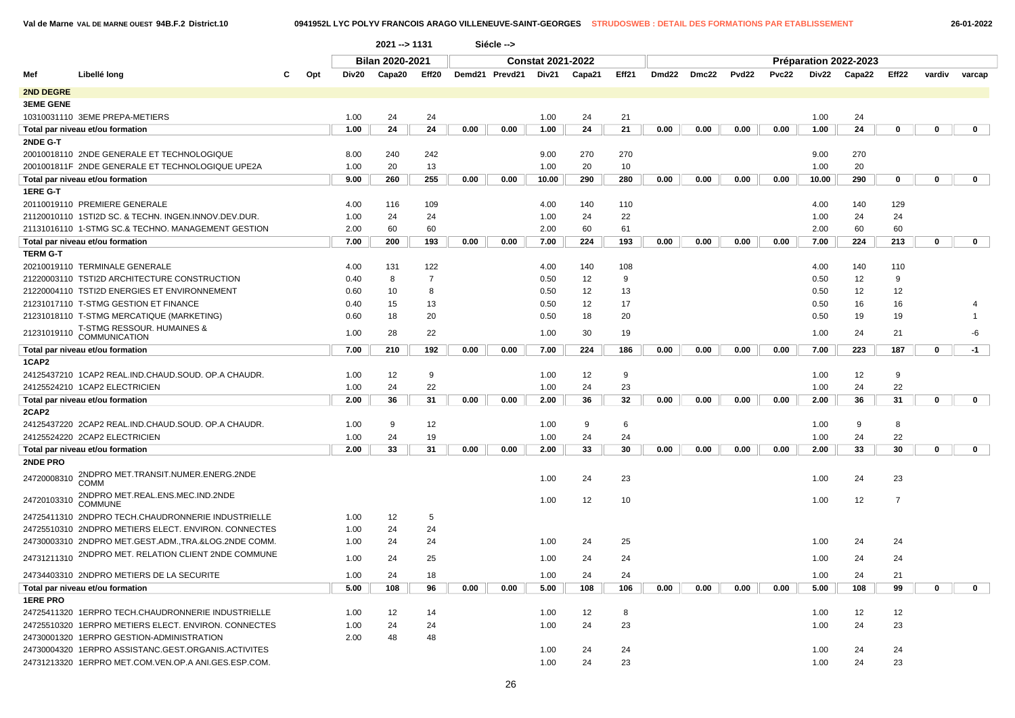| 26-01-2022 |  |  |  |
|------------|--|--|--|
|            |  |  |  |

|                  |                                                      |     |       | 2021 -- > 1131         |                |      | Siécle -->     |                          |        |       |       |       |                   |       |       |                       |                |             |              |
|------------------|------------------------------------------------------|-----|-------|------------------------|----------------|------|----------------|--------------------------|--------|-------|-------|-------|-------------------|-------|-------|-----------------------|----------------|-------------|--------------|
|                  |                                                      |     |       | <b>Bilan 2020-2021</b> |                |      |                | <b>Constat 2021-2022</b> |        |       |       |       |                   |       |       | Préparation 2022-2023 |                |             |              |
| Mef              | Libellé long                                         | Opt | Div20 | Capa20                 | Eff20          |      | Demd21 Prevd21 | Div21                    | Capa21 | Eff21 | Dmd22 | Dmc22 | Pvd <sub>22</sub> | Pvc22 | Div22 | Capa22                | Eff22          | vardiv      | varcap       |
| <b>2ND DEGRE</b> |                                                      |     |       |                        |                |      |                |                          |        |       |       |       |                   |       |       |                       |                |             |              |
| <b>3EME GENE</b> |                                                      |     |       |                        |                |      |                |                          |        |       |       |       |                   |       |       |                       |                |             |              |
|                  | 10310031110 3EME PREPA-METIERS                       |     | 1.00  | 24                     | 24             |      |                | 1.00                     | 24     | 21    |       |       |                   |       | 1.00  | 24                    |                |             |              |
|                  | Total par niveau et/ou formation                     |     | 1.00  | 24                     | 24             | 0.00 | 0.00           | 1.00                     | 24     | 21    | 0.00  | 0.00  | 0.00              | 0.00  | 1.00  | 24                    | 0              | $\mathbf 0$ | $\mathbf 0$  |
| 2NDE G-T         |                                                      |     |       |                        |                |      |                |                          |        |       |       |       |                   |       |       |                       |                |             |              |
|                  | 20010018110 2NDE GENERALE ET TECHNOLOGIQUE           |     | 8.00  | 240                    | 242            |      |                | 9.00                     | 270    | 270   |       |       |                   |       | 9.00  | 270                   |                |             |              |
|                  | 2001001811F 2NDE GENERALE ET TECHNOLOGIQUE UPE2A     |     | 1.00  | 20                     | 13             |      |                | 1.00                     | 20     | 10    |       |       |                   |       | 1.00  | 20                    |                |             |              |
|                  | Total par niveau et/ou formation                     |     | 9.00  | 260                    | 255            | 0.00 | 0.00           | 10.00                    | 290    | 280   | 0.00  | 0.00  | 0.00              | 0.00  | 10.00 | 290                   | $\mathbf 0$    | $\mathbf 0$ | $\mathbf 0$  |
| 1ERE G-T         |                                                      |     |       |                        |                |      |                |                          |        |       |       |       |                   |       |       |                       |                |             |              |
|                  | 20110019110 PREMIERE GENERALE                        |     | 4.00  | 116                    | 109            |      |                | 4.00                     | 140    | 110   |       |       |                   |       | 4.00  | 140                   | 129            |             |              |
|                  | 21120010110 1STI2D SC. & TECHN. INGEN.INNOV.DEV.DUR  |     | 1.00  | 24                     | 24             |      |                | 1.00                     | 24     | 22    |       |       |                   |       | 1.00  | 24                    | 24             |             |              |
|                  | 21131016110 1-STMG SC.& TECHNO. MANAGEMENT GESTION   |     | 2.00  | 60                     | 60             |      |                | 2.00                     | 60     | 61    |       |       |                   |       | 2.00  | 60                    | 60             |             |              |
|                  | Total par niveau et/ou formation                     |     | 7.00  | 200                    | 193            | 0.00 | 0.00           | 7.00                     | 224    | 193   | 0.00  | 0.00  | 0.00              | 0.00  | 7.00  | 224                   | 213            | $\mathbf 0$ | $\mathbf 0$  |
| <b>TERM G-T</b>  |                                                      |     |       |                        |                |      |                |                          |        |       |       |       |                   |       |       |                       |                |             |              |
|                  | 20210019110 TERMINALE GENERALE                       |     | 4.00  | 131                    | 122            |      |                | 4.00                     | 140    | 108   |       |       |                   |       | 4.00  | 140                   | 110            |             |              |
|                  | 21220003110 TSTI2D ARCHITECTURE CONSTRUCTION         |     | 0.40  | 8                      | $\overline{7}$ |      |                | 0.50                     | 12     | 9     |       |       |                   |       | 0.50  | 12                    | 9              |             |              |
|                  | 21220004110 TSTI2D ENERGIES ET ENVIRONNEMENT         |     | 0.60  | 10                     | 8              |      |                | 0.50                     | 12     | 13    |       |       |                   |       | 0.50  | 12                    | 12             |             |              |
|                  | 21231017110 T-STMG GESTION ET FINANCE                |     | 0.40  | 15                     | 13             |      |                | 0.50                     | 12     | 17    |       |       |                   |       | 0.50  | 16                    | 16             |             |              |
|                  | 21231018110 T-STMG MERCATIQUE (MARKETING)            |     | 0.60  | 18                     | 20             |      |                | 0.50                     | 18     | 20    |       |       |                   |       | 0.50  | 19                    | 19             |             | $\mathbf{1}$ |
| 21231019110      | T-STMG RESSOUR. HUMAINES &<br><b>COMMUNICATION</b>   |     | 1.00  | 28                     | 22             |      |                | 1.00                     | 30     | 19    |       |       |                   |       | 1.00  | 24                    | 21             |             | -6           |
|                  | Total par niveau et/ou formation                     |     | 7.00  | 210                    | 192            | 0.00 | 0.00           | 7.00                     | 224    | 186   | 0.00  | 0.00  | 0.00              | 0.00  | 7.00  | 223                   | 187            | $\mathbf 0$ | $-1$         |
| 1CAP2            |                                                      |     |       |                        |                |      |                |                          |        |       |       |       |                   |       |       |                       |                |             |              |
|                  | 24125437210 1CAP2 REAL.IND.CHAUD.SOUD. OP.A CHAUDR.  |     | 1.00  | 12                     | 9              |      |                | 1.00                     | 12     | 9     |       |       |                   |       | 1.00  | 12                    | 9              |             |              |
|                  | 24125524210 1CAP2 ELECTRICIEN                        |     | 1.00  | 24                     | 22             |      |                | 1.00                     | 24     | 23    |       |       |                   |       | 1.00  | 24                    | 22             |             |              |
|                  | Total par niveau et/ou formation                     |     | 2.00  | 36                     | 31             | 0.00 | 0.00           | 2.00                     | 36     | 32    | 0.00  | 0.00  | 0.00              | 0.00  | 2.00  | 36                    | 31             | $\mathbf 0$ | $\mathbf 0$  |
| 2CAP2            |                                                      |     |       |                        |                |      |                |                          |        |       |       |       |                   |       |       |                       |                |             |              |
|                  | 24125437220 2CAP2 REAL.IND.CHAUD.SOUD. OP.A CHAUDR.  |     | 1.00  | 9                      | 12             |      |                | 1.00                     | 9      | 6     |       |       |                   |       | 1.00  | 9                     | 8              |             |              |
|                  | 24125524220 2CAP2 ELECTRICIEN                        |     | 1.00  | 24                     | 19             |      |                | 1.00                     | 24     | 24    |       |       |                   |       | 1.00  | 24                    | 22             |             |              |
|                  | Total par niveau et/ou formation                     |     | 2.00  | 33                     | 31             | 0.00 | 0.00           | 2.00                     | 33     | 30    | 0.00  | 0.00  | 0.00              | 0.00  | 2.00  | 33                    | 30             | 0           | 0            |
| 2NDE PRO         |                                                      |     |       |                        |                |      |                |                          |        |       |       |       |                   |       |       |                       |                |             |              |
| 24720008310      | 2NDPRO MET.TRANSIT.NUMER.ENERG.2NDE<br><b>COMM</b>   |     |       |                        |                |      |                | 1.00                     | 24     | 23    |       |       |                   |       | 1.00  | 24                    | 23             |             |              |
| 24720103310      | 2NDPRO MET.REAL.ENS.MEC.IND.2NDE<br><b>COMMUNE</b>   |     |       |                        |                |      |                | 1.00                     | 12     | 10    |       |       |                   |       | 1.00  | $12 \overline{ }$     | $\overline{7}$ |             |              |
|                  | 24725411310 2NDPRO TECH.CHAUDRONNERIE INDUSTRIELLE   |     | 1.00  | 12                     | 5              |      |                |                          |        |       |       |       |                   |       |       |                       |                |             |              |
|                  | 24725510310 2NDPRO METIERS ELECT. ENVIRON, CONNECTES |     | 1.00  | 24                     | 24             |      |                |                          |        |       |       |       |                   |       |       |                       |                |             |              |
|                  | 24730003310 2NDPRO MET.GEST.ADM.,TRA.&LOG.2NDE COMM. |     | 1.00  | 24                     | 24             |      |                | 1.00                     | 24     | 25    |       |       |                   |       | 1.00  | 24                    | 24             |             |              |
| 24731211310      | 2NDPRO MET. RELATION CLIENT 2NDE COMMUNE             |     | 1.00  | 24                     | 25             |      |                | 1.00                     | 24     | 24    |       |       |                   |       | 1.00  | 24                    | 24             |             |              |
|                  | 24734403310 2NDPRO METIERS DE LA SECURITE            |     | 1.00  | 24                     | 18             |      |                | 1.00                     | 24     | 24    |       |       |                   |       | 1.00  | 24                    | 21             |             |              |
|                  | Total par niveau et/ou formation                     |     | 5.00  | 108                    | 96             | 0.00 | 0.00           | 5.00                     | 108    | 106   | 0.00  | 0.00  | 0.00              | 0.00  | 5.00  | 108                   | 99             | 0           | 0            |
| <b>1ERE PRO</b>  |                                                      |     |       |                        |                |      |                |                          |        |       |       |       |                   |       |       |                       |                |             |              |
|                  | 24725411320 1ERPRO TECH.CHAUDRONNERIE INDUSTRIELLE   |     | 1.00  | 12                     | 14             |      |                | 1.00                     | 12     | 8     |       |       |                   |       | 1.00  | 12                    | 12             |             |              |
|                  | 24725510320 1ERPRO METIERS ELECT. ENVIRON. CONNECTES |     | 1.00  | 24                     | 24             |      |                | 1.00                     | 24     | 23    |       |       |                   |       | 1.00  | 24                    | 23             |             |              |
|                  | 24730001320 1ERPRO GESTION-ADMINISTRATION            |     | 2.00  | 48                     | 48             |      |                |                          |        |       |       |       |                   |       |       |                       |                |             |              |
|                  | 24730004320 1ERPRO ASSISTANC.GEST.ORGANIS.ACTIVITES  |     |       |                        |                |      |                | 1.00                     | 24     | 24    |       |       |                   |       | 1.00  | 24                    | 24             |             |              |
|                  | 24731213320 1ERPRO MET.COM.VEN.OP.A ANI.GES.ESP.COM. |     |       |                        |                |      |                | 1.00                     | 24     | 23    |       |       |                   |       | 1.00  | 24                    | 23             |             |              |